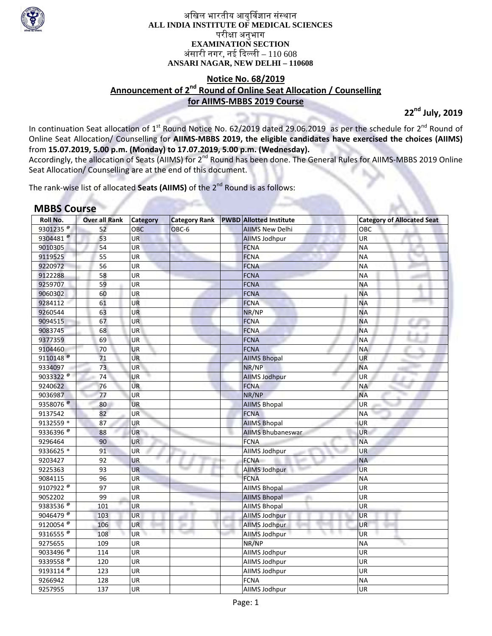

अखिल भारतीय आयुर्विज्ञान संस्थान **ALL INDIA INSTITUTE OF MEDICAL SCIENCES**  परीक्षा अनुभाग **EXAMINATION SECTION**  अंसारी नगर, नई दिल्ली –  $110\,608$ **ANSARI NAGAR, NEW DELHI – 110608** 

## **Notice No. 68/2019 Announcement of 2nd Round of Online Seat Allocation / Counselling for AIIMS‐MBBS 2019 Course**

**22nd July, 2019**

In continuation Seat allocation of  $1^{st}$  Round Notice No. 62/2019 dated 29.06.2019 as per the schedule for  $2^{nd}$  Round of Online Seat Allocation/ Counselling for **AIIMS‐MBBS 2019, the eligible candidates have exercised the choices (AIIMS)** from **15.07.2019, 5.00 p.m. (Monday) to 17.07.2019, 5.00 p.m. (Wednesday).** 

Accordingly, the allocation of Seats (AIIMS) for 2<sup>nd</sup> Round has been done. The General Rules for AIIMS-MBBS 2019 Online Seat Allocation/ Counselling are at the end of this document.

The rank-wise list of allocated **Seats (AIIMS)** of the 2<sup>nd</sup> Round is as follows:

# **MBBS Course**

| Roll No.                        | <b>Over all Rank</b> | <b>Category</b> | <b>Category Rank</b> | <b>PWBD</b> Allotted Institute | <b>Category of Allocated Seat</b> |
|---------------------------------|----------------------|-----------------|----------------------|--------------------------------|-----------------------------------|
| 9301235 <sup><sup>®</sup></sup> | 52                   | <b>OBC</b>      | OBC-6                | <b>AIIMS New Delhi</b>         | OBC                               |
| 9304481 <sup>@</sup>            | 53                   | <b>UR</b>       |                      | <b>AllMS Jodhpur</b>           | UR                                |
| 9010305                         | 54                   | <b>UR</b>       |                      | <b>FCNA</b>                    | <b>NA</b>                         |
| 9119525                         | 55                   | UR              |                      | <b>FCNA</b>                    | <b>NA</b>                         |
| 9220972                         | 56                   | UR              |                      | <b>FCNA</b>                    | <b>NA</b>                         |
| 9122288                         | 58                   | UR              |                      | <b>FCNA</b>                    | <b>NA</b>                         |
| 9259707                         | 59                   | UR              |                      | <b>FCNA</b>                    | ΝA                                |
| 9060302                         | 60                   | <b>UR</b>       |                      | <b>FCNA</b>                    | <b>NA</b>                         |
| 9284112                         | 61                   | UR              |                      | <b>FCNA</b>                    | <b>NA</b>                         |
| 9260544                         | 63                   | <b>UR</b>       |                      | NR/NP                          | <b>NA</b>                         |
| 9094515                         | 67                   | <b>UR</b>       |                      | <b>FCNA</b>                    | <b>NA</b>                         |
| 9083745                         | 68                   | <b>UR</b>       |                      | <b>FCNA</b>                    | <b>NA</b>                         |
| 9377359                         | 69                   | <b>UR</b>       |                      | <b>FCNA</b>                    | <b>NA</b>                         |
| 9104460                         | 70                   | <b>UR</b>       |                      | <b>FCNA</b>                    | <b>NA</b>                         |
| 9110148 <sup>@</sup>            | 71                   | <b>UR</b>       |                      | <b>AIIMS Bhopal</b>            | <b>UR</b>                         |
| 9334097                         | 73                   | UR              |                      | NR/NP                          | <b>NA</b>                         |
| 9033322 <sup>@</sup>            | 74                   | UR              |                      | <b>AllMS Jodhpur</b>           | UR                                |
| 9240622                         | 76                   | <b>UR</b>       |                      | <b>FCNA</b>                    | <b>NA</b>                         |
| 9036987                         | 77                   | UR              |                      | NR/NP                          | <b>NA</b>                         |
| 9358076 <sup><sup>®</sup></sup> | 80                   | UR              |                      | <b>AIIMS Bhopal</b>            | UR                                |
| 9137542                         | 82                   | <b>UR</b>       |                      | <b>FCNA</b>                    | <b>NA</b>                         |
| 9132559 *                       | 87                   | UR              |                      | <b>AIIMS Bhopal</b>            | UR                                |
| 9336396 <sup>®</sup>            | 88                   | <b>UR</b>       |                      | <b>AIIMS Bhubaneswar</b>       | UR                                |
| 9296464                         | 90                   | UR              |                      | <b>FCNA</b>                    | <b>NA</b>                         |
| 9336625 *                       | 91                   | <b>UR</b>       |                      | AllMS Jodhpur                  | <b>UR</b>                         |
| 9203427                         | 92                   | <b>UR</b>       |                      | <b>FCNA</b>                    | <b>NA</b>                         |
| 9225363                         | 93                   | <b>UR</b>       |                      | <b>AIIMS Jodhpur</b>           | <b>UR</b>                         |
| 9084115                         | 96                   | UR              |                      | <b>FCNA</b>                    | <b>NA</b>                         |
| 9107922 <sup>®</sup>            | 97                   | UR              |                      | <b>AIIMS Bhopal</b>            | <b>UR</b>                         |
| 9052202                         | 99                   | UR              |                      | <b>AIIMS Bhopal</b>            | <b>UR</b>                         |
| 9383536 $e$                     | 101                  | <b>UR</b>       |                      | <b>AIIMS Bhopal</b>            | UR                                |
| 9046479                         | 103                  | UR              |                      | AllMS Jodhpur                  | <b>UR</b>                         |
| 9120054 <sup>®</sup>            | 106                  | UR              |                      | <b>AllMS Jodhpur</b>           | <b>UR</b>                         |
| 9316555 $\frac{1}{6}$           | 108                  | <b>UR</b>       |                      | <b>AllMS Jodhpur</b>           | <b>UR</b>                         |
| 9275655                         | 109                  | UR              |                      | NR/NP                          | <b>NA</b>                         |
| 9033496 <sup>®</sup>            | 114                  | UR              |                      | AllMS Jodhpur                  | UR                                |
| 9339558 <sup>®</sup>            | 120                  | UR              |                      | AllMS Jodhpur                  | UR                                |
| 9193114 <sup>®</sup>            | 123                  | UR              |                      | AllMS Jodhpur                  | UR                                |
| 9266942                         | 128                  | UR              |                      | <b>FCNA</b>                    | <b>NA</b>                         |
| 9257955                         | 137                  | UR              |                      | AllMS Jodhpur                  | UR                                |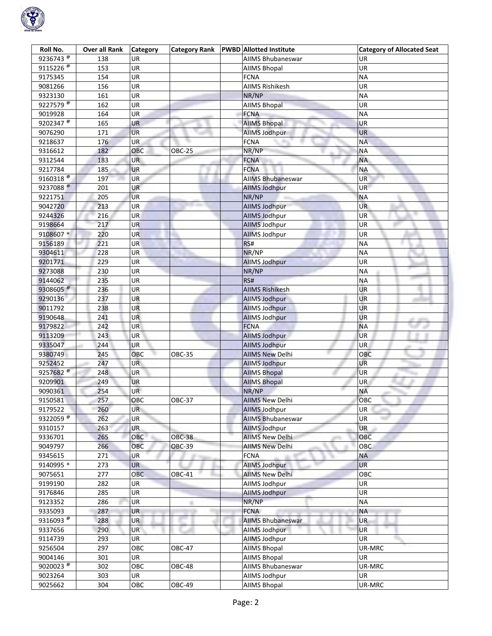

| Roll No.                        | <b>Over all Rank</b> | <b>Category</b> | <b>Category Rank</b> | <b>PWBD</b> Allotted Institute | <b>Category of Allocated Seat</b> |
|---------------------------------|----------------------|-----------------|----------------------|--------------------------------|-----------------------------------|
| 9236743 <sup>®</sup>            | 138                  | <b>UR</b>       |                      | <b>AIIMS Bhubaneswar</b>       | UR                                |
| 9115226 <sup>®</sup>            | 153                  | UR              |                      | <b>AIIMS Bhopal</b>            | UR                                |
| 9175345                         | 154                  | UR              |                      | <b>FCNA</b>                    | <b>NA</b>                         |
| 9081266                         | 156                  | <b>UR</b>       |                      | <b>AIIMS Rishikesh</b>         | UR                                |
| 9323130                         | 161                  | UR              |                      | NR/NP                          | <b>NA</b>                         |
| 9227579                         | 162                  | UR              |                      | <b>AIIMS Bhopal</b>            | UR                                |
| 9019928                         | 164                  | UR              |                      | <b>FCNA</b>                    | <b>NA</b>                         |
| 9202347 <sup>®</sup>            | 165                  | UR              |                      | <b>AIIMS Bhopal</b>            | UR                                |
| 9076290                         | 171                  | <b>UR</b>       |                      | <b>AllMS Jodhpur</b>           | UR                                |
| 9218637                         | 176                  | UR              |                      | <b>FCNA</b>                    | <b>NA</b>                         |
| 9316612                         | 182                  | OBC             | <b>OBC-25</b>        | NR/NP                          | ΝA                                |
| 9312544                         | 183                  | <b>UR</b>       |                      | <b>FCNA</b>                    | <b>NA</b>                         |
| 9217784                         | 185                  | UR              |                      | <b>FCNA</b>                    | <b>NA</b>                         |
| $9160318^{\circ}$               | 197                  | <b>UR</b>       |                      | <b>AIIMS Bhubaneswar</b>       | UR                                |
| 9237088 <sup>®</sup>            | 201                  | <b>UR</b>       |                      |                                | <b>UR</b>                         |
|                                 |                      |                 |                      | <b>AllMS Jodhpur</b>           |                                   |
| 9221751                         | 205                  | <b>UR</b>       |                      | NR/NP                          | <b>NA</b>                         |
| 9042720                         | 213                  | UR              |                      | <b>AllMS Jodhpur</b>           | UR                                |
| 9244326                         | 216                  | <b>UR</b>       |                      | <b>AIIMS Jodhpur</b>           | <b>UR</b>                         |
| 9198664                         | 217                  | <b>UR</b>       |                      | <b>AllMS Jodhpur</b>           | UR                                |
| 9108607*                        | 220                  | UR              |                      | <b>AIIMS Jodhpur</b>           | UR                                |
| 9156189                         | 221                  | UR              |                      | RS#                            | <b>NA</b>                         |
| 9304611                         | 228                  | UR              |                      | NR/NP                          | <b>NA</b>                         |
| 9201771                         | 229                  | UR              |                      | <b>AllMS Jodhpur</b>           | UR                                |
| 9273088                         | 230                  | UR              |                      | NR/NP                          | <b>NA</b>                         |
| 9144062                         | 235                  | UR              |                      | RS#                            | <b>NA</b>                         |
| 9308605 <sup><sup>®</sup></sup> | 236                  | UR              |                      | <b>AIIMS Rishikesh</b>         | UR                                |
| 9290136                         | 237                  | UR              |                      | <b>AllMS Jodhpur</b>           | UR                                |
| 9011792                         | 238                  | <b>UR</b>       |                      | <b>AllMS Jodhpur</b>           | <b>UR</b>                         |
| 9190648                         | 241                  | <b>UR</b>       |                      | <b>AllMS Jodhpur</b>           | UR                                |
| 9179822                         | 242                  | UR              |                      | <b>FCNA</b>                    | <b>NA</b>                         |
| 9113209                         | 243                  | UR              |                      | <b>AllMS Jodhpur</b>           | <b>UR</b>                         |
| 9335047                         | 244                  | <b>UR</b>       |                      | <b>AllMS Jodhpur</b>           | UR                                |
| 9380749                         | 245                  | OBC             | <b>OBC-35</b>        | <b>AIIMS New Delhi</b>         | OBC                               |
| 9252452                         | 247                  | <b>UR</b>       |                      | <b>AllMS Jodhpur</b>           | UR                                |
| 9257682 $^{\circ}$              | 248                  | UR              |                      | <b>AIIMS Bhopal</b>            | <b>UR</b>                         |
| 9209901                         | 249                  | UR              |                      | <b>AIIMS Bhopal</b>            | UR                                |
| 9090361                         | 254                  | <b>UR</b>       |                      | NR/NP                          | <b>NA</b>                         |
| 9150581                         | 257                  | ОВС             | <b>OBC-37</b>        | <b>AIIMS New Delhi</b>         | OBC                               |
| 9179522                         | 260                  | <b>UR</b>       |                      | <b>AllMS Jodhpur</b>           | UR  <br>والتباط                   |
| 9322059 <sup>®</sup>            | 262                  | UR              |                      | <b>AIIMS Bhubaneswar</b>       | UR                                |
| 9310157                         | 263                  | UR.             |                      | <b>AllMS Jodhpur</b>           | <b>UR</b>                         |
| 9336701                         | 265                  | OBC             | <b>OBC-38</b>        | <b>AIIMS New Delhi</b>         | OBC                               |
| 9049797                         | 266                  | OBC             | <b>OBC-39</b>        | <b>AIIMS New Delhi</b>         | OBC                               |
| 9345615                         | 271                  | UR              |                      | <b>FCNA</b>                    | <b>NA</b>                         |
| 9140995 *                       | 273                  | <b>UR</b>       |                      | AllMS Jodhpur                  | <b>UR</b>                         |
| 9075651                         | 277                  | OBC             | <b>OBC-41</b>        | <b>AIIMS New Delhi</b>         | ОВС                               |
| 9199190                         | 282                  | UR              |                      | AllMS Jodhpur                  | <b>UR</b>                         |
|                                 |                      | UR              |                      | <b>AllMS Jodhpur</b>           | UR                                |
| 9176846                         | 285                  |                 |                      |                                |                                   |
| 9123352                         | 286                  | UR              | m.                   | NR/NP                          | <b>NA</b>                         |
| 9335093                         | 287                  | UR              |                      | <b>FCNA</b>                    | <b>NA</b>                         |
| 9316093 $\frac{1}{6}$           | 288                  | <b>UR</b>       |                      | <b>AllMS Bhubaneswar</b>       | <b>UR</b>                         |
| 9337656                         | 290                  | <b>UR</b>       |                      | AllMS Jodhpur                  | <b>UR</b>                         |
| 9114739                         | 293                  | <b>UR</b>       |                      | <b>AllMS Jodhpur</b>           | UR                                |
| 9256504                         | 297                  | OBC             | <b>OBC-47</b>        | <b>AIIMS Bhopal</b>            | UR-MRC                            |
| 9004146                         | 301                  | UR              |                      | <b>AIIMS Bhopal</b>            | UR                                |
| 9020023                         | 302                  | OBC             | <b>OBC-48</b>        | AIIMS Bhubaneswar              | UR-MRC                            |
| 9023264                         | 303                  | UR              |                      | AllMS Jodhpur                  | UR                                |
| 9025662                         | 304                  | OBC             | OBC-49               | <b>AIIMS Bhopal</b>            | UR-MRC                            |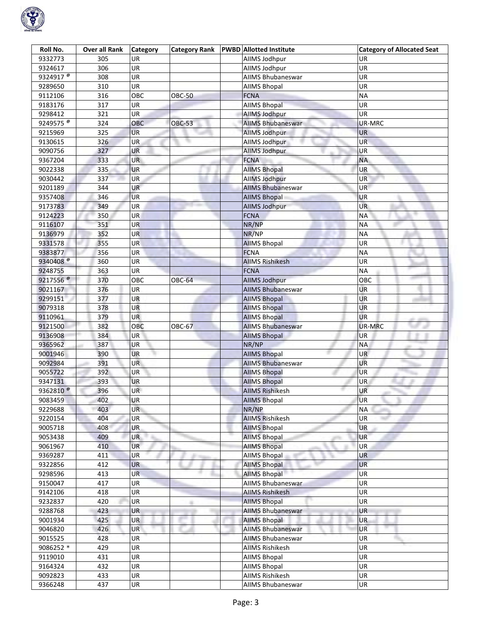

| Roll No.              | Over all Rank | <b>Category</b> | <b>Category Rank</b> | <b>PWBD</b> Allotted Institute | <b>Category of Allocated Seat</b> |
|-----------------------|---------------|-----------------|----------------------|--------------------------------|-----------------------------------|
| 9332773               | 305           | UR              |                      | AllMS Jodhpur                  | UR                                |
| 9324617               | 306           | UR              |                      | AllMS Jodhpur                  | UR                                |
| 9324917 <sup>®</sup>  | 308           | UR              |                      | <b>AIIMS Bhubaneswar</b>       | UR                                |
| 9289650               | 310           | UR              |                      | <b>AIIMS Bhopal</b>            | UR                                |
| 9112106               | 316           | OBC             | <b>OBC-50</b>        | <b>FCNA</b>                    | <b>NA</b>                         |
| 9183176               | 317           | UR              |                      | <b>AIIMS Bhopal</b>            | UR                                |
| 9298412               | 321           | UR              |                      | <b>AllMS Jodhpur</b>           | UR                                |
| 9249575 $\frac{1}{6}$ | 324           | OBC             | <b>OBC-53</b>        | <b>AIIMS Bhubaneswar</b>       | UR-MRC                            |
| 9215969               | 325           | <b>UR</b>       |                      | <b>AllMS Jodhpur</b>           | UR                                |
| 9130615               | 326           | UR              |                      | AllMS Jodhpur                  | UR                                |
| 9090756               | 327           | UR              |                      | AllMS Jodhpur                  | UR                                |
| 9367204               | 333           | UR              |                      | <b>FCNA</b>                    | NA                                |
| 9022338               | 335           | <b>UR</b>       |                      | <b>AIIMS Bhopal</b>            | UR                                |
| 9030442               | 337           | <b>UR</b>       |                      | AllMS Jodhpur                  | UR                                |
|                       | 344           | <b>UR</b>       |                      |                                | UR                                |
| 9201189               |               |                 |                      | <b>AIIMS Bhubaneswar</b>       |                                   |
| 9357408               | 346           | <b>UR</b>       |                      | <b>AIIMS Bhopal</b>            | UR                                |
| 9173783               | 349           | UR              |                      | <b>AllMS Jodhpur</b>           | <b>UR</b>                         |
| 9124223               | 350           | <b>UR</b>       |                      | <b>FCNA</b>                    | <b>NA</b>                         |
| 9116107               | 351           | UR              |                      | NR/NP                          | <b>NA</b>                         |
| 9136979               | 352           | <b>UR</b>       |                      | NR/NP                          | <b>NA</b>                         |
| 9331578               | 355           | <b>UR</b>       |                      | <b>AIIMS Bhopal</b>            | UR                                |
| 9383877               | 356           | UR              |                      | <b>FCNA</b>                    | <b>NA</b>                         |
| 9340408 <sup>®</sup>  | 360           | <b>UR</b>       |                      | <b>AIIMS Rishikesh</b>         | UR                                |
| 9248755               | 363           | UR              |                      | <b>FCNA</b>                    | <b>NA</b>                         |
| 9217556 <sup>®</sup>  | 370           | OBC             | <b>OBC-64</b>        | <b>AllMS Jodhpur</b>           | OBC                               |
| 9021167               | 376           | UR              |                      | <b>AIIMS Bhubaneswar</b>       | UR                                |
| 9299151               | 377           | UR              |                      | <b>AIIMS Bhopal</b>            | UR                                |
| 9079318               | 378           | <b>UR</b>       |                      | <b>AIIMS Bhopal</b>            | UR                                |
| 9110961               | 379           | <b>UR</b>       |                      | <b>AllMS Bhopal</b>            | UR                                |
| 9121500               | 382           | OBC             | <b>OBC-67</b>        | <b>AIIMS Bhubaneswar</b>       | UR-MRC                            |
| 9136908               | 384           | <b>UR</b>       |                      | <b>AIIMS Bhopal</b>            | <b>UR</b>                         |
| 9365962               | 387           | <b>UR</b>       |                      | NR/NP                          | <b>NA</b>                         |
| 9001946               | 390           | <b>UR</b>       |                      | <b>AIIMS Bhopal</b>            | UR                                |
| 9092984               | 391           | UR.             |                      | <b>AIIMS Bhubaneswar</b>       | UR                                |
| 9055722               | 392           | UR              |                      | <b>AIIMS Bhopal</b>            | UR                                |
| 9347131               | 393           | UR              |                      | <b>AIIMS Bhopal</b>            | UR                                |
| 9362810 <sup>®</sup>  | 396           | UR              |                      | <b>AIIMS Rishikesh</b>         | <b>UR</b>                         |
| 9083459               | 402           | <b>UR</b>       |                      | <b>AIIMS Bhopal</b>            | <b>UR</b>                         |
| 9229688               | 403           | <b>UR</b>       |                      | NR/NP                          | <b>NA</b>                         |
| 9220154               | 404           | UR              |                      | <b>AIIMS Rishikesh</b>         | UR                                |
| 9005718               | 408           | UR              |                      | <b>AIIMS Bhopal</b>            | UR                                |
| 9053438               | 409           | <b>UR</b>       |                      | <b>AIIMS Bhopal</b>            | <b>UR</b>                         |
| 9061967               | 410           | <b>UR</b>       |                      | <b>AIIMS Bhopal</b>            | UR                                |
| 9369287               | 411           | UR              |                      | <b>AIIMS Bhopal</b>            | UR                                |
| 9322856               | 412           | <b>UR</b>       |                      | <b>AIIMS Bhopal</b>            | UR                                |
| 9298596               | 413           | <b>UR</b>       |                      | <b>AllMS Bhopal</b>            | UR                                |
| 9150047               | 417           | UR              |                      | <b>AIIMS Bhubaneswar</b>       | UR                                |
| 9142106               | 418           | UR              |                      | <b>AIIMS Rishikesh</b>         | UR                                |
| 9232837               | 420           | UR              | m                    | <b>AIIMS Bhopal</b>            | UR                                |
| 9288768               | 423           | UR              |                      | <b>AIIMS Bhubaneswar</b>       | UR                                |
| 9001934               | 425           | UR              |                      | <b>AllMS Bhopal</b>            | UR                                |
| 9046820               | 426           | UR              |                      | <b>AIIMS Bhubaneswar</b>       | <b>UR</b>                         |
| 9015525               | 428           | <b>UR</b>       |                      | AllMS Bhubaneswar              | UR                                |
| 9086252 *             | 429           | UR              |                      | <b>AIIMS Rishikesh</b>         | UR                                |
| 9119010               | 431           | UR              |                      | <b>AIIMS Bhopal</b>            | UR                                |
| 9164324               | 432           | UR              |                      | <b>AIIMS Bhopal</b>            | UR                                |
| 9092823               | 433           | UR              |                      | <b>AIIMS Rishikesh</b>         | UR                                |
| 9366248               | 437           | UR              |                      | <b>AIIMS Bhubaneswar</b>       | UR                                |
|                       |               |                 |                      |                                |                                   |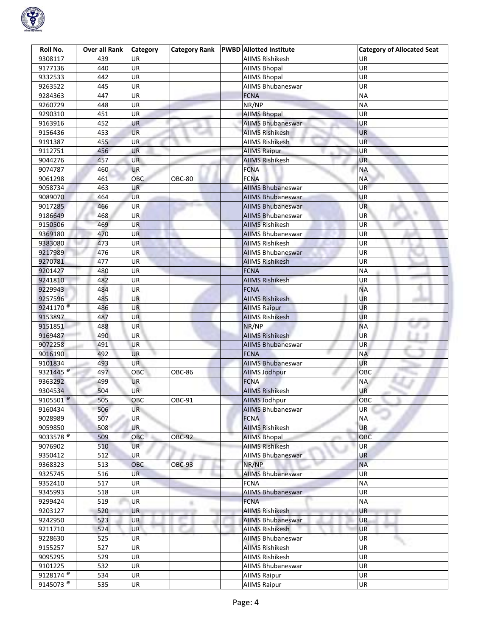

| Roll No.              | Over all Rank | <b>Category</b> | <b>Category Rank</b> | <b>PWBD Allotted Institute</b> | <b>Category of Allocated Seat</b> |
|-----------------------|---------------|-----------------|----------------------|--------------------------------|-----------------------------------|
| 9308117               | 439           | UR              |                      | AIIMS Rishikesh                | UR                                |
| 9177136               | 440           | UR              |                      | <b>AIIMS Bhopal</b>            | UR                                |
| 9332533               | 442           | UR              |                      | <b>AIIMS Bhopal</b>            | UR                                |
| 9263522               | 445           | <b>UR</b>       |                      | AIIMS Bhubaneswar              | UR                                |
| 9284363               | 447           | UR              |                      | <b>FCNA</b>                    | <b>NA</b>                         |
| 9260729               | 448           | UR              |                      | NR/NP                          | <b>NA</b>                         |
| 9290310               | 451           | UR              |                      | <b>AIIMS Bhopal</b>            | UR                                |
| 9163916               | 452           | UR              |                      | <b>AIIMS Bhubaneswar</b>       | UR                                |
| 9156436               | 453           | <b>UR</b>       |                      | <b>AIIMS Rishikesh</b>         | <b>UR</b>                         |
| 9191387               | 455           | <b>UR</b>       |                      | <b>AIIMS Rishikesh</b>         | UR.                               |
| 9112751               | 456           | UR              |                      | <b>AllMS Raipur</b>            | UR                                |
| 9044276               | 457           | <b>UR</b>       |                      | <b>AIIMS Rishikesh</b>         | UR                                |
| 9074787               | 460           | <b>UR</b>       |                      | <b>FCNA</b>                    | <b>NA</b>                         |
| 9061298               | 461           | ОВС             | <b>OBC-80</b>        | <b>FCNA</b>                    | <b>NA</b>                         |
| 9058734               | 463           | <b>UR</b>       |                      | <b>AIIMS Bhubaneswar</b>       | <b>UR</b>                         |
| 9089070               | 464           | <b>UR</b>       |                      | <b>AIIMS Bhubaneswar</b>       | UR                                |
| 9017285               | 466           | UR              |                      | AllMS Bhubaneswar              | UR                                |
| 9186649               | 468           | <b>UR</b>       |                      | <b>AIIMS Bhubaneswar</b>       | UR <sup></sup>                    |
| 9150506               | 469           | <b>UR</b>       |                      | <b>AIIMS Rishikesh</b>         | UR                                |
| 9369180               | 470           | <b>UR</b>       |                      | <b>AIIMS Bhubaneswar</b>       | UR                                |
| 9383080               | 473           | <b>UR</b>       |                      | <b>AIIMS Rishikesh</b>         | UR                                |
| 9217989               | 476           | <b>UR</b>       |                      | <b>AIIMS Bhubaneswar</b>       | UR                                |
| 9270781               | 477           | UR              |                      | <b>AIIMS Rishikesh</b>         | UR                                |
| 9201427               | 480           | UR              |                      | <b>FCNA</b>                    | <b>NA</b>                         |
| 9241810               | 482           | UR              |                      | <b>AIIMS Rishikesh</b>         | UR                                |
| 9229943               | 484           | UR              |                      | <b>FCNA</b>                    | <b>NA</b>                         |
| 9257596               | 485           | UR              |                      | <b>AIIMS Rishikesh</b>         | UR                                |
| 9241170 <sup>®</sup>  | 486           | <b>UR</b>       |                      | <b>AllMS Raipur</b>            | UR                                |
| 9153897               | 487           | <b>UR</b>       |                      | <b>AIIMS Rishikesh</b>         | UR                                |
| 9151851               | 488           | UR              |                      | NR/NP                          | <b>NA</b>                         |
| 9169487               | 490           | UR              |                      | <b>AIIMS Rishikesh</b>         | <b>UR</b>                         |
| 9072258               | 491           | <b>UR</b>       |                      | <b>AIIMS Bhubaneswar</b>       | <b>UR</b>                         |
| 9016190               | 492           | <b>UR</b>       |                      | <b>FCNA</b>                    | NA                                |
| 9101834               | 493           | UR.             |                      | <b>AIIMS Bhubaneswar</b>       | UR                                |
| 9321445 <sup>®</sup>  | 497           | OBC             | <b>OBC-86</b>        | AllMS Jodhpur                  | OBC                               |
| 9363292               | 499           | UR              |                      | <b>FCNA</b>                    | ΝA                                |
| 9304534               | 504           | UR.             |                      | <b>AIIMS Rishikesh</b>         | UR                                |
| 9105501 $^{\circ}$    | 505           | OBC             | OBC-91               | <b>AllMS Jodhpur</b>           | OBC                               |
| 9160434               | 506           | <b>UR</b>       |                      | <b>AIIMS Bhubaneswar</b>       | UR<br><b>STARTING</b>             |
| 9028989               | 507           | UR              |                      | <b>FCNA</b>                    | <b>NA</b>                         |
| 9059850               | 508           | UR.             |                      | <b>AIIMS Rishikesh</b>         | <b>UR</b>                         |
| 9033578               | 509           | OBC             | <b>OBC-92</b>        | <b>AllMS Bhopal</b>            | OBC                               |
| 9076902               | 510           | <b>UR</b>       |                      | <b>AIIMS Rishikesh</b>         | UR                                |
| 9350412               | 512           | <b>UR</b>       |                      | <b>AIIMS Bhubaneswar</b>       | <b>UR</b>                         |
| 9368323               | 513           | OBC             | <b>OBC-93</b>        | NR/NP                          | <b>NA</b>                         |
| 9325745               | 516           | UR.             |                      | <b>AIIMS Bhubaneswar</b>       | UR                                |
| 9352410               | 517           | UR              |                      | <b>FCNA</b>                    | <b>NA</b>                         |
| 9345993               | 518           | UR              |                      | <b>AIIMS Bhubaneswar</b>       | UR                                |
|                       | 519           | UR              |                      | <b>FCNA</b>                    | <b>NA</b>                         |
| 9299424<br>9203127    | 520           | UR              |                      | <b>AIIMS Rishikesh</b>         | UR                                |
| 9242950               | 523           | <b>UR</b>       |                      | <b>AIIMS Bhubaneswar</b>       | <b>UR</b>                         |
| 9211710               | 524           | UR              |                      | <b>AIIMS Rishikesh</b>         | ▀<br>UR                           |
|                       |               |                 |                      |                                | <b>UR</b>                         |
| 9228630               | 525           | <b>UR</b>       |                      | <b>AIIMS Bhubaneswar</b>       |                                   |
| 9155257               | 527           | UR              |                      | <b>AIIMS Rishikesh</b>         | UR                                |
| 9095295               | 529           | UR              |                      | <b>AIIMS Rishikesh</b>         | UR                                |
| 9101225               | 532           | UR              |                      | <b>AIIMS Bhubaneswar</b>       | UR                                |
| 9128174 $^{\circ}$    | 534           | <b>UR</b>       |                      | <b>AIIMS Raipur</b>            | <b>UR</b>                         |
| 9145073 $\frac{1}{6}$ | 535           | UR              |                      | <b>AIIMS Raipur</b>            | UR                                |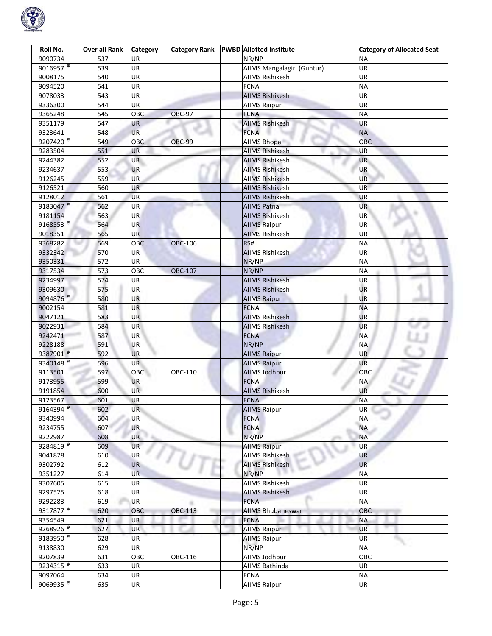

| Roll No.              | <b>Over all Rank</b> | <b>Category</b> | <b>Category Rank</b> | <b>PWBD</b> Allotted Institute | <b>Category of Allocated Seat</b> |
|-----------------------|----------------------|-----------------|----------------------|--------------------------------|-----------------------------------|
| 9090734               | 537                  | <b>UR</b>       |                      | NR/NP                          | <b>NA</b>                         |
| 9016957 $\frac{1}{6}$ | 539                  | UR              |                      | AIIMS Mangalagiri (Guntur)     | UR                                |
| 9008175               | 540                  | UR              |                      | <b>AIIMS Rishikesh</b>         | UR                                |
| 9094520               | 541                  | <b>UR</b>       |                      | <b>FCNA</b>                    | <b>NA</b>                         |
| 9078033               | 543                  | UR              |                      | <b>AIIMS Rishikesh</b>         | UR                                |
| 9336300               | 544                  | UR              |                      | <b>AIIMS Raipur</b>            | <b>UR</b>                         |
| 9365248               | 545                  | OBC             | <b>OBC-97</b>        | <b>FCNA</b>                    | <b>NA</b>                         |
| 9351179               | 547                  | <b>UR</b>       |                      | <b>AIIMS Rishikesh</b>         | UR                                |
| 9323641               | 548                  | <b>UR</b>       |                      | <b>FCNA</b>                    | NA                                |
| 9207420 <sup>®</sup>  | 549                  | OBC             | <b>OBC-99</b>        | <b>AIIMS Bhopal</b>            | OBC                               |
| 9283504               | 551                  | UR              |                      | AIIMS Rishikesh                | UR                                |
| 9244382               | 552                  | <b>UR</b>       |                      | <b>AIIMS Rishikesh</b>         | <b>UR</b>                         |
| 9234637               | 553                  | UR              |                      | <b>AIIMS Rishikesh</b>         | <b>UR</b>                         |
| 9126245               | 559                  | <b>UR</b>       |                      | <b>AIIMS Rishikesh</b>         | UR                                |
|                       | 560                  | <b>UR</b>       |                      |                                | UR.                               |
| 9126521               |                      |                 |                      | <b>AIIMS Rishikesh</b>         |                                   |
| 9128012               | 561                  | <b>UR</b>       |                      | <b>AIIMS Rishikesh</b>         | UR                                |
| 9183047 <sup>@</sup>  | 562                  | UR              |                      | <b>AIIMS Patna</b>             | <b>UR</b>                         |
| 9181154               | 563                  | <b>UR</b>       |                      | <b>AIIMS Rishikesh</b>         | <b>UR</b>                         |
| 9168553 <sup>®</sup>  | 564                  | <b>UR</b>       |                      | <b>AIIMS Raipur</b>            | UR                                |
| 9018351               | 565                  | UR              |                      | <b>AIIMS Rishikesh</b>         | UR                                |
| 9368282               | 569                  | OBC             | <b>OBC-106</b>       | RS#                            | <b>NA</b>                         |
| 9332342               | 570                  | UR              |                      | <b>AIIMS Rishikesh</b>         | UR                                |
| 9350331               | 572                  | UR              |                      | NR/NP                          | <b>NA</b>                         |
| 9317534               | 573                  | OBC             | OBC-107              | NR/NP                          | <b>NA</b>                         |
| 9234997               | 574                  | UR              |                      | <b>AIIMS Rishikesh</b>         | UR                                |
| 9309630               | 575                  | <b>UR</b>       |                      | <b>AIIMS Rishikesh</b>         | <b>UR</b>                         |
| 9094876 <sup>®</sup>  | 580                  | UR              |                      | <b>AllMS Raipur</b>            | UR                                |
| 9002154               | 581                  | UR              |                      | <b>FCNA</b>                    | <b>NA</b>                         |
| 9047121               | 583                  | <b>UR</b>       |                      | <b>AIIMS Rishikesh</b>         | UR                                |
| 9022931               | 584                  | UR              |                      | <b>AIIMS Rishikesh</b>         | <b>UR</b>                         |
| 9242471               | 587                  | UR              |                      | <b>FCNA</b>                    | <b>NA</b>                         |
| 9228188               | 591                  | <b>UR</b>       |                      | NR/NP                          | <b>NA</b>                         |
| 9387901 <sup>@</sup>  | 592                  | <b>UR</b>       |                      | <b>AIIMS Raipur</b>            | UR.                               |
| 9340148 <sup>®</sup>  | 596                  | <b>UR</b>       |                      | <b>AllMS Raipur</b>            | UR                                |
| 9113501               | 597                  | OBC             | OBC-110              | <b>AllMS Jodhpur</b>           | OBC                               |
| 9173955               | 599                  | <b>UR</b>       |                      | <b>FCNA</b>                    | <b>NA</b>                         |
| 9191854               | 600                  | <b>UR</b>       |                      | <b>AIIMS Rishikesh</b>         | UR                                |
| 9123567               | 601                  | UR              |                      | <b>FCNA</b>                    | <b>NA</b>                         |
| 9164394 <sup>@</sup>  | 602                  | <b>UR</b>       |                      | <b>AIIMS Raipur</b>            | UR                                |
| 9340994               | 604                  | UR              |                      | <b>FCNA</b>                    | <b>NA</b>                         |
| 9234755               | 607                  | <b>UR</b>       |                      | <b>FCNA</b>                    | <b>NA</b>                         |
| 9222987               | 608                  | <b>UR</b>       |                      | NR/NP                          | <b>NA</b>                         |
| 9284819 $\frac{1}{6}$ | 609                  | <b>UR</b>       |                      | <b>AllMS Raipur</b>            | UR                                |
| 9041878               | 610                  | <b>UR</b>       | ar nu                | <b>AIIMS Rishikesh</b>         | UR                                |
| 9302792               | 612                  | <b>UR</b>       |                      | <b>AIIMS Rishikesh</b>         | <b>UR</b>                         |
| 9351227               | 614                  | <b>UR</b>       |                      | NR/NP                          | ΝA                                |
| 9307605               | 615                  | UR              |                      | <b>AIIMS Rishikesh</b>         | <b>UR</b>                         |
| 9297525               | 618                  | UR              |                      | <b>AIIMS Rishikesh</b>         | UR                                |
| 9292283               | 619                  | UR              |                      | <b>FCNA</b>                    | <b>NA</b>                         |
| 9317877 <sup>@</sup>  | 620                  | OBC             | OBC-113              | <b>AIIMS Bhubaneswar</b>       | OBC                               |
| 9354549               | 621                  | <b>UR</b>       |                      | <b>FCNA</b>                    | <b>NA</b>                         |
| 9268926 <sup>®</sup>  |                      | UR              |                      |                                | <b>UR</b>                         |
|                       | 627                  |                 |                      | <b>AIIMS Raipur</b>            |                                   |
| 9183950 <sup>®</sup>  | 628                  | <b>UR</b>       |                      | <b>AIIMS Raipur</b>            | <b>UR</b>                         |
| 9138830               | 629                  | UR              |                      | NR/NP                          | <b>NA</b>                         |
| 9207839               | 631                  | OBC             | OBC-116              | AllMS Jodhpur                  | OBC                               |
| 9234315 <sup>@</sup>  | 633                  | UR              |                      | AIIMS Bathinda                 | <b>UR</b>                         |
| 9097064               | 634                  | <b>UR</b>       |                      | <b>FCNA</b>                    | <b>NA</b>                         |
| 9069935 $\frac{1}{6}$ | 635                  | UR              |                      | <b>AIIMS Raipur</b>            | UR                                |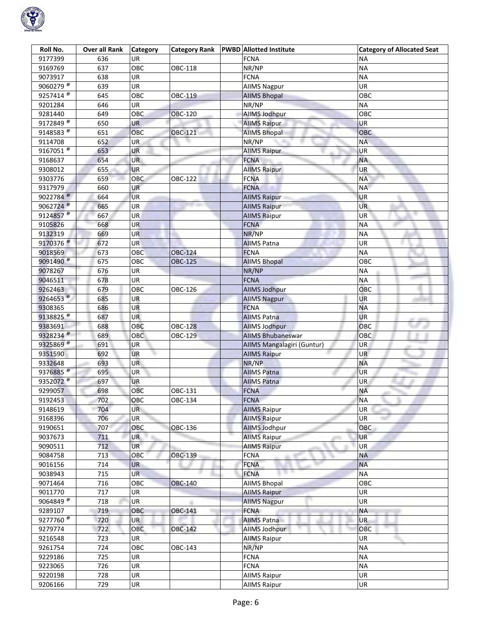

| Roll No.                        | <b>Over all Rank</b> | <b>Category</b> | <b>Category Rank</b> | <b>PWBD</b> Allotted Institute | <b>Category of Allocated Seat</b> |
|---------------------------------|----------------------|-----------------|----------------------|--------------------------------|-----------------------------------|
| 9177399                         | 636                  | <b>UR</b>       |                      | <b>FCNA</b>                    | ΝA                                |
| 9169769                         | 637                  | OBC             | OBC-118              | NR/NP                          | <b>NA</b>                         |
| 9073917                         | 638                  | <b>UR</b>       |                      | <b>FCNA</b>                    | <b>NA</b>                         |
| 9060279                         | 639                  | <b>UR</b>       |                      | <b>AllMS Nagpur</b>            | UR                                |
| 9257414 <sup>®</sup>            | 645                  | OBC             | OBC-119              | <b>AIIMS Bhopal</b>            | OBC                               |
| 9201284                         | 646                  | <b>UR</b>       |                      | NR/NP                          | <b>NA</b>                         |
| 9281440                         | 649                  | <b>OBC</b>      | <b>OBC-120</b>       | <b>AllMS Jodhpur</b>           | OBC                               |
| 9172849 $\frac{1}{6}$           | 650                  | UR              |                      | <b>AIIMS Raipur</b>            | <b>UR</b>                         |
| 9148583 <sup>®</sup>            | 651                  | OBC             | OBC-121              | <b>AIIMS Bhopal</b>            | OBC                               |
| 9114708                         | 652                  | <b>UR</b>       |                      | NR/NP                          | <b>NA</b>                         |
| 9167051 $^{\circ}$              | 653                  | UR              |                      | <b>AllMS Raipur</b>            | UR                                |
| 9168637                         | 654                  | <b>UR</b>       |                      | <b>FCNA</b>                    | <b>NA</b>                         |
| 9308012                         | 655                  | <b>UR</b>       |                      | <b>AIIMS Raipur</b>            | <b>UR</b>                         |
| 9303776                         | 659                  | OBC             | OBC-122              | <b>FCNA</b>                    | <b>NA</b>                         |
| 9317979                         | 660                  | <b>UR</b>       |                      | <b>FCNA</b>                    | <b>NA</b>                         |
| 9022784 $^{\circ}$              | 664                  | <b>UR</b>       |                      | <b>AIIMS Raipur</b>            | <b>UR</b>                         |
| 9062724 <sup>®</sup>            | 665                  | <b>UR</b>       |                      | <b>AllMS Raipur</b>            | <b>UR</b>                         |
| 9124857 <sup>®</sup>            | 667                  | <b>UR</b>       |                      | <b>AllMS Raipur</b>            | <b>UR</b>                         |
| 9105826                         | 668                  | <b>UR</b>       |                      | <b>FCNA</b>                    | <b>NA</b>                         |
| 9132319                         | 669                  | <b>UR</b>       |                      | NR/NP                          | <b>NA</b>                         |
| 9170376 <sup>®</sup>            | 672                  | <b>UR</b>       |                      | <b>AIIMS Patna</b>             | <b>UR</b>                         |
| 9018569                         | 673                  | <b>OBC</b>      | <b>OBC-124</b>       | <b>FCNA</b>                    | <b>NA</b>                         |
| 9091490 <sup>®</sup>            | 675                  | OBC             | OBC-125              | <b>AIIMS Bhopal</b>            | OBC                               |
| 9078267                         | 676                  | UR              |                      | NR/NP                          | <b>NA</b>                         |
| 9046511                         | 678                  | UR              |                      | <b>FCNA</b>                    | <b>NA</b>                         |
| 9262463                         | 679                  | OBC             | OBC-126              | <b>AllMS Jodhpur</b>           | OBC                               |
| 9264653 $^{\circ}$              | 685                  | <b>UR</b>       |                      | <b>AllMS Nagpur</b>            | <b>UR</b>                         |
| 9308365                         | 686                  | <b>UR</b>       |                      | <b>FCNA</b>                    | <b>NA</b>                         |
| 9138825 <sup>®</sup>            | 687                  | <b>UR</b>       |                      | <b>AllMS Patna</b>             | <b>UR</b>                         |
| 9383691                         | 688                  | OBC             | <b>OBC-128</b>       | <b>AllMS Jodhpur</b>           | OBC                               |
| 9328234 <sup>@</sup>            | 689                  | OBC             | OBC-129              | <b>AIIMS Bhubaneswar</b>       | OBC                               |
| 9325869 <sup>®</sup>            | 691                  | <b>UR</b>       |                      | AIIMS Mangalagiri (Guntur)     | <b>UR</b>                         |
| 9351590                         | 692                  | <b>UR</b>       |                      | <b>AIIMS Raipur</b>            | UR                                |
| 9332648                         | 693                  | <b>UR</b>       |                      | NR/NP                          | <b>NA</b>                         |
| 9376885 <sup><sup>@</sup></sup> | 695                  | <b>UR</b>       |                      | <b>AIIMS Patna</b>             | <b>UR</b>                         |
| 9352072 <sup>@</sup>            | 697                  | <b>UR</b>       |                      | <b>AIIMS Patna</b>             | UR                                |
| 9299057                         | 698                  | OBC             | OBC-131              | <b>FCNA</b>                    | <b>NA</b>                         |
| 9192453                         | 702                  | OBC             | OBC-134              | <b>FCNA</b>                    | <b>NA</b>                         |
| 9148619                         | 704                  | <b>UR</b>       |                      | <b>AIIMS Raipur</b>            | UR<br>an,                         |
| 9168396                         | 706                  | <b>UR</b>       |                      | <b>AIIMS Raipur</b>            | <b>UR</b>                         |
| 9190651                         | 707                  | OBC             | OBC-136              | <b>AllMS Jodhpur</b>           | OBC                               |
| 9037673                         | 711                  | <b>UR</b>       |                      | <b>AllMS Raipur</b>            | <b>UR</b>                         |
| 9090511                         | 712                  | <b>UR</b>       |                      | <b>AllMS Raipur</b>            | UR                                |
| 9084758                         | 713                  | OBC             | OBC-139              | <b>FCNA</b>                    | <b>NA</b>                         |
| 9016156                         | 714                  | <b>UR</b>       |                      | <b>FCNA</b>                    | <b>NA</b>                         |
| 9038943                         | 715                  | <b>UR</b>       |                      | <b>FCNA</b>                    | <b>NA</b>                         |
| 9071464                         | 716                  | OBC             | <b>OBC-140</b>       | <b>AIIMS Bhopal</b>            | OBC                               |
| 9011770                         | 717                  | UR              |                      | <b>AllMS Raipur</b>            | UR                                |
| $9064849$ <sup>®</sup>          | 718                  | UR              |                      | <b>AIIMS Nagpur</b>            | <b>UR</b>                         |
| 9289107                         | 719                  | OBC             | OBC-141              | <b>FCNA</b>                    | <b>NA</b>                         |
| 9277760 $^{\circ}$              | 720                  | <b>UR</b>       |                      | <b>AIIMS Patna</b>             | <b>UR</b>                         |
| 9279774                         | 722                  | OBC             | <b>OBC-142</b>       | AllMS Jodhpur                  | OBC                               |
| 9216548                         | 723                  | <b>UR</b>       |                      | <b>AIIMS Raipur</b>            | UR                                |
| 9261754                         | 724                  | OBC             | OBC-143              | NR/NP                          | <b>NA</b>                         |
| 9229186                         | 725                  | UR              |                      | <b>FCNA</b>                    | <b>NA</b>                         |
| 9223065                         | 726                  | UR              |                      | <b>FCNA</b>                    | <b>NA</b>                         |
| 9220198                         | 728                  | <b>UR</b>       |                      | <b>AIIMS Raipur</b>            | <b>UR</b>                         |
| 9206166                         | 729                  | UR              |                      | <b>AIIMS Raipur</b>            | UR                                |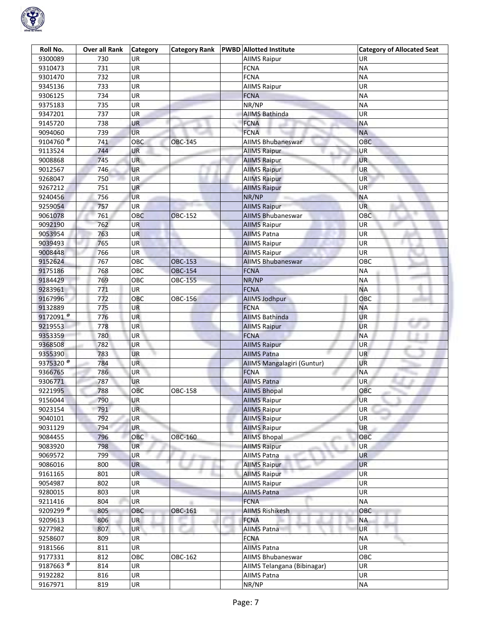

| Roll No.             | <b>Over all Rank</b> | Category   | <b>Category Rank</b> | <b>PWBD</b> Allotted Institute                  | <b>Category of Allocated Seat</b> |
|----------------------|----------------------|------------|----------------------|-------------------------------------------------|-----------------------------------|
| 9300089              | 730                  | UR.        |                      | <b>AllMS Raipur</b>                             | UR                                |
| 9310473              | 731                  | UR         |                      | <b>FCNA</b>                                     | <b>NA</b>                         |
| 9301470              | 732                  | <b>UR</b>  |                      | <b>FCNA</b>                                     | <b>NA</b>                         |
| 9345136              | 733                  | UR         |                      | <b>AllMS Raipur</b>                             | UR                                |
| 9306125              | 734                  | UR         |                      | <b>FCNA</b>                                     | <b>NA</b>                         |
| 9375183              | 735                  | UR         |                      | NR/NP                                           | <b>NA</b>                         |
| 9347201              | 737                  | UR         |                      | <b>AIIMS Bathinda</b>                           | UR                                |
| 9145720              | 738                  | UR         |                      | <b>FCNA</b>                                     | <b>NA</b>                         |
| 9094060              | 739                  | <b>UR</b>  |                      | <b>FCNA</b>                                     | <b>NA</b>                         |
| 9104760 <sup>®</sup> | 741                  | OBC        | <b>OBC-145</b>       | <b>AIIMS Bhubaneswar</b>                        | <b>OBC</b>                        |
| 9113524              | 744                  | UR         |                      | <b>AllMS Raipur</b>                             | UR                                |
| 9008868              | 745                  | <b>UR</b>  |                      | <b>AllMS Raipur</b>                             | UR                                |
| 9012567              | 746                  | <b>UR</b>  |                      | <b>AIIMS Raipur</b>                             | <b>UR</b>                         |
| 9268047              | 750                  | <b>UR</b>  |                      | <b>AllMS Raipur</b>                             | UR                                |
| 9267212              | 751                  | <b>UR</b>  |                      | <b>AIIMS Raipur</b>                             | <b>UR</b>                         |
| 9240456              | 756                  | <b>UR</b>  |                      | NR/NP                                           | <b>NA</b>                         |
| 9259054              | 757                  | UR         |                      | <b>AllMS Raipur</b>                             | UR.                               |
| 9061078              | 761                  | <b>OBC</b> | <b>OBC-152</b>       | <b>AIIMS Bhubaneswar</b>                        | OBC                               |
| 9092190              | 762                  | <b>UR</b>  |                      | <b>AIIMS Raipur</b>                             | <b>UR</b>                         |
| 9053954              | 763                  | <b>UR</b>  |                      | <b>AIIMS Patna</b>                              | UR                                |
| 9039493              | 765                  | UR         |                      | <b>AIIMS Raipur</b>                             | UR                                |
| 9008448              | 766                  | <b>UR</b>  |                      |                                                 | UR                                |
| 9152624              | 767                  | OBC        | <b>OBC-153</b>       | <b>AIIMS Raipur</b><br><b>AIIMS Bhubaneswar</b> | овс                               |
|                      |                      | OBC        | <b>OBC-154</b>       |                                                 | <b>NA</b>                         |
| 9175186              | 768<br>769           | OBC        |                      | <b>FCNA</b><br>NR/NP                            | <b>NA</b>                         |
| 9184429              |                      |            | OBC-155              |                                                 |                                   |
| 9283961              | 771                  | <b>UR</b>  |                      | <b>FCNA</b>                                     | <b>NA</b>                         |
| 9167996              | 772                  | OBC        | OBC-156              | <b>AllMS Jodhpur</b>                            | OBC                               |
| 9132889              | 775                  | <b>UR</b>  |                      | <b>FCNA</b>                                     | <b>NA</b>                         |
| 9172091 <sup>®</sup> | 776                  | <b>UR</b>  |                      | <b>AIIMS Bathinda</b>                           | UR                                |
| 9219553              | 778                  | UR         |                      | <b>AIIMS Raipur</b>                             | <b>UR</b>                         |
| 9353359              | 780                  | UR         |                      | <b>FCNA</b>                                     | <b>NA</b>                         |
| 9368508              | 782                  | <b>UR</b>  |                      | <b>AllMS Raipur</b>                             | UR                                |
| 9355390              | 783                  | <b>UR</b>  |                      | <b>AIIMS Patna</b>                              | UR.                               |
| 9375320 <sup>®</sup> | 784                  | <b>UR</b>  |                      | AIIMS Mangalagiri (Guntur)                      | UR                                |
| 9366765              | 786                  | UR         |                      | <b>FCNA</b>                                     | <b>NA</b>                         |
| 9306771              | 787                  | UR         |                      | <b>AIIMS Patna</b>                              | UR                                |
| 9221995              | 788                  | OBC        | OBC-158              | <b>AIIMS Bhopal</b>                             | OBC                               |
| 9156044              | 790                  | <b>UR</b>  |                      | <b>AllMS Raipur</b>                             | <b>UR</b>                         |
| 9023154              | 791                  | <b>UR</b>  |                      | <b>AIIMS Raipur</b>                             | UR<br><b>John</b>                 |
| 9040101              | 792                  | UR         |                      | <b>AllMS Raipur</b>                             | UR                                |
| 9031129              | 794                  | <b>UR</b>  |                      | <b>AIIMS Raipur</b>                             | <b>UR</b>                         |
| 9084455              | 796                  | OBC        | OBC-160              | <b>AIIMS Bhopal</b>                             | OBC                               |
| 9083920              | 798                  | <b>UR</b>  |                      | <b>AllMS Raipur</b>                             | UR                                |
| 9069572              | 799                  | <b>UR</b>  | g.                   | <b>AIIMS Patna</b>                              | <b>UR</b>                         |
| 9086016              | 800                  | <b>UR</b>  |                      | <b>AIIMS Raipur</b>                             | <b>UR</b>                         |
| 9161165              | 801                  | <b>UR</b>  |                      | <b>AllMS Raipur</b>                             | UR                                |
| 9054987              | 802                  | UR         |                      | <b>AIIMS Raipur</b>                             | UR                                |
| 9280015              | 803                  | UR         |                      | <b>AIIMS Patna</b>                              | UR                                |
| 9211416              | 804                  | UR         |                      | <b>FCNA</b>                                     | <b>NA</b>                         |
| 9209299 <sup>®</sup> | 805                  | OBC        | OBC-161              | <b>AIIMS Rishikesh</b>                          | OBC                               |
| 9209613              | 806                  | <b>UR</b>  |                      | <b>FCNA</b>                                     | <b>NA</b>                         |
| 9277982              | 807                  | UR         |                      | <b>AIIMS Patna</b>                              | UR                                |
| 9258607              | 809                  | <b>UR</b>  |                      | <b>FCNA</b>                                     | <b>NA</b>                         |
| 9181566              | 811                  | UR         |                      | <b>AIIMS Patna</b>                              | <b>UR</b>                         |
| 9177331              | 812                  | OBC        | OBC-162              | AIIMS Bhubaneswar                               | OBC                               |
| 9187663 <sup>®</sup> | 814                  | UR         |                      | AIIMS Telangana (Bibinagar)                     | UR                                |
| 9192282              | 816                  | UR         |                      | <b>AIIMS Patna</b>                              | UR                                |
|                      |                      |            |                      |                                                 |                                   |
| 9167971              | 819                  | UR         |                      | NR/NP                                           | NA                                |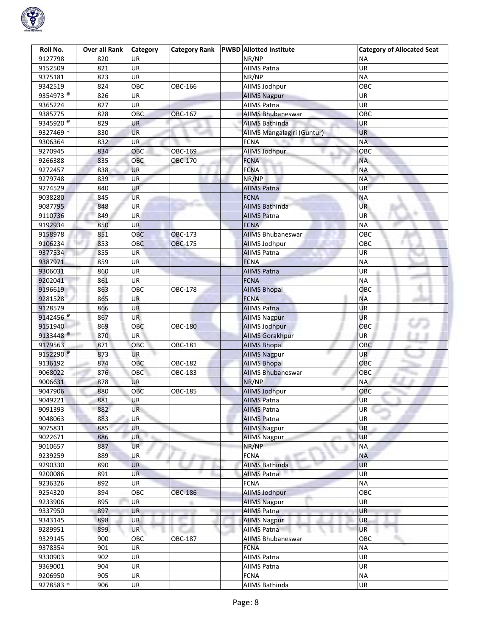

| Roll No.                        | <b>Over all Rank</b> | <b>Category</b> | <b>Category Rank</b> | <b>PWBD</b> Allotted Institute | <b>Category of Allocated Seat</b> |
|---------------------------------|----------------------|-----------------|----------------------|--------------------------------|-----------------------------------|
| 9127798                         | 820                  | UR              |                      | NR/NP                          | ΝA                                |
| 9152509                         | 821                  | UR              |                      | <b>AIIMS Patna</b>             | UR                                |
| 9375181                         | 823                  | UR              |                      | NR/NP                          | <b>NA</b>                         |
| 9342519                         | 824                  | OBC             | OBC-166              | AllMS Jodhpur                  | OBC                               |
| 9354973 <sup><sup>®</sup></sup> | 826                  | UR              |                      | <b>AIIMS Nagpur</b>            | UR                                |
| 9365224                         | 827                  | UR              |                      | <b>AIIMS Patna</b>             | UR                                |
| 9385775                         | 828                  | OBC             | <b>OBC-167</b>       | <b>AIIMS Bhubaneswar</b>       | OBC                               |
| 9345920 <sup>®</sup>            | 829                  | UR              |                      | <b>AIIMS Bathinda</b>          | UR                                |
| 9327469 *                       | 830                  | <b>UR</b>       |                      | AIIMS Mangalagiri (Guntur)     | <b>UR</b>                         |
| 9306364                         | 832                  | <b>UR</b>       |                      | <b>FCNA</b>                    | <b>NA</b>                         |
| 9270945                         | 834                  | OBC             | OBC-169              | AllMS Jodhpur                  | ОВС                               |
| 9266388                         | 835                  | OBC             | OBC-170              | <b>FCNA</b>                    | NA                                |
| 9272457                         | 838                  | <b>UR</b>       |                      | <b>FCNA</b>                    | ΝA                                |
| 9279748                         | 839                  | <b>UR</b>       |                      | NR/NP                          | <b>NA</b>                         |
| 9274529                         | 840                  | <b>UR</b>       |                      | <b>AIIMS Patna</b>             | UR.                               |
| 9038280                         | 845                  | <b>UR</b>       |                      | <b>FCNA</b>                    | <b>NA</b>                         |
| 9087795                         | 848                  | UR              |                      | <b>AIIMS Bathinda</b>          | UR.                               |
| 9110736                         | 849                  | <b>UR</b>       |                      | <b>AIIMS Patna</b>             | UR <sup>1</sup>                   |
| 9192934                         | 850                  | <b>UR</b>       |                      | <b>FCNA</b>                    | <b>NA</b>                         |
| 9158978                         | 851                  | <b>OBC</b>      | <b>OBC-173</b>       | <b>AIIMS Bhubaneswar</b>       | OBC                               |
| 9106234                         | 853                  | OBC             | OBC-175              | <b>AllMS Jodhpur</b>           | OBC                               |
| 9377534                         | 855                  | <b>UR</b>       |                      | <b>AIIMS Patna</b>             | UR                                |
| 9387971                         | 859                  | <b>UR</b>       |                      | <b>FCNA</b>                    | ΝA                                |
| 9306031                         | 860                  | UR              |                      | <b>AIIMS Patna</b>             | UR                                |
| 9202041                         | 861                  | UR              |                      | <b>FCNA</b>                    | <b>NA</b>                         |
| 9196619                         | 863                  | OBC             | OBC-178              | <b>AIIMS Bhopal</b>            | OBC                               |
| 9281528                         | 865                  | UR              |                      | <b>FCNA</b>                    | <b>NA</b>                         |
| 9128579                         | 866                  | <b>UR</b>       |                      | <b>AIIMS Patna</b>             | UR                                |
| 9142456 $^{\circ}$              | 867                  | <b>UR</b>       |                      | <b>AllMS Nagpur</b>            | <b>UR</b>                         |
| 9151940                         | 869                  | OBC             | <b>OBC-180</b>       | <b>AllMS Jodhpur</b>           | OBC                               |
| 9133448 <sup>@</sup>            | 870                  | UR <sup>1</sup> |                      | <b>AllMS Gorakhpur</b>         | <b>UR</b>                         |
| 9179563                         | 871                  | <b>OBC</b>      | OBC-181              | <b>AIIMS Bhopal</b>            | OBC                               |
| 9152290 <sup>®</sup>            | 873                  | <b>UR</b>       |                      | <b>AIIMS Nagpur</b>            | UR                                |
| 9136192                         | 874                  | OBC             | OBC-182              | <b>AIIMS Bhopal</b>            | ОВС                               |
| 9068022                         | 876                  | OBC             | OBC-183              | <b>AIIMS Bhubaneswar</b>       | OBC                               |
| 9006631                         | 878                  | UR              |                      | NR/NP                          | ΝA                                |
| 9047906                         | 880                  | OBC             | OBC-185              | <b>AllMS Jodhpur</b>           | OBC                               |
| 9049221                         | 881                  | UR              |                      | <b>AIIMS Patna</b>             | <b>UR</b>                         |
| 9091393                         | 882                  | UR              |                      | <b>AIIMS Patna</b>             | UR                                |
| 9048063                         | 883                  | UR              |                      | <b>AIIMS Patna</b>             | UR                                |
| 9075831                         | 885                  | <b>UR</b>       |                      | <b>AIIMS Nagpur</b>            | <b>UR</b>                         |
| 9022671                         | 886                  | <b>UR</b>       |                      | <b>AllMS Nagpur</b>            | UR                                |
| 9010657                         | 887                  | <b>UR</b>       |                      | NR/NP                          | <b>NA</b>                         |
| 9239259                         | 889                  | UR              |                      | <b>FCNA</b>                    | <b>NA</b>                         |
| 9290330                         | 890                  | <b>UR</b>       |                      | <b>AIIMS Bathinda</b>          | <b>UR</b>                         |
| 9200086                         | 891                  | <b>UR</b>       |                      | <b>AIIMS Patna</b>             | UR                                |
| 9236326                         | 892                  | UR              |                      | <b>FCNA</b>                    | <b>NA</b>                         |
| 9254320                         | 894                  | OBC             | OBC-186              | <b>AIIMS Jodhpur</b>           | OBC                               |
| 9233906                         | 895                  | UR              | m                    | <b>AllMS Nagpur</b>            | UR                                |
| 9337950                         | 897                  | UR              |                      | <b>AIIMS Patna</b>             | UR                                |
| 9343145                         | 898                  | UR              |                      | <b>AIIMS Nagpur</b>            | <b>UR</b>                         |
| 9289951                         | 899                  | <b>UR</b>       |                      | <b>AIIMS Patna</b>             | <b>UR</b>                         |
| 9329145                         | 900                  | OBC             | OBC-187              | <b>AIIMS Bhubaneswar</b>       | OBC                               |
| 9378354                         | 901                  | UR              |                      | <b>FCNA</b>                    | <b>NA</b>                         |
| 9330903                         | 902                  | UR              |                      | <b>AIIMS Patna</b>             | UR                                |
| 9369001                         | 904                  | UR              |                      | <b>AIIMS Patna</b>             | UR                                |
| 9206950                         | 905                  | UR              |                      | <b>FCNA</b>                    | <b>NA</b>                         |
| 9278583 *                       | 906                  | UR              |                      | <b>AIIMS Bathinda</b>          | UR                                |
|                                 |                      |                 |                      |                                |                                   |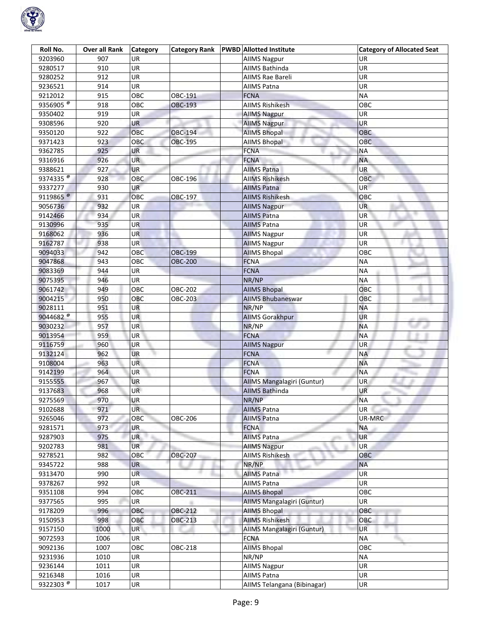

| Roll No.                        | <b>Over all Rank</b> | Category   | <b>Category Rank</b> | <b>PWBD</b> Allotted Institute | <b>Category of Allocated Seat</b> |
|---------------------------------|----------------------|------------|----------------------|--------------------------------|-----------------------------------|
| 9203960                         | 907                  | UR.        |                      | <b>AIIMS Nagpur</b>            | UR                                |
| 9280517                         | 910                  | UR         |                      | AIIMS Bathinda                 | UR                                |
| 9280252                         | 912                  | <b>UR</b>  |                      | <b>AIIMS Rae Bareli</b>        | UR                                |
| 9236521                         | 914                  | UR         |                      | <b>AIIMS Patna</b>             | UR                                |
| 9212012                         | 915                  | OBC        | OBC-191              | <b>FCNA</b>                    | <b>NA</b>                         |
| 9356905 <sup><sup>®</sup></sup> | 918                  | OBC        | <b>OBC-193</b>       | <b>AIIMS Rishikesh</b>         | OBC                               |
| 9350402                         | 919                  | UR         |                      | <b>AllMS Nagpur</b>            | UR                                |
| 9308596                         | 920                  | UR         |                      | <b>AIIMS Nagpur</b>            | <b>UR</b>                         |
| 9350120                         | 922                  | OBC        | <b>OBC-194</b>       | <b>AIIMS Bhopal</b>            | OBC                               |
| 9371423                         | 923                  | OBC        | OBC-195              | <b>AIIMS Bhopal</b>            | OBC                               |
| 9362785                         | 925                  | UR         |                      | <b>FCNA</b>                    | ΝA                                |
| 9316916                         | 926                  | <b>UR</b>  |                      | <b>FCNA</b>                    | <b>NA</b>                         |
| 9388621                         | 927                  | <b>UR</b>  |                      | <b>AIIMS Patna</b>             | <b>UR</b>                         |
| 9374335 <sup><sup>®</sup></sup> | 928                  | <b>OBC</b> | OBC-196              | <b>AIIMS Rishikesh</b>         | <b>OBC</b>                        |
| 9337277                         | 930                  | <b>UR</b>  |                      | <b>AIIMS Patna</b>             | <b>UR</b>                         |
| 9119865 <sup>@</sup>            | 931                  | OBC        | OBC-197              | <b>AIIMS Rishikesh</b>         | OBC                               |
| 9056736                         | 932                  | UR         |                      | <b>AIIMS Nagpur</b>            | UR                                |
| 9142466                         | 934                  | <b>UR</b>  |                      | <b>AIIMS Patna</b>             | UR <sup>1</sup>                   |
| 9130996                         | 935                  | <b>UR</b>  |                      | <b>AIIMS Patna</b>             | <b>UR</b>                         |
| 9168062                         | 936                  | <b>UR</b>  |                      | <b>AIIMS Nagpur</b>            | UR                                |
| 9162787                         | 938                  | <b>UR</b>  |                      | <b>AIIMS Nagpur</b>            | UR                                |
| 9094033                         | 942                  | OBC        | <b>OBC-199</b>       | <b>AIIMS Bhopal</b>            | OBC                               |
| 9047868                         | 943                  | OBC        | <b>OBC-200</b>       | <b>FCNA</b>                    | ΝA                                |
| 9083369                         | 944                  | UR         |                      | <b>FCNA</b>                    | <b>NA</b>                         |
| 9075395                         | 946                  | UR         |                      | NR/NP                          | <b>NA</b>                         |
| 9061742                         | 949                  | OBC        | OBC-202              | <b>AIIMS Bhopal</b>            | OBC                               |
| 9004215                         | 950                  | OBC        | OBC-203              | <b>AIIMS Bhubaneswar</b>       | OBC                               |
| 9028111                         | 951                  | <b>UR</b>  |                      | NR/NP                          | <b>NA</b>                         |
| 9044682 <sup>®</sup>            | 955                  | <b>UR</b>  |                      | <b>AllMS Gorakhpur</b>         | UR                                |
| 9030232                         | 957                  | UR         |                      | NR/NP                          | <b>NA</b>                         |
| 9013954                         | 959                  | UR         |                      | <b>FCNA</b>                    | <b>NA</b>                         |
| 9116759                         | 960                  | UR         |                      | <b>AIIMS Nagpur</b>            | UR                                |
| 9132124                         | 962                  | <b>UR</b>  |                      | <b>FCNA</b>                    | NA                                |
| 9108004                         | 963                  | <b>UR</b>  |                      | <b>FCNA</b>                    | <b>NA</b>                         |
| 9142199                         | 964                  | UR         |                      | <b>FCNA</b>                    | <b>NA</b>                         |
| 9155555                         | 967                  | <b>UR</b>  |                      | AIIMS Mangalagiri (Guntur)     | UR                                |
| 9137683                         | 968                  | <b>UR</b>  |                      | <b>AIIMS Bathinda</b>          | UR                                |
| 9275569                         | 970                  | UR         |                      | NR/NP                          | <b>NA</b>                         |
| 9102688                         | 971                  | <b>UR</b>  |                      | <b>AIIMS Patna</b>             | UR<br><b>John</b>                 |
| 9265046                         | 972                  | OBC        | OBC-206              | <b>AIIMS Patna</b>             | UR-MRC                            |
| 9281571                         | 973                  | UR.        |                      | <b>FCNA</b>                    | <b>NA</b>                         |
| 9287903                         | 975                  | UR         |                      | <b>AIIMS Patna</b>             | <b>UR</b>                         |
| 9202783                         | 981                  | <b>UR</b>  |                      | <b>AllMS Nagpur</b>            | UR                                |
| 9278521                         | 982                  | OBC        | <b>OBC-207</b>       | <b>AIIMS Rishikesh</b>         | OBC                               |
| 9345722                         | 988                  | <b>UR</b>  |                      | NR/NP                          | <b>NA</b>                         |
| 9313470                         | 990                  | <b>UR</b>  |                      | <b>AIIMS Patna</b>             | <b>UR</b>                         |
| 9378267                         | 992                  | UR         |                      | <b>AIIMS Patna</b>             | UR                                |
| 9351108                         | 994                  | OBC        | OBC-211              | <b>AIIMS Bhopal</b>            | OBC                               |
| 9377565                         | 995                  | UR         |                      | AIIMS Mangalagiri (Guntur)     | UR                                |
| 9178209                         | 996                  | OBC        | OBC-212              | <b>AIIMS Bhopal</b>            | OBC                               |
| 9150953                         | 998                  | OBC        | <b>OBC-213</b>       | <b>AIIMS Rishikesh</b>         | OBC                               |
| 9157150                         | 1000                 | UR         |                      | AIIMS Mangalagiri (Guntur)     | UR                                |
| 9072593                         | 1006                 | <b>UR</b>  |                      | <b>FCNA</b>                    | <b>NA</b>                         |
| 9092136                         | 1007                 | OBC        | OBC-218              | <b>AIIMS Bhopal</b>            | OBC                               |
| 9231936                         | 1010                 | UR         |                      | NR/NP                          | <b>NA</b>                         |
| 9236144                         | 1011                 | UR         |                      | <b>AllMS Nagpur</b>            | UR                                |
| 9216348                         | 1016                 | UR         |                      | AIIMS Patna                    | <b>UR</b>                         |
| 9322303 <sup>®</sup>            | 1017                 | UR         |                      | AIIMS Telangana (Bibinagar)    | UR                                |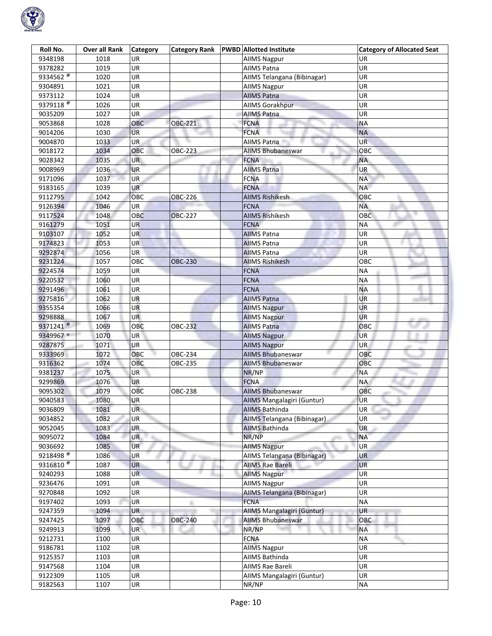

| Roll No.                        | <b>Over all Rank</b> | Category   | <b>Category Rank</b> | <b>PWBD</b> Allotted Institute | <b>Category of Allocated Seat</b> |
|---------------------------------|----------------------|------------|----------------------|--------------------------------|-----------------------------------|
| 9348198                         | 1018                 | UR.        |                      | <b>AIIMS Nagpur</b>            | UR                                |
| 9378282                         | 1019                 | UR         |                      | <b>AIIMS Patna</b>             | UR                                |
| 9334562 <sup><sup>®</sup></sup> | 1020                 | <b>UR</b>  |                      | AIIMS Telangana (Bibinagar)    | UR.                               |
| 9304891                         | 1021                 | UR         |                      | <b>AIIMS Nagpur</b>            | UR                                |
| 9373112                         | 1024                 | UR         |                      | <b>AIIMS Patna</b>             | UR                                |
| 9379118 <sup><sup>®</sup></sup> | 1026                 | UR         |                      | <b>AIIMS Gorakhpur</b>         | UR                                |
| 9035209                         | 1027                 | UR         |                      | <b>AIIMS Patna</b>             | UR                                |
| 9053868                         | 1028                 | <b>OBC</b> | <b>OBC-221</b>       | <b>FCNA</b>                    | <b>NA</b>                         |
| 9014206                         | 1030                 | <b>UR</b>  |                      | <b>FCNA</b>                    | <b>NA</b>                         |
| 9004870                         | 1033                 | UR.        |                      | AIIMS Patna                    | <b>UR</b>                         |
| 9018172                         | 1034                 | <b>OBC</b> | OBC-223              | AIIMS Bhubaneswar              | ОВС                               |
| 9028342                         | 1035                 | <b>UR</b>  |                      | <b>FCNA</b>                    | <b>NA</b>                         |
| 9008969                         | 1036                 | <b>UR</b>  |                      | <b>AIIMS Patna</b>             | <b>UR</b>                         |
| 9171096                         | 1037                 | UR         |                      | <b>FCNA</b>                    | <b>NA</b>                         |
| 9183165                         | 1039                 | <b>UR</b>  |                      | <b>FCNA</b>                    | <b>NA</b>                         |
| 9112795                         | 1042                 | OBC        | OBC-226              | <b>AIIMS Rishikesh</b>         | OBC                               |
| 9126394                         | 1046                 | <b>UR</b>  |                      | <b>FCNA</b>                    | <b>NA</b>                         |
| 9117524                         | 1048                 | OBC        | <b>OBC-227</b>       | <b>AIIMS Rishikesh</b>         | OBC                               |
| 9161279                         | 1051                 | <b>UR</b>  |                      | <b>FCNA</b>                    | <b>NA</b>                         |
| 9103107                         | 1052                 | <b>UR</b>  |                      | <b>AIIMS Patna</b>             | UR                                |
| 9174823                         | 1053                 | <b>UR</b>  |                      | <b>AIIMS Patna</b>             | UR                                |
| 9292874                         | 1056                 | <b>UR</b>  |                      | <b>AIIMS Patna</b>             | UR                                |
| 9231224                         | 1057                 | OBC        | <b>OBC-230</b>       | <b>AIIMS Rishikesh</b>         | овс                               |
| 9224574                         | 1059                 | UR         |                      | <b>FCNA</b>                    | <b>NA</b>                         |
| 9220532                         | 1060                 | UR         |                      | <b>FCNA</b>                    | <b>NA</b>                         |
| 9291496                         | 1061                 | <b>UR</b>  |                      | <b>FCNA</b>                    | <b>NA</b>                         |
| 9275816                         | 1062                 | UR         |                      | <b>AIIMS Patna</b>             | UR                                |
| 9355354                         | 1066                 | <b>UR</b>  |                      | <b>AllMS Nagpur</b>            | UR                                |
| 9298888                         | 1067                 | <b>UR</b>  |                      | <b>AllMS Nagpur</b>            | <b>UR</b>                         |
| 9371241 <sup>@</sup>            | 1069                 | OBC        | <b>OBC-232</b>       | <b>AIIMS Patna</b>             | OBC                               |
| 9349967 *                       | 1070                 | <b>UR</b>  |                      | <b>AIIMS Nagpur</b>            | <b>UR</b>                         |
| 9287875                         | 1071                 | UR         |                      | <b>AIIMS Nagpur</b>            | UR.                               |
| 9333969                         | 1072                 | OBC        | OBC-234              | <b>AIIMS Bhubaneswar</b>       | OBC                               |
| 9316362                         | 1074                 | OBC        | OBC-235              | <b>AIIMS Bhubaneswar</b>       | OBC                               |
| 9381237                         | 1075                 | UR         |                      | NR/NP                          | ΝA                                |
| 9299869                         | 1076                 | <b>UR</b>  |                      | <b>FCNA</b>                    | <b>NA</b>                         |
| 9095302                         | 1079                 | OBC        | <b>OBC-238</b>       | <b>AIIMS Bhubaneswar</b>       | OBC                               |
| 9040583                         | 1080                 | <b>UR</b>  |                      | AIIMS Mangalagiri (Guntur)     | <b>UR</b>                         |
| 9036809                         | 1081                 | UR         |                      | <b>AIIMS Bathinda</b>          | <b>UR</b>                         |
| 9034852                         | 1082                 | UR         |                      | AIIMS Telangana (Bibinagar)    | UR                                |
| 9052045                         | 1083                 | <b>UR</b>  |                      | <b>AIIMS Bathinda</b>          | <b>UR</b>                         |
| 9095072                         | 1084                 | <b>UR</b>  |                      | NR/NP                          | <b>NA</b>                         |
| 9036692                         | 1085                 | <b>UR</b>  |                      | <b>AllMS Nagpur</b>            | <b>UR</b>                         |
| $92\overline{18498^{\circ}}$    | 1086                 | UR         |                      | AIIMS Telangana (Bibinagar)    | UR                                |
| 9316810 <sup>®</sup>            | 1087                 | <b>UR</b>  |                      | <b>AIIMS Rae Bareli</b>        | <b>UR</b>                         |
| 9240293                         | 1088                 | <b>UR</b>  |                      | <b>AIIMS Nagpur</b>            | <b>UR</b>                         |
| 9236476                         | 1091                 | UR         |                      | <b>AllMS Nagpur</b>            | UR                                |
| 9270848                         | 1092                 | UR         |                      | AIIMS Telangana (Bibinagar)    | UR                                |
| 9197402                         | 1093                 | UR         | m                    | <b>FCNA</b>                    | <b>NA</b>                         |
| 9247359                         | 1094                 | <b>UR</b>  |                      | AIIMS Mangalagiri (Guntur)     | UR                                |
| 9247425                         | 1097                 | OBC        | <b>OBC-240</b>       | <b>AIIMS Bhubaneswar</b>       | OBC                               |
| 9249913                         | 1099                 | <b>UR</b>  |                      | NR/NP                          | <b>NA</b>                         |
| 9212731                         | 1100                 | <b>UR</b>  |                      | <b>FCNA</b>                    | <b>NA</b>                         |
| 9186781                         | 1102                 | UR         |                      | <b>AllMS Nagpur</b>            | UR                                |
| 9125357                         | 1103                 | UR         |                      | AIIMS Bathinda                 | <b>UR</b>                         |
| 9147568                         | 1104                 | UR         |                      | AIIMS Rae Bareli               | UR                                |
| 9122309                         | 1105                 | UR         |                      | AIIMS Mangalagiri (Guntur)     | UR                                |
| 9182563                         | 1107                 | UR         |                      | NR/NP                          | <b>NA</b>                         |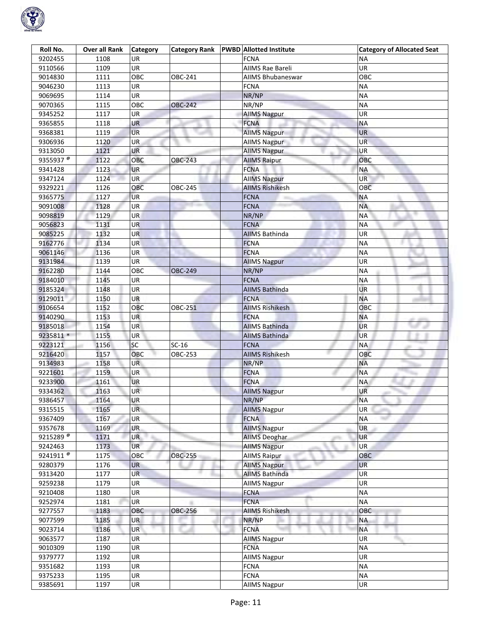

| Roll No.              | <b>Over all Rank</b> | Category  | <b>Category Rank</b> | <b>PWBD</b> Allotted Institute | <b>Category of Allocated Seat</b> |
|-----------------------|----------------------|-----------|----------------------|--------------------------------|-----------------------------------|
| 9202455               | 1108                 | UR        |                      | <b>FCNA</b>                    | ΝA                                |
| 9110566               | 1109                 | UR        |                      | AIIMS Rae Bareli               | UR                                |
| 9014830               | 1111                 | OBC       | OBC-241              | AIIMS Bhubaneswar              | OBC                               |
| 9046230               | 1113                 | <b>UR</b> |                      | <b>FCNA</b>                    | <b>NA</b>                         |
| 9069695               | 1114                 | UR        |                      | NR/NP                          | <b>NA</b>                         |
| 9070365               | 1115                 | OBC       | <b>OBC-242</b>       | NR/NP                          | <b>NA</b>                         |
| 9345252               | 1117                 | UR        |                      | <b>AIIMS Nagpur</b>            | <b>UR</b>                         |
| 9365855               | 1118                 | UR        |                      | <b>FCNA</b>                    | <b>NA</b>                         |
| 9368381               | 1119                 | <b>UR</b> |                      | <b>AllMS Nagpur</b>            | <b>UR</b>                         |
| 9306936               | 1120                 | <b>UR</b> |                      | <b>AllMS Nagpur</b>            | UR                                |
| 9313050               | 1121                 | UR        |                      | <b>AIIMS Nagpur</b>            | UR                                |
| 9355937 <sup>@</sup>  | 1122                 | OBC       | OBC-243              | <b>AIIMS Raipur</b>            | OBC                               |
| 9341428               | 1123                 | <b>UR</b> |                      | <b>FCNA</b>                    | <b>NA</b>                         |
| 9347124               | 1124                 | <b>UR</b> |                      | <b>AllMS Nagpur</b>            | UR                                |
|                       | 1126                 | OBC       | <b>OBC-245</b>       | <b>AIIMS Rishikesh</b>         | OBC                               |
| 9329221               |                      |           |                      |                                |                                   |
| 9365775               | 1127                 | <b>UR</b> |                      | <b>FCNA</b>                    | <b>NA</b><br><b>NA</b>            |
| 9091008               | 1128                 | UR        |                      | <b>FCNA</b>                    |                                   |
| 9098819               | 1129                 | <b>UR</b> |                      | NR/NP                          | <b>NA</b>                         |
| 9056823               | 1131                 | <b>UR</b> |                      | <b>FCNA</b>                    | <b>NA</b>                         |
| 9085225               | 1132                 | UR        |                      | <b>AIIMS Bathinda</b>          | UR                                |
| 9162776               | 1134                 | <b>UR</b> |                      | <b>FCNA</b>                    | <b>NA</b>                         |
| 9061146               | 1136                 | UR        |                      | <b>FCNA</b>                    | <b>NA</b>                         |
| 9131984               | 1139                 | UR        |                      | <b>AllMS Nagpur</b>            | UR                                |
| 9162280               | 1144                 | OBC       | <b>OBC-249</b>       | NR/NP                          | <b>NA</b>                         |
| 9184010               | 1145                 | UR        |                      | <b>FCNA</b>                    | NА                                |
| 9185324               | 1148                 | <b>UR</b> |                      | <b>AIIMS Bathinda</b>          | UR                                |
| 9129011               | 1150                 | <b>UR</b> |                      | <b>FCNA</b>                    | <b>NA</b>                         |
| 9106654               | 1152                 | OBC       | OBC-251              | <b>AIIMS Rishikesh</b>         | OBC                               |
| 9140290               | 1153                 | UR        |                      | <b>FCNA</b>                    | <b>NA</b>                         |
| 9185018               | 1154                 | UR        |                      | <b>AIIMS Bathinda</b>          | <b>UR</b>                         |
| 9235811 *             | 1155                 | UR        |                      | <b>AIIMS Bathinda</b>          | <b>UR</b>                         |
| 9223121               | 1156                 | SC        | $SC-16$              | <b>FCNA</b>                    | <b>NA</b>                         |
| 9216420               | 1157                 | OBC       | OBC-253              | <b>AIIMS Rishikesh</b>         | OBC                               |
| 9134983               | 1158                 | <b>UR</b> |                      | NR/NP                          | <b>NA</b>                         |
| 9221601               | 1159                 | UR        |                      | <b>FCNA</b>                    | <b>NA</b>                         |
| 9233900               | 1161                 | <b>UR</b> |                      | <b>FCNA</b>                    | <b>NA</b>                         |
| 9334362               | 1163                 | <b>UR</b> |                      | <b>AllMS Nagpur</b>            | UR                                |
| 9386457               | 1164                 | UR        |                      | NR/NP                          | <b>NA</b>                         |
| 9315515               | 1165                 | <b>UR</b> |                      | <b>AIIMS Nagpur</b>            | <b>UR</b>                         |
| 9367409               | 1167                 | UR        |                      | <b>FCNA</b>                    | <b>NA</b>                         |
| 9357678               | 1169                 | <b>UR</b> |                      | <b>AIIMS Nagpur</b>            | <b>UR</b>                         |
| 9215289 $\frac{1}{6}$ | 1171                 | <b>UR</b> |                      | <b>AIIMS Deoghar</b>           | <b>UR</b>                         |
| 9242463               | 1173                 | <b>UR</b> |                      | <b>AllMS Nagpur</b>            | UR.                               |
| 9241911 <sup>®</sup>  | 1175                 | OBC       | <b>OBC-255</b>       | <b>AIIMS Raipur</b>            | ОВС                               |
| 9280379               | 1176                 | <b>UR</b> |                      | <b>AIIMS Nagpur</b>            | <b>UR</b>                         |
| 9313420               | 1177                 | <b>UR</b> |                      | <b>AIIMS Bathinda</b>          | UR                                |
| 9259238               | 1179                 | UR        |                      | <b>AllMS Nagpur</b>            | UR                                |
| 9210408               | 1180                 | UR        |                      | <b>FCNA</b>                    | <b>NA</b>                         |
| 9252974               | 1181                 | UR        |                      | <b>FCNA</b>                    | <b>NA</b>                         |
| 9277557               | 1183                 | OBC       | OBC-256              | <b>AIIMS Rishikesh</b>         | OBC                               |
| 9077599               | 1185                 | UR        |                      | NR/NP                          | <b>NA</b>                         |
| 9023714               | 1186                 | UR        |                      | <b>FCNA</b>                    | <b>NA</b>                         |
| 9063577               | 1187                 | <b>UR</b> |                      | <b>AIIMS Nagpur</b>            | UR                                |
|                       |                      | UR        |                      | <b>FCNA</b>                    | <b>NA</b>                         |
| 9010309<br>9379777    | 1190                 | UR        |                      |                                | UR                                |
|                       | 1192                 |           |                      | <b>AIIMS Nagpur</b>            |                                   |
| 9351682               | 1193                 | UR        |                      | <b>FCNA</b>                    | <b>NA</b>                         |
| 9375233               | 1195                 | UR        |                      | <b>FCNA</b>                    | <b>NA</b>                         |
| 9385691               | 1197                 | UR        |                      | <b>AIIMS Nagpur</b>            | UR                                |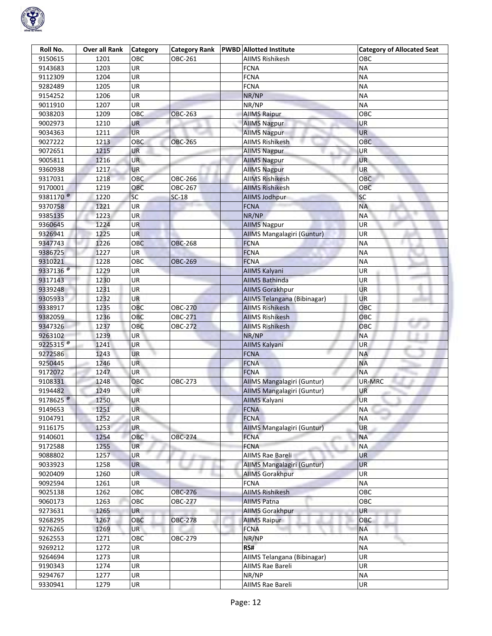

| Roll No.             | <b>Over all Rank</b> | Category                 | <b>Category Rank</b> | <b>PWBD</b> Allotted Institute | <b>Category of Allocated Seat</b> |
|----------------------|----------------------|--------------------------|----------------------|--------------------------------|-----------------------------------|
| 9150615              | 1201                 | OBC                      | OBC-261              | AIIMS Rishikesh                | ОВС                               |
| 9143683              | 1203                 | <b>UR</b>                |                      | <b>FCNA</b>                    | <b>NA</b>                         |
| 9112309              | 1204                 | $\overline{\mathsf{UR}}$ |                      | <b>FCNA</b>                    | <b>NA</b>                         |
| 9282489              | 1205                 | UR                       |                      | <b>FCNA</b>                    | ΝA                                |
| 9154252              | 1206                 | UR                       |                      | NR/NP                          | <b>NA</b>                         |
| 9011910              | 1207                 | UR                       |                      | NR/NP                          | <b>NA</b>                         |
| 9038203              | 1209                 | OBC                      | <b>OBC-263</b>       | <b>AllMS Raipur</b>            | OBC                               |
| 9002973              | 1210                 | UR                       |                      | <b>AIIMS Nagpur</b>            | UR                                |
| 9034363              | 1211                 | <b>UR</b>                |                      | <b>AllMS Nagpur</b>            | <b>UR</b>                         |
| 9027222              | 1213                 | OBC                      | <b>OBC-265</b>       | <b>AIIMS Rishikesh</b>         | <b>OBC</b>                        |
| 9072651              | 1215                 | UR                       |                      | <b>AIIMS Nagpur</b>            | UR                                |
| 9005811              | 1216                 | <b>UR</b>                |                      | <b>AIIMS Nagpur</b>            | <b>UR</b>                         |
| 9360938              | 1217                 | <b>UR</b>                |                      | <b>AIIMS Nagpur</b>            | <b>UR</b>                         |
| 9317031              | 1218                 | <b>OBC</b>               | OBC-266              | <b>AIIMS Rishikesh</b>         | <b>OBC</b>                        |
| 9170001              | 1219                 | OBC                      | OBC-267              | <b>AIIMS Rishikesh</b>         | <b>OBC</b>                        |
| 9381170 <sup>@</sup> | 1220                 | SC                       | $SC-18$              | <b>AllMS Jodhpur</b>           | SC                                |
| 9370758              | 1221                 | UR                       |                      | <b>FCNA</b>                    | <b>NA</b>                         |
| 9385135              | 1223                 | <b>UR</b>                |                      | NR/NP                          | <b>NA</b>                         |
| 9360645              | 1224                 | <b>UR</b>                |                      | <b>AIIMS Nagpur</b>            | <b>UR</b>                         |
| 9326941              | 1225                 | UR                       |                      | AIIMS Mangalagiri (Guntur)     | UR                                |
| 9347743              | 1226                 | OBC                      | <b>OBC-268</b>       | <b>FCNA</b>                    | <b>NA</b>                         |
| 9386725              | 1227                 | UR.                      |                      | <b>FCNA</b>                    | <b>NA</b>                         |
| 9310221              | 1228                 | OBC                      | <b>OBC-269</b>       | <b>FCNA</b>                    | ΝA                                |
| 9337136 <sup>®</sup> | 1229                 | UR                       |                      | AllMS Kalyani                  | UR                                |
| 9317143              | 1230                 | UR                       |                      | <b>AIIMS Bathinda</b>          | <b>UR</b>                         |
| 9339248              | 1231                 | UR                       |                      | <b>AllMS Gorakhpur</b>         | <b>UR</b>                         |
| 9305933              | 1232                 | UR                       |                      | AIIMS Telangana (Bibinagar)    | UR.                               |
| 9338917              | 1235                 | OBC                      | <b>OBC-270</b>       | <b>AIIMS Rishikesh</b>         | OBC                               |
| 9382059              | 1236                 | OBC                      | OBC-271              | <b>AIIMS Rishikesh</b>         | OBC                               |
| 9347326              | 1237                 | OBC                      | <b>OBC-272</b>       | <b>AIIMS Rishikesh</b>         | OBC                               |
| 9263102              | 1239                 | <b>UR</b>                |                      | NR/NP                          | <b>NA</b>                         |
| 9225315 <sup>®</sup> | 1241                 | UR                       |                      | <b>AIIMS Kalyani</b>           | <b>UR</b>                         |
| 9272586              | 1243                 | <b>UR</b>                |                      | <b>FCNA</b>                    | NA                                |
| 9250445              | 1246                 | <b>UR</b>                |                      | <b>FCNA</b>                    | <b>NA</b>                         |
| 9172072              | 1247                 | UR                       |                      | <b>FCNA</b>                    | <b>NA</b>                         |
| 9108331              | 1248                 | OBC                      | OBC-273              | AIIMS Mangalagiri (Guntur)     | UR-MRC                            |
| 9194482              | 1249                 | <b>UR</b>                |                      | AIIMS Mangalagiri (Guntur)     | UR                                |
| 9178625 $^{\circ}$   | 1250                 | UR                       |                      | <b>AIIMS Kalyani</b>           | <b>UR</b>                         |
| 9149653              | 1251                 | <b>UR</b>                |                      | <b>FCNA</b>                    | <b>NA</b><br><b>STARTS</b>        |
| 9104791              | 1252                 | UR                       |                      | <b>FCNA</b>                    | <b>NA</b>                         |
| 9116175              | 1253                 | <b>UR</b>                |                      | AIIMS Mangalagiri (Guntur)     | <b>UR</b>                         |
| 9140601              | 1254                 | OBC                      | <b>OBC-274</b>       | <b>FCNA</b>                    | <b>NA</b>                         |
| 9172588              | 1255                 | <b>UR</b>                |                      | <b>FCNA</b>                    | <b>NA</b>                         |
| 9088802              | 1257                 | <b>UR</b>                | ÷                    | AIIMS Rae Bareli               | <b>UR</b>                         |
| 9033923              | 1258                 | <b>UR</b>                |                      | AIIMS Mangalagiri (Guntur)     | <b>UR</b>                         |
| 9020409              | 1260                 | <b>UR</b>                |                      | <b>AIIMS Gorakhpur</b>         | UR                                |
| 9092594              | 1261                 | UR                       |                      | <b>FCNA</b>                    | <b>NA</b>                         |
| 9025138              | 1262                 | OBC                      | OBC-276              | <b>AIIMS Rishikesh</b>         | OBC                               |
| 9060173              | 1263                 | OBC                      | <b>OBC-277</b>       | <b>AIIMS Patna</b>             | OBC                               |
| 9273631              | 1265                 | UR                       |                      | <b>AIIMS Gorakhpur</b>         | UR                                |
| 9268295              | 1267                 | OBC                      | <b>OBC-278</b>       | <b>AllMS Raipur</b>            | OBC                               |
| 9276265              | 1269                 | UR                       |                      | <b>FCNA</b>                    | <b>NA</b>                         |
| 9262553              | 1271                 | OBC                      | OBC-279              | NR/NP                          | <b>NA</b>                         |
| 9269212              | 1272                 | UR                       |                      | RS#                            | <b>NA</b>                         |
| 9264694              | 1273                 | UR                       |                      | AIIMS Telangana (Bibinagar)    | UR                                |
| 9190343              | 1274                 | UR                       |                      | AIIMS Rae Bareli               | UR                                |
| 9294767              | 1277                 | UR                       |                      | NR/NP                          | <b>NA</b>                         |
| 9330941              | 1279                 | UR                       |                      | AIIMS Rae Bareli               | UR                                |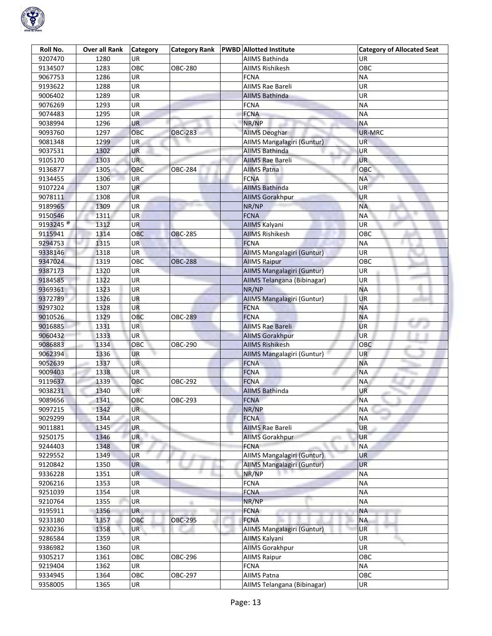

| Roll No.                        | <b>Over all Rank</b> | <b>Category</b> | <b>Category Rank</b> | <b>PWBD Allotted Institute</b> | <b>Category of Allocated Seat</b> |
|---------------------------------|----------------------|-----------------|----------------------|--------------------------------|-----------------------------------|
| 9207470                         | 1280                 | UR              |                      | AIIMS Bathinda                 | UR                                |
| 9134507                         | 1283                 | OBC             | <b>OBC-280</b>       | <b>AIIMS Rishikesh</b>         | OBC                               |
| 9067753                         | 1286                 | UR              |                      | <b>FCNA</b>                    | <b>NA</b>                         |
| 9193622                         | 1288                 | <b>UR</b>       |                      | <b>AIIMS Rae Bareli</b>        | UR                                |
| 9006402                         | 1289                 | UR              |                      | <b>AIIMS Bathinda</b>          | UR                                |
| 9076269                         | 1293                 | UR              |                      | <b>FCNA</b>                    | <b>NA</b>                         |
| 9074483                         | 1295                 | UR              |                      | <b>FCNA</b>                    | <b>NA</b>                         |
| 9038994                         | 1296                 | UR              |                      | NR/NP                          | <b>NA</b>                         |
| 9093760                         | 1297                 | OBC             | <b>OBC-283</b>       | <b>AIIMS Deoghar</b>           | UR-MRC                            |
| 9081348                         | 1299                 | UR.             |                      | AIIMS Mangalagiri (Guntur)     | UR                                |
| 9037531                         | 1302                 | UR              |                      | <b>AIIMS Bathinda</b>          | UR                                |
| 9105170                         | 1303                 | <b>UR</b>       |                      | <b>AIIMS Rae Bareli</b>        | UR.                               |
| 9136877                         | 1305                 | OBC             | <b>OBC-284</b>       | <b>AIIMS Patna</b>             | OBC                               |
|                                 | 1306                 | <b>UR</b>       |                      | <b>FCNA</b>                    | NA                                |
| 9134455                         |                      |                 |                      |                                |                                   |
| 9107224                         | 1307                 | <b>UR</b>       |                      | <b>AIIMS Bathinda</b>          | UR                                |
| 9078111                         | 1308                 | <b>UR</b>       |                      | <b>AIIMS Gorakhpur</b>         | <b>UR</b>                         |
| 9189965                         | 1309                 | UR              |                      | NR/NP                          | <b>NA</b>                         |
| 9150546                         | 1311                 | <b>UR</b>       |                      | <b>FCNA</b>                    | <b>NA</b>                         |
| 9193245 <sup><sup>®</sup></sup> | 1312                 | <b>UR</b>       |                      | AIIMS Kalyani                  | UR                                |
| 9115941                         | 1314                 | OBC             | <b>OBC-285</b>       | <b>AIIMS Rishikesh</b>         | OBC                               |
| 9294753                         | 1315                 | <b>UR</b>       |                      | <b>FCNA</b>                    | ΝA                                |
| 9338146                         | 1318                 | <b>UR</b>       |                      | AIIMS Mangalagiri (Guntur)     | UR                                |
| 9347024                         | 1319                 | OBC             | <b>OBC-288</b>       | <b>AllMS Raipur</b>            | OBC                               |
| 9387173                         | 1320                 | UR              |                      | AIIMS Mangalagiri (Guntur)     | UR                                |
| 9184585                         | 1322                 | UR              |                      | AIIMS Telangana (Bibinagar)    | UR                                |
| 9369361                         | 1323                 | UR              |                      | NR/NP                          | <b>NA</b>                         |
| 9372789                         | 1326                 | UR              |                      | AIIMS Mangalagiri (Guntur)     | UR                                |
| 9297302                         | 1328                 | <b>UR</b>       |                      | <b>FCNA</b>                    | <b>NA</b>                         |
| 9010526                         | 1329                 | OBC             | <b>OBC-289</b>       | <b>FCNA</b>                    | <b>NA</b>                         |
| 9016885                         | 1331                 | UR              |                      | <b>AIIMS Rae Bareli</b>        | UR                                |
| 9060432                         | 1333                 | <b>UR</b>       |                      | <b>AllMS Gorakhpur</b>         | <b>UR</b>                         |
| 9086883                         | 1334                 | OBC             | OBC-290              | <b>AIIMS Rishikesh</b>         | OBC                               |
| 9062394                         | 1336                 | <b>UR</b>       |                      | AIIMS Mangalagiri (Guntur)     | UR.                               |
| 9052639                         | 1337                 | UR.             |                      | <b>FCNA</b>                    | <b>NA</b>                         |
| 9009403                         | 1338                 | UR              |                      | <b>FCNA</b>                    | <b>NA</b>                         |
| 9119637                         | 1339                 | OBC             | OBC-292              | <b>FCNA</b>                    | ΝA                                |
| 9038231                         | 1340                 | <b>UR</b>       |                      | <b>AIIMS Bathinda</b>          | UR                                |
| 9089656                         | 1341                 | OBC             | OBC-293              | <b>FCNA</b>                    | <b>NA</b>                         |
| 9097215                         | 1342                 | <b>UR</b>       |                      | NR/NP                          | <b>NA</b><br><b>John</b>          |
| 9029299                         | 1344                 | UR              |                      | <b>FCNA</b>                    | NΑ                                |
| 9011881                         | 1345                 | <b>UR</b>       |                      | <b>AIIMS Rae Bareli</b>        | <b>UR</b>                         |
| 9250175                         | 1346                 | <b>UR</b>       |                      | <b>AIIMS Gorakhpur</b>         | <b>UR</b>                         |
| 9244403                         | 1348                 | <b>UR</b>       |                      | <b>FCNA</b>                    | <b>NA</b>                         |
| 9229552                         | 1349                 | <b>UR</b>       | an s                 | AIIMS Mangalagiri (Guntur)     | UR                                |
| 9120842                         | 1350                 | <b>UR</b>       |                      | AIIMS Mangalagiri (Guntur)     | <b>UR</b>                         |
| 9336228                         | 1351                 | <b>UR</b>       |                      | NR/NP                          | <b>NA</b>                         |
| 9206216                         | 1353                 | UR              |                      | <b>FCNA</b>                    | <b>NA</b>                         |
| 9251039                         | 1354                 | UR              |                      | <b>FCNA</b>                    | <b>NA</b>                         |
| 9210764                         | 1355                 | UR              |                      | NR/NP                          | <b>NA</b>                         |
| 9195911                         | 1356                 | UR              |                      | <b>FCNA</b>                    | <b>NA</b>                         |
| 9233180                         | 1357                 | OBC             | <b>OBC-295</b>       | <b>FCNA</b>                    | <b>NA</b>                         |
|                                 |                      | <b>UR</b>       |                      |                                | <b>UR</b>                         |
| 9230236                         | 1358                 |                 |                      | AIIMS Mangalagiri (Guntur)     |                                   |
| 9286584                         | 1359                 | <b>UR</b>       |                      | AllMS Kalyani                  | UR                                |
| 9386982                         | 1360                 | UR              |                      | <b>AIIMS Gorakhpur</b>         | UR.                               |
| 9305217                         | 1361                 | OBC             | OBC-296              | <b>AIIMS Raipur</b>            | OBC                               |
| 9219404                         | 1362                 | UR              |                      | <b>FCNA</b>                    | <b>NA</b>                         |
| 9334945                         | 1364                 | OBC             | OBC-297              | <b>AIIMS Patna</b>             | OBC                               |
| 9358005                         | 1365                 | UR              |                      | AIIMS Telangana (Bibinagar)    | UR                                |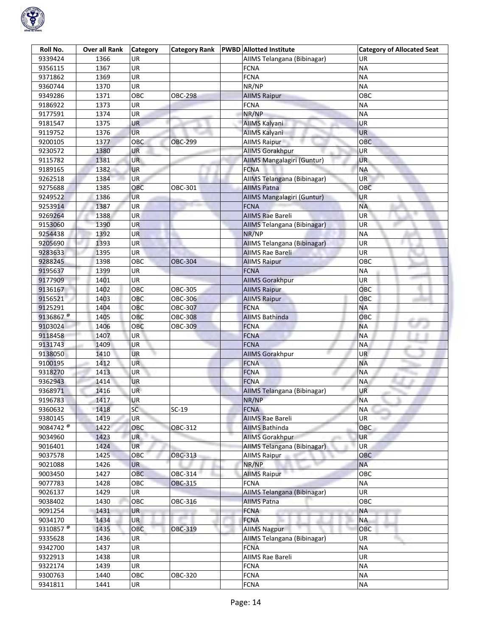

| Roll No.             | <b>Over all Rank</b> | <b>Category</b> | <b>Category Rank</b> | <b>PWBD</b> Allotted Institute | <b>Category of Allocated Seat</b> |
|----------------------|----------------------|-----------------|----------------------|--------------------------------|-----------------------------------|
| 9339424              | 1366                 | UR              |                      | AIIMS Telangana (Bibinagar)    | UR                                |
| 9356115              | 1367                 | UR              |                      | <b>FCNA</b>                    | <b>NA</b>                         |
| 9371862              | 1369                 | UR              |                      | <b>FCNA</b>                    | <b>NA</b>                         |
| 9360744              | 1370                 | UR              |                      | NR/NP                          | <b>NA</b>                         |
| 9349286              | 1371                 | OBC             | <b>OBC-298</b>       | <b>AIIMS Raipur</b>            | ОВС                               |
| 9186922              | 1373                 | UR              |                      | <b>FCNA</b>                    | <b>NA</b>                         |
| 9177591              | 1374                 | UR              |                      | NR/NP                          | <b>NA</b>                         |
| 9181547              | 1375                 | UR              |                      | AllMS Kalyani                  | UR                                |
| 9119752              | 1376                 | <b>UR</b>       |                      | AllMS Kalyani                  | <b>UR</b>                         |
| 9200105              | 1377                 | OBC             | <b>OBC-299</b>       | <b>AIIMS Raipur</b>            | OBC                               |
| 9230572              | 1380                 | UR              |                      | <b>AIIMS Gorakhpur</b>         | UR                                |
| 9115782              | 1381                 | <b>UR</b>       |                      | AIIMS Mangalagiri (Guntur)     | <b>UR</b>                         |
| 9189165              | 1382                 | <b>UR</b>       |                      | <b>FCNA</b>                    | <b>NA</b>                         |
| 9262518              | 1384                 | <b>UR</b>       |                      | AIIMS Telangana (Bibinagar)    | UR                                |
| 9275688              | 1385                 | OBC             | OBC-301              | <b>AIIMS Patna</b>             | OBC                               |
| 9249522              | 1386                 | <b>UR</b>       |                      | AIIMS Mangalagiri (Guntur)     | <b>UR</b>                         |
| 9253914              | 1387                 | UR              |                      | <b>FCNA</b>                    | <b>NA</b>                         |
| 9269264              | 1388                 | <b>UR</b>       |                      | <b>AIIMS Rae Bareli</b>        | UR                                |
| 9153060              | 1390                 | <b>UR</b>       |                      | AIIMS Telangana (Bibinagar)    | UR                                |
| 9254438              | 1392                 | UR              |                      | NR/NP                          | <b>NA</b>                         |
| 9205690              | 1393                 | <b>UR</b>       |                      | AIIMS Telangana (Bibinagar)    | UR                                |
| 9283633              | 1395                 | UR              |                      | <b>AIIMS Rae Bareli</b>        | UR                                |
| 9288245              | 1398                 | OBC             | <b>OBC-304</b>       | <b>AllMS Raipur</b>            | OBC                               |
| 9195637              | 1399                 | UR              |                      | <b>FCNA</b>                    | <b>NA</b>                         |
| 9177909              | 1401                 | UR              |                      | <b>AIIMS Gorakhpur</b>         | UR                                |
| 9136167              | 1402                 | OBC             | OBC-305              | <b>AIIMS Raipur</b>            | OBC                               |
| 9156521              | 1403                 | OBC             | OBC-306              | <b>AllMS Raipur</b>            | OBC                               |
| 9125291              | 1404                 | OBC             | OBC-307              | <b>FCNA</b>                    | <b>NA</b>                         |
| 9136867 <sup>®</sup> | 1405                 | OBC             | <b>OBC-308</b>       | <b>AIIMS Bathinda</b>          | OBC                               |
| 9103024              | 1406                 | OBC             | OBC-309              | <b>FCNA</b>                    | <b>NA</b>                         |
| 9118458              | 1407                 | <b>UR</b>       |                      | <b>FCNA</b>                    | <b>NA</b>                         |
| 9131743              | 1409                 | UR              |                      | <b>FCNA</b>                    | <b>NA</b>                         |
| 9138050              | 1410                 | <b>UR</b>       |                      | <b>AllMS Gorakhpur</b>         | UR                                |
| 9100195              | 1412                 | UR.             |                      | <b>FCNA</b>                    | <b>NA</b>                         |
| 9318270              | 1413                 | UR              |                      | <b>FCNA</b>                    | ΝA                                |
| 9362943              | 1414                 | <b>UR</b>       |                      | <b>FCNA</b>                    | ΝA                                |
| 9368971              | 1416                 | <b>UR</b>       |                      | AIIMS Telangana (Bibinagar)    | UR                                |
| 9196783              | 1417                 | UR              |                      | NR/NP                          | <b>NA</b>                         |
| 9360632              | 1418                 | <b>SC</b>       | $SC-19$              | <b>FCNA</b>                    | NA<br><b>STARTS</b>               |
| 9380145              | 1419                 | UR              |                      | AIIMS Rae Bareli               | UR                                |
| 9084742 <sup>@</sup> | 1422                 | OBC             | OBC-312              | <b>AIIMS Bathinda</b>          | <b>OBC</b>                        |
| 9034960              | 1423                 | <b>UR</b>       |                      | <b>AllMS Gorakhpur</b>         | <b>UR</b>                         |
| 9016401              | 1424                 | <b>UR</b>       |                      | AIIMS Telangana (Bibinagar)    | UR                                |
| 9037578              | 1425                 | OBC             | OBC-313              | <b>AIIMS Raipur</b>            | OBC                               |
| 9021088              | 1426                 | <b>UR</b>       |                      | NR/NP                          | <b>NA</b>                         |
| 9003450              | 1427                 | <b>OBC</b>      | OBC-314              | <b>AllMS Raipur</b>            | ОВС                               |
| 9077783              | 1428                 | ОВС             | <b>OBC-315</b>       | <b>FCNA</b>                    | <b>NA</b>                         |
| 9026137              | 1429                 | UR              |                      | AIIMS Telangana (Bibinagar)    | UR                                |
| 9038402              | 1430                 | OBC             | OBC-316              | <b>AIIMS Patna</b>             | OBC                               |
| 9091254              | 1431                 | <b>UR</b>       |                      | <b>FCNA</b>                    | <b>NA</b>                         |
| 9034170              | 1434                 | <b>UR</b>       |                      | <b>FCNA</b>                    | <b>NA</b>                         |
| 9310857 <sup>®</sup> | 1435                 | OBC             | OBC-319              | <b>AllMS Nagpur</b>            | OBC                               |
| 9335628              | 1436                 | <b>UR</b>       |                      | AIIMS Telangana (Bibinagar)    | UR                                |
| 9342700              | 1437                 | UR              |                      | <b>FCNA</b>                    | <b>NA</b>                         |
| 9322913              | 1438                 | UR              |                      | AIIMS Rae Bareli               | UR                                |
| 9322174              | 1439                 | UR              |                      | <b>FCNA</b>                    | <b>NA</b>                         |
| 9300763              | 1440                 | OBC             | OBC-320              | <b>FCNA</b>                    | <b>NA</b>                         |
| 9341811              | 1441                 | UR              |                      | <b>FCNA</b>                    | <b>NA</b>                         |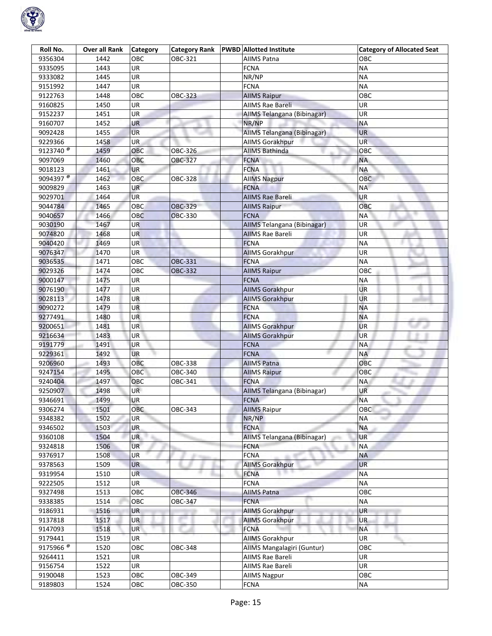

| Roll No.              | Over all Rank | Category  | <b>Category Rank</b> | <b>PWBD</b> Allotted Institute | <b>Category of Allocated Seat</b> |
|-----------------------|---------------|-----------|----------------------|--------------------------------|-----------------------------------|
| 9356304               | 1442          | OBC       | OBC-321              | <b>AIIMS Patna</b>             | овс                               |
| 9335095               | 1443          | UR        |                      | <b>FCNA</b>                    | <b>NA</b>                         |
| 9333082               | 1445          | UR        |                      | NR/NP                          | <b>NA</b>                         |
| 9151992               | 1447          | UR        |                      | <b>FCNA</b>                    | <b>NA</b>                         |
| 9122763               | 1448          | OBC       | OBC-323              | <b>AllMS Raipur</b>            | OBC                               |
| 9160825               | 1450          | UR        |                      | AIIMS Rae Bareli               | UR                                |
| 9152237               | 1451          | UR        |                      | AIIMS Telangana (Bibinagar)    | UR                                |
| 9160707               | 1452          | UR        |                      | NR/NP                          | <b>NA</b>                         |
| 9092428               | 1455          | <b>UR</b> |                      | AIIMS Telangana (Bibinagar)    | <b>UR</b>                         |
| 9229366               | 1458          | <b>UR</b> |                      | <b>AIIMS Gorakhpur</b>         | UR                                |
| 9123740 $\frac{1}{6}$ | 1459          | OBC       | OBC-326              | <b>AIIMS Bathinda</b>          | ОВС                               |
| 9097069               | 1460          | OBC       | OBC-327              | <b>FCNA</b>                    | <b>NA</b>                         |
| 9018123               | 1461          | UR        |                      | <b>FCNA</b>                    | <b>NA</b>                         |
| 9094397 $\frac{1}{6}$ | 1462          | OBC       | OBC-328              | <b>AllMS Nagpur</b>            | OBC                               |
| 9009829               | 1463          | <b>UR</b> |                      | <b>FCNA</b>                    | <b>NA</b>                         |
| 9029701               | 1464          | UR        |                      | <b>AIIMS Rae Bareli</b>        | UR                                |
| 9044784               | 1465          | OBC       | <b>OBC-329</b>       | <b>AIIMS Raipur</b>            | OBC                               |
| 9040657               | 1466          | OBC       | <b>OBC-330</b>       | <b>FCNA</b>                    | ΝA                                |
| 9030190               | 1467          | <b>UR</b> |                      | AIIMS Telangana (Bibinagar)    | UR                                |
| 9074820               | 1468          | <b>UR</b> |                      | <b>AIIMS Rae Bareli</b>        | UR                                |
| 9040420               | 1469          | UR        |                      | <b>FCNA</b>                    | <b>NA</b>                         |
| 9076347               | 1470          | UR        |                      | <b>AIIMS Gorakhpur</b>         | UR                                |
| 9036535               | 1471          | OBC       | OBC-331              | <b>FCNA</b>                    | <b>NA</b>                         |
| 9029326               | 1474          | OBC       | OBC-332              | <b>AIIMS Raipur</b>            | OBC                               |
| 9000147               | 1475          | UR        |                      | <b>FCNA</b>                    | <b>NA</b>                         |
| 9076190               | 1477          | <b>UR</b> |                      | <b>AIIMS Gorakhpur</b>         | UR                                |
| 9028113               | 1478          | UR        |                      | <b>AIIMS Gorakhpur</b>         | UR                                |
| 9090272               | 1479          | <b>UR</b> |                      | <b>FCNA</b>                    | <b>NA</b>                         |
| 9277491               | 1480          | <b>UR</b> |                      | <b>FCNA</b>                    | <b>NA</b>                         |
| 9200651               | 1481          | UR        |                      | <b>AllMS Gorakhpur</b>         | <b>UR</b>                         |
| 9216634               | 1483          | UR        |                      | <b>AIIMS Gorakhpur</b>         | UR                                |
| 9191779               | 1491          | UR        |                      | <b>FCNA</b>                    | <b>NA</b>                         |
| 9229361               | 1492          | <b>UR</b> |                      | <b>FCNA</b>                    | <b>NA</b>                         |
| 9206960               | 1493          | OBC       | OBC-338              | <b>AIIMS Patna</b>             | OBC                               |
| 9247154               | 1495          | OBC       | OBC-340              | <b>AIIMS Raipur</b>            | OBC                               |
| 9240404               | 1497          | OBC       | OBC-341              | <b>FCNA</b>                    | <b>NA</b>                         |
| 9250907               | 1498          | UR        |                      | AIIMS Telangana (Bibinagar)    | <b>UR</b>                         |
| 9346691               | 1499          | <b>UR</b> |                      | <b>FCNA</b>                    | <b>NA</b>                         |
| 9306274               | 1501          | OBC       | OBC-343              | <b>AllMS Raipur</b>            | OBC                               |
| 9348382               | 1502          | UR        |                      | NR/NP                          | <b>NA</b>                         |
| 9346502               | 1503          | <b>UR</b> |                      | <b>FCNA</b>                    | <b>NA</b>                         |
| 9360108               | 1504          | <b>UR</b> |                      | AIIMS Telangana (Bibinagar)    | UR                                |
| 9324818               | 1506          | <b>UR</b> |                      | <b>FCNA</b>                    | <b>NA</b>                         |
| 9376917               | 1508          | UR        |                      | <b>FCNA</b>                    | <b>NA</b>                         |
| 9378563               | 1509          | UR        |                      | <b>AIIMS Gorakhpur</b>         | <b>UR</b>                         |
| 9319954               | 1510          | <b>UR</b> |                      | <b>FCNA</b>                    | <b>NA</b>                         |
| 9222505               | 1512          | UR        |                      | <b>FCNA</b>                    | <b>NA</b>                         |
| 9327498               | 1513          | OBC       | <b>OBC-346</b>       | <b>AIIMS Patna</b>             | OBC                               |
| 9338385               | 1514          | OBC       | OBC-347              | <b>FCNA</b>                    | <b>NA</b>                         |
| 9186931               | 1516          | <b>UR</b> |                      | <b>AllMS Gorakhpur</b>         | UR                                |
| 9137818               | 1517          | UR        |                      | <b>AIIMS Gorakhpur</b>         | <b>UR</b>                         |
| 9147093               | 1518          | UR        |                      | <b>FCNA</b>                    | <b>NA</b>                         |
| 9179441               | 1519          | <b>UR</b> |                      | <b>AIIMS Gorakhpur</b>         | UR                                |
| 9175966 <sup>@</sup>  | 1520          | OBC       | OBC-348              | AIIMS Mangalagiri (Guntur)     | OBC                               |
| 9264411               | 1521          | UR        |                      | AIIMS Rae Bareli               | UR                                |
| 9156754               | 1522          | UR        |                      | AIIMS Rae Bareli               | UR                                |
| 9190048               | 1523          | OBC       | OBC-349              | <b>AIIMS Nagpur</b>            | OBC                               |
| 9189803               | 1524          | OBC       | OBC-350              | <b>FCNA</b>                    | <b>NA</b>                         |
|                       |               |           |                      |                                |                                   |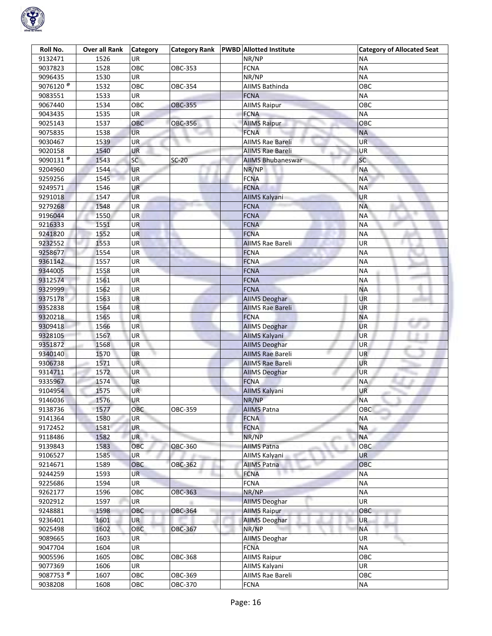

| Roll No.                          | <b>Over all Rank</b> | <b>Category</b> | <b>Category Rank</b> | <b>PWBD</b> Allotted Institute | <b>Category of Allocated Seat</b> |
|-----------------------------------|----------------------|-----------------|----------------------|--------------------------------|-----------------------------------|
| 9132471                           | 1526                 | UR              |                      | NR/NP                          | ΝA                                |
| 9037823                           | 1528                 | OBC             | OBC-353              | <b>FCNA</b>                    | <b>NA</b>                         |
| 9096435                           | 1530                 | UR              |                      | NR/NP                          | <b>NA</b>                         |
| 9076120 <sup><math>@</math></sup> | 1532                 | OBC             | OBC-354              | <b>AIIMS Bathinda</b>          | OBC                               |
| 9083551                           | 1533                 | UR              |                      | <b>FCNA</b>                    | <b>NA</b>                         |
| 9067440                           | 1534                 | OBC             | <b>OBC-355</b>       | <b>AllMS Raipur</b>            | OBC                               |
| 9043435                           | 1535                 | UR              |                      | <b>FCNA</b>                    | <b>NA</b>                         |
| 9025143                           | 1537                 | OBC             | <b>OBC-356</b>       | <b>AIIMS Raipur</b>            | OBC                               |
| 9075835                           | 1538                 | <b>UR</b>       |                      | <b>FCNA</b>                    | <b>NA</b>                         |
| 9030467                           | 1539                 | <b>UR</b>       |                      | <b>AIIMS Rae Bareli</b>        | UR                                |
| 9020158                           | 1540                 | UR              |                      | <b>AIIMS Rae Bareli</b>        | UR                                |
| 9090131 $\frac{1}{6}$             | 1543                 | SC              | $SC-20$              | <b>AIIMS Bhubaneswar</b>       | SC                                |
| 9204960                           | 1544                 | <b>UR</b>       |                      | NR/NP                          | <b>NA</b>                         |
| 9259256                           | 1545                 | <b>UR</b>       |                      | <b>FCNA</b>                    | <b>NA</b>                         |
| 9249571                           | 1546                 | <b>UR</b>       |                      | <b>FCNA</b>                    | <b>NA</b>                         |
| 9291018                           | 1547                 | <b>UR</b>       |                      | AIIMS Kalyani                  | <b>UR</b>                         |
| 9279268                           | 1548                 | UR              |                      | <b>FCNA</b>                    | <b>NA</b>                         |
| 9196044                           | 1550                 | <b>UR</b>       |                      | <b>FCNA</b>                    | <b>NA</b>                         |
| 9216333                           | 1551                 | <b>UR</b>       |                      | <b>FCNA</b>                    | <b>NA</b>                         |
| 9241820                           | 1552                 | UR              |                      | <b>FCNA</b>                    | <b>NA</b>                         |
| 9232552                           | 1553                 | <b>UR</b>       |                      | <b>AIIMS Rae Bareli</b>        | UR                                |
| 9258677                           | 1554                 | UR              |                      | <b>FCNA</b>                    | <b>NA</b>                         |
| 9361142                           | 1557                 | UR              |                      | <b>FCNA</b>                    | <b>NA</b>                         |
| 9344005                           | 1558                 | UR              |                      | <b>FCNA</b>                    | <b>NA</b>                         |
| 9312574                           | 1561                 | UR              |                      | <b>FCNA</b>                    | <b>NA</b>                         |
| 9329999                           | 1562                 | <b>UR</b>       |                      | <b>FCNA</b>                    | <b>NA</b>                         |
| 9375178                           | 1563                 | UR              |                      | <b>AllMS Deoghar</b>           | UR                                |
| 9352838                           | 1564                 | <b>UR</b>       |                      | <b>AIIMS Rae Bareli</b>        | <b>UR</b>                         |
| 9320218                           | 1565                 | <b>UR</b>       |                      | <b>FCNA</b>                    | <b>NA</b>                         |
| 9309418                           | 1566                 | UR              |                      | <b>AllMS Deoghar</b>           | UR                                |
| 9328105                           | 1567                 | UR              |                      | AllMS Kalyani                  | <b>UR</b>                         |
| 9351872                           | 1568                 | UR              |                      | <b>AllMS Deoghar</b>           | UR                                |
| 9340140                           | 1570                 | <b>UR</b>       |                      | <b>AIIMS Rae Bareli</b>        | UR                                |
| 9306738                           | 1571                 | UR.             |                      | <b>AIIMS Rae Bareli</b>        | UR                                |
| 9314711                           | 1572                 | UR              |                      | <b>AIIMS Deoghar</b>           | UR                                |
| 9335967                           | 1574                 | <b>UR</b>       |                      | <b>FCNA</b>                    | ΝA                                |
| 9104954                           | 1575                 | <b>UR</b>       |                      | <b>AllMS Kalyani</b>           | UR                                |
| 9146036                           | 1576                 | UR              |                      | NR/NP                          | <b>NA</b>                         |
| 9138736                           | 1577                 | OBC             | OBC-359              | <b>AIIMS Patna</b>             | ОВС                               |
| 9141364                           | 1580                 | UR              |                      | <b>FCNA</b>                    | NΑ                                |
| 9172452                           | 1581                 | <b>UR</b>       |                      | <b>FCNA</b>                    | <b>NA</b>                         |
| 9118486                           | 1582                 | UR              |                      | NR/NP                          | <b>NA</b>                         |
| 9139843                           | 1583                 | OBC             | <b>OBC-360</b>       | <b>AIIMS Patna</b>             | OBC                               |
| 9106527                           | 1585                 | UR              |                      | AllMS Kalyani                  | UR                                |
| 9214671                           | 1589                 | OBC             | OBC-362              | <b>AIIMS Patna</b>             | <b>OBC</b>                        |
| 9244259                           | 1593                 | UR.             |                      | <b>FCNA</b>                    | <b>NA</b>                         |
| 9225686                           | 1594                 | UR              |                      | <b>FCNA</b>                    | <b>NA</b>                         |
| 9262177                           | 1596                 | OBC             | <b>OBC-363</b>       | NR/NP                          | <b>NA</b>                         |
| 9202912                           | 1597                 | UR              |                      | <b>AllMS Deoghar</b>           | UR                                |
| 9248881                           | 1598                 | OBC             | OBC-364              | <b>AllMS Raipur</b>            | OBC                               |
| 9236401                           | 1601                 | <b>UR</b>       |                      | <b>AIIMS Deoghar</b>           | <b>UR</b>                         |
| 9025498                           | 1602                 | OBC             | OBC-367              | NR/NP                          | <b>NA</b>                         |
| 9089665                           | 1603                 | <b>UR</b>       |                      | <b>AIIMS Deoghar</b>           | UR                                |
| 9047704                           | 1604                 | UR              |                      | <b>FCNA</b>                    | <b>NA</b>                         |
| 9005596                           | 1605                 | OBC             | OBC-368              | <b>AIIMS Raipur</b>            | OBC                               |
| 9077369                           | 1606                 | UR              |                      | AllMS Kalyani                  | UR                                |
| 9087753 <sup>®</sup>              | 1607                 | OBC             | OBC-369              | AIIMS Rae Bareli               | OBC                               |
| 9038208                           | 1608                 | OBC             | OBC-370              | <b>FCNA</b>                    | NA                                |
|                                   |                      |                 |                      |                                |                                   |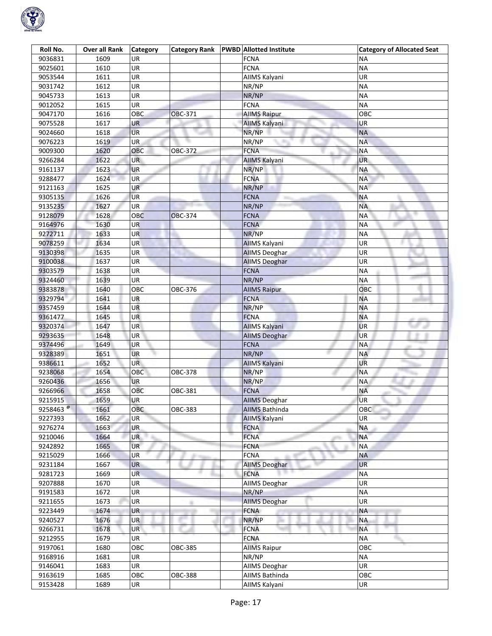

| Roll No.             | <b>Over all Rank</b> | <b>Category</b> | <b>Category Rank</b> | <b>PWBD</b> Allotted Institute | <b>Category of Allocated Seat</b> |
|----------------------|----------------------|-----------------|----------------------|--------------------------------|-----------------------------------|
| 9036831              | 1609                 | UR              |                      | <b>FCNA</b>                    | ΝA                                |
| 9025601              | 1610                 | UR              |                      | <b>FCNA</b>                    | <b>NA</b>                         |
| 9053544              | 1611                 | UR              |                      | AIIMS Kalyani                  | UR                                |
| 9031742              | 1612                 | UR              |                      | NR/NP                          | <b>NA</b>                         |
| 9045733              | 1613                 | UR              |                      | NR/NP                          | <b>NA</b>                         |
| 9012052              | 1615                 | UR              |                      | <b>FCNA</b>                    | <b>NA</b>                         |
| 9047170              | 1616                 | <b>OBC</b>      | OBC-371              | <b>AllMS Raipur</b>            | OBC                               |
| 9075528              |                      |                 |                      |                                |                                   |
|                      | 1617                 | UR<br><b>UR</b> |                      | AllMS Kalyani<br>NR/NP         | UR<br><b>NA</b>                   |
| 9024660              | 1618                 |                 |                      |                                |                                   |
| 9076223              | 1619                 | UR              |                      | NR/NP                          | <b>NA</b>                         |
| 9009300              | 1620                 | ОВС             | OBC-372              | <b>FCNA</b>                    | <b>NA</b>                         |
| 9266284              | 1622                 | <b>UR</b>       |                      | AllMS Kalyani                  | <b>UR</b>                         |
| 9161137              | 1623                 | <b>UR</b>       |                      | NR/NP                          | <b>NA</b>                         |
| 9288477              | 1624                 | <b>UR</b>       |                      | <b>FCNA</b>                    | <b>NA</b>                         |
| 9121163              | 1625                 | <b>UR</b>       |                      | NR/NP                          | <b>NA</b>                         |
| 9305135              | 1626                 | <b>UR</b>       |                      | <b>FCNA</b>                    | <b>NA</b>                         |
| 9135235              | 1627                 | UR              |                      | NR/NP                          | <b>NA</b>                         |
| 9128079              | 1628                 | OBC             | <b>OBC-374</b>       | <b>FCNA</b>                    | <b>NA</b>                         |
| 9164976              | 1630                 | <b>UR</b>       |                      | <b>FCNA</b>                    | <b>NA</b>                         |
| 9272711              | 1633                 | <b>UR</b>       |                      | NR/NP                          | <b>NA</b>                         |
| 9078259              | 1634                 | UR              |                      | <b>AIIMS Kalyani</b>           | UR                                |
| 9130398              | 1635                 | UR              |                      | <b>AIIMS Deoghar</b>           | UR                                |
| 9100038              | 1637                 | UR              |                      | <b>AllMS Deoghar</b>           | UR                                |
| 9303579              | 1638                 | UR              |                      | <b>FCNA</b>                    | <b>NA</b>                         |
| 9324460              | 1639                 | UR              |                      | NR/NP                          | <b>NA</b>                         |
| 9383878              | 1640                 | OBC             | OBC-376              | <b>AIIMS Raipur</b>            | ОВС                               |
| 9329794              | 1641                 | UR              |                      | <b>FCNA</b>                    | <b>NA</b>                         |
| 9357459              | 1644                 | UR              |                      | NR/NP                          | <b>NA</b>                         |
|                      |                      | <b>UR</b>       |                      | <b>FCNA</b>                    | <b>NA</b>                         |
| 9361477              | 1645                 | UR              |                      |                                | <b>UR</b>                         |
| 9320374              | 1647                 |                 |                      | <b>AIIMS Kalyani</b>           |                                   |
| 9293635              | 1648                 | UR              |                      | <b>AIIMS Deoghar</b>           | UR                                |
| 9374496              | 1649                 | <b>UR</b>       |                      | <b>FCNA</b>                    | <b>NA</b>                         |
| 9328389              | 1651                 | <b>UR</b>       |                      | NR/NP                          | <b>NA</b>                         |
| 9386611              | 1652                 | UR              |                      | <b>AIIMS Kalyani</b>           | UR                                |
| 9238068              | 1654                 | OBC             | OBC-378              | NR/NP                          | <b>NA</b>                         |
| 9260436              | 1656                 | <b>UR</b>       |                      | NR/NP                          | <b>NA</b>                         |
| 9266966              | 1658                 | OBC             | OBC-381              | <b>FCNA</b>                    | <b>NA</b>                         |
| 9215915              | 1659                 | <b>UR</b>       |                      | <b>AIIMS Deoghar</b>           | <b>UR</b>                         |
| 9258463 <sup>@</sup> | 1661                 | OBC             | <b>OBC-383</b>       | <b>AIIMS Bathinda</b>          | <b>OBC</b>                        |
| 9227393              | 1662                 | UR              |                      | <b>AIIMS Kalyani</b>           | UR                                |
| 9276274              | 1663                 | UR.             |                      | <b>FCNA</b>                    | <b>NA</b>                         |
| 9210046              | 1664                 | <b>UR</b>       |                      | <b>FCNA</b>                    | <b>NA</b>                         |
| 9242892              | 1665                 | <b>UR</b>       |                      | <b>FCNA</b>                    | <b>NA</b>                         |
| 9215029              | 1666                 | <b>UR</b>       | di va                | <b>FCNA</b>                    | <b>NA</b>                         |
| 9231184              | 1667                 | <b>UR</b>       |                      | <b>AIIMS Deoghar</b>           | <b>UR</b>                         |
| 9281723              | 1669                 | <b>UR</b>       |                      | <b>FCNA</b>                    | <b>NA</b>                         |
| 9207888              | 1670                 | UR              |                      | <b>AIIMS Deoghar</b>           | UR                                |
| 9191583              | 1672                 | UR              |                      | NR/NP                          | <b>NA</b>                         |
| 9211655              | 1673                 | UR              |                      | <b>AIIMS Deoghar</b>           | UR                                |
| 9223449              | 1674                 | <b>UR</b>       |                      | <b>FCNA</b>                    | <b>NA</b>                         |
| 9240527              | 1676                 | UR              |                      | NR/NP                          | <b>NA</b>                         |
| 9266731              | 1678                 | UR              |                      | <b>FCNA</b>                    | <b>NA</b>                         |
|                      |                      |                 |                      |                                |                                   |
| 9212955              | 1679                 | <b>UR</b>       |                      | <b>FCNA</b>                    | <b>NA</b>                         |
| 9197061              | 1680                 | OBC             | OBC-385              | <b>AIIMS Raipur</b>            | OBC                               |
| 9168916              | 1681                 | UR              |                      | NR/NP                          | <b>NA</b>                         |
| 9146041              | 1683                 | UR              |                      | AllMS Deoghar                  | UR                                |
| 9163619              | 1685                 | OBC             | <b>OBC-388</b>       | <b>AIIMS Bathinda</b>          | OBC                               |
| 9153428              | 1689                 | UR              |                      | AllMS Kalyani                  | UR                                |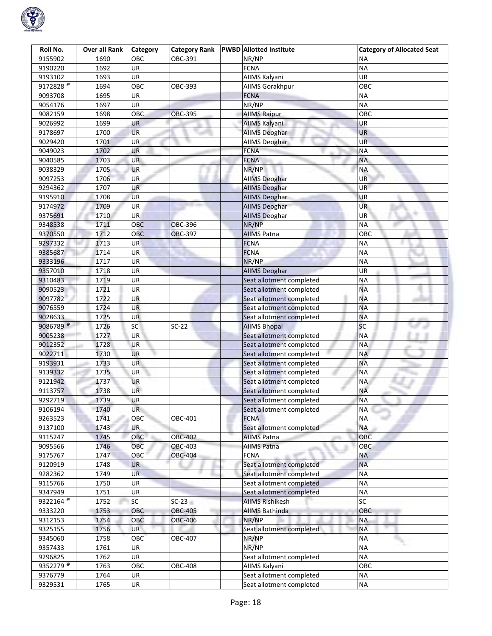

| Roll No.              | <b>Over all Rank</b> | <b>Category</b>          | <b>Category Rank</b> | <b>PWBD</b> Allotted Institute | <b>Category of Allocated Seat</b> |
|-----------------------|----------------------|--------------------------|----------------------|--------------------------------|-----------------------------------|
| 9155902               | 1690                 | OBC                      | OBC-391              | NR/NP                          | ΝA                                |
| 9190220               | 1692                 | UR                       |                      | <b>FCNA</b>                    | <b>NA</b>                         |
| 9193102               | 1693                 | $\overline{\mathsf{UR}}$ |                      | AllMS Kalyani                  | UR                                |
| 9172828 <sup>@</sup>  | 1694                 | OBC                      | OBC-393              | AllMS Gorakhpur                | OBC                               |
| 9093708               | 1695                 | UR                       |                      | <b>FCNA</b>                    | <b>NA</b>                         |
| 9054176               | 1697                 | UR                       |                      | NR/NP                          | <b>NA</b>                         |
| 9082159               | 1698                 | OBC                      | <b>OBC-395</b>       | <b>AIIMS Raipur</b>            | OBC                               |
| 9026992               | 1699                 | UR                       |                      | <b>AIIMS Kalyani</b>           | UR                                |
| 9178697               | 1700                 | <b>UR</b>                |                      | <b>AIIMS Deoghar</b>           | <b>UR</b>                         |
| 9029420               | 1701                 | <b>UR</b>                |                      | AllMS Deoghar                  | <b>UR</b>                         |
| 9049023               | 1702                 | UR                       |                      | <b>FCNA</b>                    | ΝA                                |
| 9040585               | 1703                 | UR                       |                      | <b>FCNA</b>                    | <b>NA</b>                         |
| 9038329               | 1705                 | UR                       |                      | NR/NP                          | <b>NA</b>                         |
| 9097253               | 1706                 | UR                       |                      | <b>AIIMS Deoghar</b>           | UR.                               |
| 9294362               | 1707                 | <b>UR</b>                |                      | <b>AIIMS Deoghar</b>           | <b>UR</b>                         |
| 9195910               | 1708                 | <b>UR</b>                |                      | <b>AIIMS Deoghar</b>           | UR                                |
| 9174972               | 1709                 | UR                       |                      | <b>AIIMS Deoghar</b>           | <b>UR</b>                         |
| 9375691               | 1710                 | <b>UR</b>                |                      | <b>AIIMS Deoghar</b>           | UR <sup>1</sup>                   |
| 9348538               | 1711                 | <b>OBC</b>               | <b>OBC-396</b>       | NR/NP                          | <b>NA</b>                         |
| 9370550               | 1712                 | OBC                      | <b>OBC-397</b>       | <b>AIIMS Patna</b>             | OBC                               |
| 9297332               | 1713                 | UR                       |                      | <b>FCNA</b>                    | <b>NA</b>                         |
| 9385687               | 1714                 | UR                       |                      | <b>FCNA</b>                    | <b>NA</b>                         |
| 9333196               | 1717                 | UR                       |                      | NR/NP                          | ΝA                                |
| 9357010               | 1718                 | UR                       |                      | <b>AIIMS Deoghar</b>           | UR                                |
| 9310483               | 1719                 | UR                       |                      | Seat allotment completed       | <b>NA</b>                         |
| 9090523               | 1721                 | UR                       |                      | Seat allotment completed       | <b>NA</b>                         |
| 9097782               | 1722                 | UR                       |                      | Seat allotment completed       | <b>NA</b>                         |
| 9076559               | 1724                 | <b>UR</b>                |                      | Seat allotment completed       | <b>NA</b>                         |
| 9028633               | 1725                 | <b>UR</b>                |                      | Seat allotment completed       | <b>NA</b>                         |
| 9086789 <sup>@</sup>  | 1726                 | SC                       | $SC-22$              | <b>AllMS Bhopal</b>            | SC                                |
| 9005238               | 1727                 | UR                       |                      | Seat allotment completed       | <b>NA</b>                         |
| 9012352               | 1728                 | UR                       |                      | Seat allotment completed       | <b>NA</b>                         |
| 9022711               | 1730                 | <b>UR</b>                |                      | Seat allotment completed       | NA                                |
| 9193931               | 1733                 | UR.                      |                      | Seat allotment completed       | <b>NA</b>                         |
| 9139332               | 1735                 | UR                       |                      | Seat allotment completed       | <b>NA</b>                         |
| 9121942               | 1737                 | <b>UR</b>                |                      | Seat allotment completed       | <b>NA</b>                         |
| 9113757               | 1738                 | <b>UR</b>                |                      | Seat allotment completed       | <b>NA</b>                         |
| 9292719               | 1739                 | UR                       |                      | Seat allotment completed       | <b>NA</b>                         |
| 9106194               | 1740                 | <b>UR</b>                |                      | Seat allotment completed       | <b>NA</b>                         |
| 9263523               | 1741                 | OBC                      | OBC-401              | <b>FCNA</b>                    | <b>STARTS</b><br><b>NA</b>        |
| 9137100               | 1743                 | UR.                      |                      | Seat allotment completed       | <b>NA</b>                         |
| 9115247               | 1745                 | OBC                      | <b>OBC-402</b>       | <b>AIIMS Patna</b>             | OBC                               |
| 9095566               | 1746                 | OBC                      | <b>OBC-403</b>       | <b>AIIMS Patna</b>             | OBC                               |
| 9175767               | 1747                 | OBC                      | <b>OBC-404</b>       | <b>FCNA</b>                    | <b>NA</b>                         |
| 9120919               | 1748                 | <b>UR</b>                |                      | Seat allotment completed       | <b>NA</b>                         |
| 9282362               | 1749                 | <b>UR</b>                |                      | Seat allotment completed       | <b>NA</b>                         |
|                       | 1750                 | UR                       |                      |                                | <b>NA</b>                         |
| 9115766<br>9347949    |                      |                          |                      | Seat allotment completed       | <b>NA</b>                         |
| 9322164 $\frac{1}{6}$ | 1751<br>1752         | UR<br>SC                 |                      | Seat allotment completed       | SC                                |
|                       |                      | OBC                      | $SC-23$              | <b>AIIMS Rishikesh</b>         |                                   |
| 9333220               | 1753                 |                          | OBC-405              | <b>AIIMS Bathinda</b>          | OBC                               |
| 9312153               | 1754                 | OBC                      | <b>OBC-406</b>       | NR/NP                          | <b>NA</b>                         |
| 9325155               | 1756                 | UR                       |                      | Seat allotment completed       | <b>NA</b>                         |
| 9345060               | 1758                 | OBC                      | OBC-407              | NR/NP                          | <b>NA</b>                         |
| 9357433               | 1761                 | UR                       |                      | NR/NP                          | <b>NA</b>                         |
| 9296825               | 1762                 | UR                       |                      | Seat allotment completed       | <b>NA</b>                         |
| 9352279 <sup>®</sup>  | 1763                 | OBC                      | <b>OBC-408</b>       | AllMS Kalyani                  | OBC                               |
| 9376779               | 1764                 | UR                       |                      | Seat allotment completed       | <b>NA</b>                         |
| 9329531               | 1765                 | UR                       |                      | Seat allotment completed       | ΝA                                |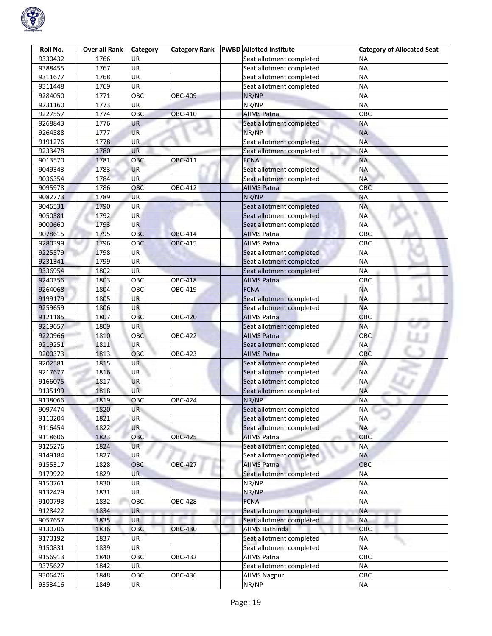

| Roll No. | Over all Rank | Category   | <b>Category Rank</b> | <b>PWBD</b> Allotted Institute | <b>Category of Allocated Seat</b> |
|----------|---------------|------------|----------------------|--------------------------------|-----------------------------------|
| 9330432  | 1766          | UR         |                      | Seat allotment completed       | <b>NA</b>                         |
| 9388455  | 1767          | UR         |                      | Seat allotment completed       | <b>NA</b>                         |
| 9311677  | 1768          | UR         |                      | Seat allotment completed       | <b>NA</b>                         |
| 9311448  | 1769          | UR         |                      | Seat allotment completed       | <b>NA</b>                         |
| 9284050  | 1771          | OBC        | OBC-409              | NR/NP                          | <b>NA</b>                         |
| 9231160  | 1773          | UR         |                      | NR/NP                          | <b>NA</b>                         |
| 9227557  | 1774          | OBC        | <b>OBC-410</b>       | <b>AIIMS Patna</b>             | OBC                               |
| 9268843  | 1776          | UR         |                      | Seat allotment completed       | <b>NA</b>                         |
| 9264588  | 1777          | <b>UR</b>  |                      | NR/NP                          | <b>NA</b>                         |
| 9191276  | 1778          | <b>UR</b>  |                      | Seat allotment completed       | <b>NA</b>                         |
| 9233478  | 1780          | UR         |                      | Seat allotment completed       | <b>NA</b>                         |
| 9013570  | 1781          | OBC        | OBC-411              | <b>FCNA</b>                    | <b>NA</b>                         |
| 9049343  | 1783          | <b>UR</b>  |                      | Seat allotment completed       | <b>NA</b>                         |
| 9036354  | 1784          | UR         |                      | Seat allotment completed       | <b>NA</b>                         |
| 9095978  | 1786          | <b>OBC</b> | OBC-412              | <b>AIIMS Patna</b>             | OBC                               |
| 9082773  | 1789          | <b>UR</b>  |                      | NR/NP                          | <b>NA</b>                         |
| 9046531  | 1790          | UR         |                      | Seat allotment completed       | <b>NA</b>                         |
| 9050581  | 1792          | <b>UR</b>  |                      | Seat allotment completed       | <b>NA</b>                         |
| 9000660  | 1793          | <b>UR</b>  |                      | Seat allotment completed       | <b>NA</b>                         |
| 9078615  | 1795          | OBC        | <b>OBC-414</b>       | <b>AIIMS Patna</b>             | OBC                               |
| 9280399  | 1796          | <b>OBC</b> | <b>OBC-415</b>       | <b>AIIMS Patna</b>             | OBC                               |
| 9225579  | 1798          | UR         |                      | Seat allotment completed       | <b>NA</b>                         |
| 9231341  | 1799          | <b>UR</b>  |                      | Seat allotment completed       | <b>NA</b>                         |
| 9336954  | 1802          | UR         |                      | Seat allotment completed       | <b>NA</b>                         |
| 9240356  | 1803          | OBC        | <b>OBC-418</b>       | <b>AIIMS Patna</b>             | OBC                               |
| 9264068  | 1804          | OBC        | OBC-419              | <b>FCNA</b>                    | <b>NA</b>                         |
| 9199179  | 1805          | <b>UR</b>  |                      | Seat allotment completed       | <b>NA</b>                         |
| 9259659  | 1806          | <b>UR</b>  |                      | Seat allotment completed       | <b>NA</b>                         |
| 9121185  | 1807          | OBC        | <b>OBC-420</b>       | <b>AllMS Patna</b>             | OBC                               |
| 9219657  | 1809          | <b>UR</b>  |                      | Seat allotment completed       | <b>NA</b>                         |
| 9220966  | 1810          | <b>OBC</b> | <b>OBC-422</b>       | <b>AIIMS Patna</b>             | OBC                               |
| 9219251  | 1811          | <b>UR</b>  |                      | Seat allotment completed       | <b>NA</b>                         |
| 9200373  | 1813          | OBC        | OBC-423              | <b>AIIMS Patna</b>             | OBC                               |
| 9202581  | 1815          | <b>UR</b>  |                      | Seat allotment completed       | <b>NA</b>                         |
| 9217677  | 1816          | UR         |                      | Seat allotment completed       | <b>NA</b>                         |
| 9166075  | 1817          | <b>UR</b>  |                      | Seat allotment completed       | <b>NA</b>                         |
| 9135199  | 1818          | <b>UR</b>  |                      | Seat allotment completed       | <b>NA</b>                         |
| 9138066  | 1819          | OBC        | OBC-424              | NR/NP                          | <b>NA</b>                         |
| 9097474  | 1820          | <b>UR</b>  |                      | Seat allotment completed       | <b>NA</b>                         |
| 9110204  | 1821          | UR         |                      | Seat allotment completed       | <b>NA</b>                         |
| 9116454  | 1822          | <b>UR</b>  |                      | Seat allotment completed       | <b>NA</b>                         |
| 9118606  | 1823          | OBC<br>ù.  | <b>OBC-425</b>       | <b>AIIMS Patna</b>             | OBC                               |
| 9125276  | 1824          | <b>UR</b>  |                      | Seat allotment completed       | <b>NA</b>                         |
| 9149184  | 1827          | <b>UR</b>  |                      | Seat allotment completed       | <b>NA</b>                         |
| 9155317  | 1828          | OBC        | <b>OBC-427</b>       | <b>AIIMS Patna</b>             | OBC                               |
| 9179922  | 1829          | <b>UR</b>  |                      | Seat allotment completed       | <b>NA</b>                         |
| 9150761  | 1830          | <b>UR</b>  |                      | NR/NP                          | <b>NA</b>                         |
| 9132429  | 1831          | UR         |                      | NR/NP                          | <b>NA</b>                         |
| 9100793  | 1832          | OBC        | <b>OBC-428</b>       | <b>FCNA</b>                    | <b>NA</b>                         |
| 9128422  | 1834          | UR         |                      | Seat allotment completed       | <b>NA</b>                         |
| 9057657  | 1835          | <b>UR</b>  |                      | Seat allotment completed       | <b>NA</b>                         |
| 9130706  | 1836          | OBC        | <b>OBC-430</b>       | <b>AIIMS Bathinda</b>          | OBC                               |
| 9170192  | 1837          | <b>UR</b>  |                      | Seat allotment completed       | <b>NA</b>                         |
| 9150831  | 1839          | UR         |                      | Seat allotment completed       | <b>NA</b>                         |
| 9156913  | 1840          | OBC        | OBC-432              | <b>AIIMS Patna</b>             | OBC                               |
| 9375627  | 1842          | UR         |                      | Seat allotment completed       | <b>NA</b>                         |
| 9306476  | 1848          | OBC        | OBC-436              | <b>AIIMS Nagpur</b>            | OBC                               |
| 9353416  | 1849          | UR         |                      | NR/NP                          | <b>NA</b>                         |
|          |               |            |                      |                                |                                   |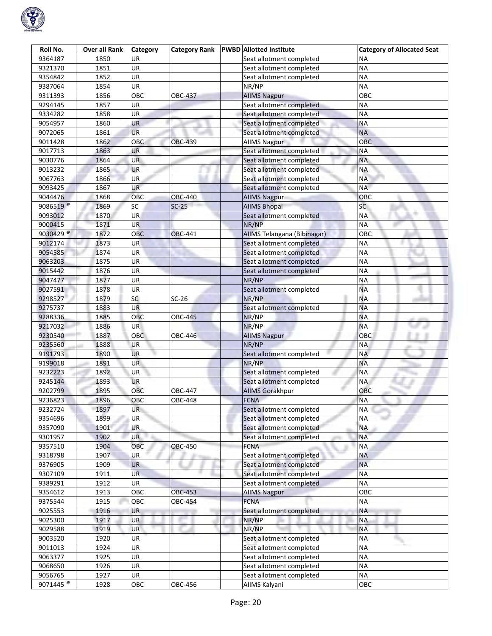

| Roll No.             | <b>Over all Rank</b> | <b>Category</b> | <b>Category Rank</b> | <b>PWBD</b> Allotted Institute | <b>Category of Allocated Seat</b> |
|----------------------|----------------------|-----------------|----------------------|--------------------------------|-----------------------------------|
| 9364187              | 1850                 | UR              |                      | Seat allotment completed       | ΝA                                |
| 9321370              | 1851                 | UR              |                      | Seat allotment completed       | <b>NA</b>                         |
| 9354842              | 1852                 | UR              |                      | Seat allotment completed       | <b>NA</b>                         |
| 9387064              | 1854                 | UR              |                      | NR/NP                          | <b>NA</b>                         |
| 9311393              | 1856                 | OBC             | OBC-437              | <b>AllMS Nagpur</b>            | OBC                               |
| 9294145              | 1857                 | UR              |                      | Seat allotment completed       | <b>NA</b>                         |
| 9334282              | 1858                 | UR              |                      | Seat allotment completed       | <b>NA</b>                         |
| 9054957              | 1860                 | UR              |                      | Seat allotment completed       | <b>NA</b>                         |
| 9072065              | 1861                 | <b>UR</b>       |                      | Seat allotment completed       | <b>NA</b>                         |
| 9011428              | 1862                 | OBC             | <b>OBC-439</b>       | <b>AllMS Nagpur</b>            | OBC                               |
| 9017713              | 1863                 | UR              |                      | Seat allotment completed       | <b>NA</b>                         |
| 9030776              | 1864                 | <b>UR</b>       |                      | Seat allotment completed       | <b>NA</b>                         |
| 9013232              | 1865                 | UR              |                      | Seat allotment completed       | <b>NA</b>                         |
| 9067763              | 1866                 | <b>UR</b>       |                      | Seat allotment completed       | <b>NA</b>                         |
| 9093425              | 1867                 | <b>UR</b>       |                      | Seat allotment completed       | <b>NA</b>                         |
| 9044476              | 1868                 | OBC             | OBC-440              | <b>AIIMS Nagpur</b>            | OBC                               |
| 9086519 <sup>@</sup> | 1869                 | SC              | $SC-25$              | <b>AIIMS Bhopal</b>            | <b>SC</b>                         |
| 9093012              | 1870                 | <b>UR</b>       |                      | Seat allotment completed       | <b>NA</b>                         |
| 9000415              | 1871                 | <b>UR</b>       |                      | NR/NP                          | <b>NA</b>                         |
| 9030429 <sup>®</sup> | 1872                 | OBC             | <b>OBC-441</b>       | AIIMS Telangana (Bibinagar)    | OBC                               |
| 9012174              | 1873                 | UR              |                      | Seat allotment completed       | <b>NA</b>                         |
| 9054585              | 1874                 | UR              |                      | Seat allotment completed       | <b>NA</b>                         |
| 9063203              | 1875                 | <b>UR</b>       |                      | Seat allotment completed       | <b>NA</b>                         |
| 9015442              | 1876                 | UR              |                      | Seat allotment completed       | <b>NA</b>                         |
| 9047477              | 1877                 | UR              |                      | NR/NP                          | <b>NA</b>                         |
| 9027591              | 1878                 | <b>UR</b>       |                      | Seat allotment completed       | <b>NA</b>                         |
| 9298527              | 1879                 | <b>SC</b>       | $SC-26$              | NR/NP                          | <b>NA</b>                         |
| 9275737              | 1883                 | <b>UR</b>       |                      | Seat allotment completed       | <b>NA</b>                         |
| 9288336              | 1885                 | ОВС             | OBC-445              | NR/NP                          | <b>NA</b>                         |
| 9217032              | 1886                 | UR              |                      | NR/NP                          | <b>NA</b>                         |
| 9230540              | 1887                 | <b>OBC</b>      | OBC-446              | <b>AIIMS Nagpur</b>            | OBC                               |
| 9235560              | 1888                 | UR              |                      | NR/NP                          | <b>NA</b>                         |
| 9191793              | 1890                 | <b>UR</b>       |                      | Seat allotment completed       | <b>NA</b>                         |
| 9199018              | 1891                 | UR.             |                      | NR/NP                          | <b>NA</b>                         |
| 9232223              | 1892                 | UR              |                      | Seat allotment completed       | <b>NA</b>                         |
| 9245144              | 1893                 | <b>UR</b>       |                      | Seat allotment completed       | <b>NA</b>                         |
| 9202799              | 1895                 | OBC             | <b>OBC-447</b>       | <b>AIIMS Gorakhpur</b>         | OBC                               |
| 9236823              | 1896                 | OBC             | <b>OBC-448</b>       | <b>FCNA</b>                    | <b>NA</b>                         |
| 9232724              | 1897                 | UR              |                      | Seat allotment completed       | <b>NA</b>                         |
| 9354696              | 1899                 | UR              |                      | Seat allotment completed       | <b>NA</b>                         |
| 9357090              | 1901                 | UR              |                      | Seat allotment completed       | <b>NA</b>                         |
| 9301957              | 1902                 | <b>UR</b>       |                      | Seat allotment completed       | <b>NA</b>                         |
| 9357510              | 1904                 | OBC             | <b>OBC-450</b>       | <b>FCNA</b>                    | <b>NA</b>                         |
| 9318798              | 1907                 | UR              |                      | Seat allotment completed       | <b>NA</b>                         |
| 9376905              | 1909                 | <b>UR</b>       |                      | Seat allotment completed       | <b>NA</b>                         |
| 9307109              | 1911                 | <b>UR</b>       |                      | Seat allotment completed       | <b>NA</b>                         |
| 9389291              | 1912                 | <b>UR</b>       |                      | Seat allotment completed       | <b>NA</b>                         |
| 9354612              | 1913                 | OBC             | <b>OBC-453</b>       | <b>AIIMS Nagpur</b>            | OBC                               |
| 9375544              | 1915                 | OBC             | OBC-454              | <b>FCNA</b>                    | <b>NA</b>                         |
| 9025553              | 1916                 | <b>UR</b>       |                      | Seat allotment completed       | ΝA                                |
| 9025300              | 1917                 | UR              |                      | NR/NP                          | <b>NA</b>                         |
| 9029588              | 1919                 | UR              |                      | NR/NP                          | <b>NA</b>                         |
| 9003520              | 1920                 | <b>UR</b>       |                      | Seat allotment completed       | <b>NA</b>                         |
| 9011013              | 1924                 | UR              |                      | Seat allotment completed       | <b>NA</b>                         |
| 9063377              | 1925                 | UR              |                      | Seat allotment completed       | <b>NA</b>                         |
| 9068650              | 1926                 | UR              |                      | Seat allotment completed       | <b>NA</b>                         |
| 9056765              | 1927                 | UR              |                      | Seat allotment completed       | <b>NA</b>                         |
| 9071445 <sup>®</sup> | 1928                 | OBC             | OBC-456              | AllMS Kalyani                  | OBC                               |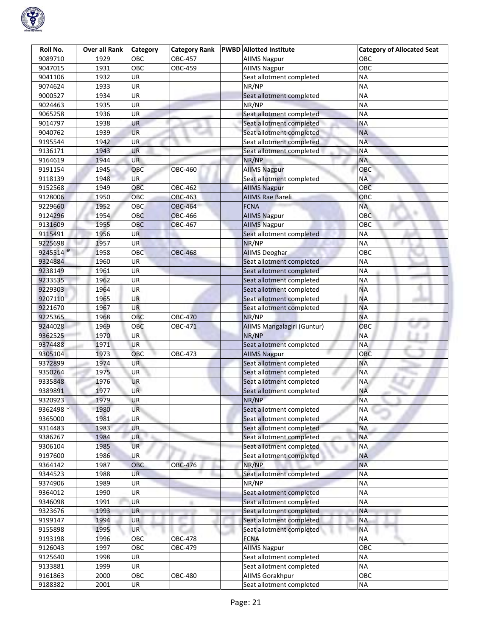

| Roll No.           | <b>Over all Rank</b> | Category   | <b>Category Rank</b> | <b>PWBD Allotted Institute</b> | <b>Category of Allocated Seat</b> |
|--------------------|----------------------|------------|----------------------|--------------------------------|-----------------------------------|
| 9089710            | 1929                 | OBC        | OBC-457              | <b>AllMS Nagpur</b>            | OBC                               |
| 9047015            | 1931                 | OBC        | OBC-459              | <b>AIIMS Nagpur</b>            | OBC                               |
| 9041106            | 1932                 | <b>UR</b>  |                      | Seat allotment completed       | <b>NA</b>                         |
| 9074624            | 1933                 | UR         |                      | NR/NP                          | <b>NA</b>                         |
| 9000527            | 1934                 | UR         |                      | Seat allotment completed       | <b>NA</b>                         |
| 9024463            | 1935                 | UR         |                      | NR/NP                          | <b>NA</b>                         |
| 9065258            | 1936                 | UR         |                      | Seat allotment completed       | <b>NA</b>                         |
| 9014797            | 1938                 | UR         |                      | Seat allotment completed       | <b>NA</b>                         |
| 9040762            | 1939                 | <b>UR</b>  |                      | Seat allotment completed       | <b>NA</b>                         |
| 9195544            | 1942                 | <b>UR</b>  |                      | Seat allotment completed       | <b>NA</b>                         |
| 9136171            | 1943                 | UR         |                      | Seat allotment completed       | <b>NA</b>                         |
| 9164619            | 1944                 | <b>UR</b>  |                      | NR/NP                          | <b>NA</b>                         |
| 9191154            | 1945                 | OBC        | <b>OBC-460</b>       | <b>AIIMS Nagpur</b>            | OBC                               |
| 9118139            | 1948                 | <b>UR</b>  |                      | Seat allotment completed       | <b>NA</b>                         |
| 9152568            | 1949                 | OBC        | OBC-462              | <b>AIIMS Nagpur</b>            | OBC                               |
| 9128006            | 1950                 | OBC        | OBC-463              | <b>AIIMS Rae Bareli</b>        | OBC                               |
| 9229660            | 1952                 | OBC        | <b>OBC-464</b>       | <b>FCNA</b>                    | <b>NA</b>                         |
| 9124296            | 1954                 | OBC        | <b>OBC-466</b>       | <b>AIIMS Nagpur</b>            | OBC                               |
| 9131609            | 1955                 | <b>OBC</b> | <b>OBC-467</b>       | <b>AIIMS Nagpur</b>            | <b>OBC</b>                        |
| 9115491            | 1956                 | <b>UR</b>  |                      | Seat allotment completed       | <b>NA</b>                         |
| 9225698            | 1957                 | <b>UR</b>  |                      | NR/NP                          | <b>NA</b>                         |
| 9245514 $^{\circ}$ | 1958                 | <b>OBC</b> | <b>OBC-468</b>       | <b>AIIMS Deoghar</b>           | <b>OBC</b>                        |
| 9324884            | 1960                 | UR         |                      | Seat allotment completed       | ΝA                                |
| 9238149            | 1961                 | UR         |                      | Seat allotment completed       | <b>NA</b>                         |
| 9233535            | 1962                 | UR         |                      | Seat allotment completed       | <b>NA</b>                         |
| 9229303            | 1964                 | UR         |                      | Seat allotment completed       | <b>NA</b>                         |
| 9207110            | 1965                 | UR         |                      | Seat allotment completed       | <b>NA</b>                         |
| 9221670            | 1967                 | <b>UR</b>  |                      | Seat allotment completed       | <b>NA</b>                         |
| 9225365            | 1968                 | OBC        | <b>OBC-470</b>       | NR/NP                          | <b>NA</b>                         |
| 9244028            | 1969                 | OBC        | OBC-471              | AIIMS Mangalagiri (Guntur)     | OBC                               |
| 9362525            | 1970                 | <b>UR</b>  |                      | NR/NP                          | <b>NA</b>                         |
| 9374488            | 1971                 | <b>UR</b>  |                      | Seat allotment completed       | <b>NA</b>                         |
| 9305104            | 1973                 | OBC        | OBC-473              | <b>AIIMS Nagpur</b>            | OBC                               |
| 9372899            | 1974                 | <b>UR</b>  |                      | Seat allotment completed       | <b>NA</b>                         |
| 9350264            | 1975                 | UR         |                      | Seat allotment completed       | <b>NA</b>                         |
| 9335848            | 1976                 | <b>UR</b>  |                      | Seat allotment completed       | <b>NA</b>                         |
| 9389891            | 1977                 | <b>UR</b>  |                      | Seat allotment completed       | <b>NA</b>                         |
| 9320923            | 1979                 | <b>UR</b>  |                      | NR/NP                          | <b>NA</b>                         |
| 9362498 *          | 1980                 | UR         |                      | Seat allotment completed       | <b>NA</b>                         |
| 9365000            | 1981                 | UR         |                      | Seat allotment completed       | <b>NA</b>                         |
| 9314483            | 1983                 | <b>UR</b>  |                      | Seat allotment completed       | <b>NA</b>                         |
| 9386267            | 1984                 | <b>UR</b>  |                      | Seat allotment completed       | <b>NA</b>                         |
| 9306104            | 1985                 | <b>UR</b>  |                      | Seat allotment completed       | <b>NA</b>                         |
| 9197600            | 1986                 | UR         |                      | Seat allotment completed       | <b>NA</b>                         |
| 9364142            | 1987                 | OBC        | OBC-476              | NR/NP                          | <b>NA</b>                         |
| 9344523            | 1988                 | <b>UR</b>  |                      | Seat allotment completed       | <b>NA</b>                         |
| 9374906            | 1989                 | UR         |                      | NR/NP                          | <b>NA</b>                         |
| 9364012            | 1990                 | UR         |                      | Seat allotment completed       | <b>NA</b>                         |
| 9346098            | 1991                 | UR         | m.                   | Seat allotment completed       | <b>NA</b>                         |
| 9323676            | 1993                 | UR         |                      | Seat allotment completed       | <b>NA</b>                         |
| 9199147            | 1994                 | UR         |                      | Seat allotment completed       | <b>NA</b>                         |
| 9155898            | 1995                 | <b>UR</b>  |                      | Seat allotment completed       | <b>NA</b>                         |
| 9193198            | 1996                 | OBC        | <b>OBC-478</b>       | <b>FCNA</b>                    | <b>NA</b>                         |
| 9126043            | 1997                 | OBC        | OBC-479              | <b>AllMS Nagpur</b>            | OBC                               |
| 9125640            | 1998                 | UR         |                      | Seat allotment completed       | <b>NA</b>                         |
| 9133881            | 1999                 | UR         |                      | Seat allotment completed       | <b>NA</b>                         |
| 9161863            | 2000                 | OBC        | OBC-480              | AllMS Gorakhpur                | OBC                               |
| 9188382            | 2001                 | UR         |                      | Seat allotment completed       | <b>NA</b>                         |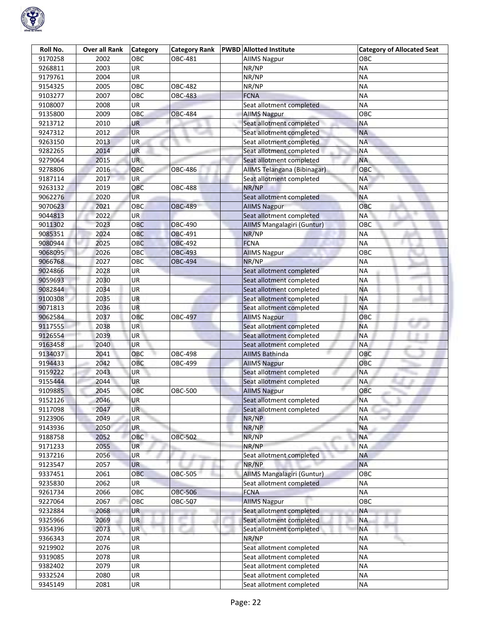

| Roll No. | <b>Over all Rank</b> | <b>Category</b> | <b>Category Rank</b> | <b>PWBD</b> Allotted Institute | <b>Category of Allocated Seat</b> |
|----------|----------------------|-----------------|----------------------|--------------------------------|-----------------------------------|
| 9170258  | 2002                 | OBC             | OBC-481              | AllMS Nagpur                   | овс                               |
| 9268811  | 2003                 | UR              |                      | NR/NP                          | <b>NA</b>                         |
| 9179761  | 2004                 | UR              |                      | NR/NP                          | <b>NA</b>                         |
| 9154325  | 2005                 | OBC             | OBC-482              | NR/NP                          | <b>NA</b>                         |
| 9103277  | 2007                 | OBC             | <b>OBC-483</b>       | <b>FCNA</b>                    | <b>NA</b>                         |
| 9108007  | 2008                 | UR              |                      | Seat allotment completed       | <b>NA</b>                         |
| 9135800  | 2009                 | OBC             | <b>OBC-484</b>       | <b>AllMS Nagpur</b>            | OBC                               |
| 9213712  | 2010                 | UR              |                      | Seat allotment completed       | <b>NA</b>                         |
| 9247312  | 2012                 | UR              |                      | Seat allotment completed       | <b>NA</b>                         |
| 9263150  | 2013                 | UR              |                      | Seat allotment completed       | <b>NA</b>                         |
| 9282265  | 2014                 | UR              |                      | Seat allotment completed       | <b>NA</b>                         |
| 9279064  | 2015                 | <b>UR</b>       |                      | Seat allotment completed       | <b>NA</b>                         |
| 9278806  | 2016                 | OBC             | <b>OBC-486</b>       | AIIMS Telangana (Bibinagar)    | OBC                               |
| 9187114  | 2017                 | <b>UR</b>       |                      | Seat allotment completed       | <b>NA</b>                         |
| 9263132  | 2019                 | OBC             | <b>OBC-488</b>       | NR/NP                          | <b>NA</b>                         |
| 9062276  | 2020                 | UR              |                      | Seat allotment completed       | <b>NA</b>                         |
| 9070623  | 2021                 | OBC             | <b>OBC-489</b>       | <b>AIIMS Nagpur</b>            | OBC                               |
| 9044813  | 2022                 | <b>UR</b>       |                      | Seat allotment completed       | <b>NA</b>                         |
| 9011302  | 2023                 | OBC             | <b>OBC-490</b>       | AIIMS Mangalagiri (Guntur)     | OBC                               |
| 9085351  | 2024                 | OBC             | OBC-491              | NR/NP                          | <b>NA</b>                         |
| 9080944  | 2025                 | OBC             | <b>OBC-492</b>       | <b>FCNA</b>                    | <b>NA</b>                         |
| 9068095  | 2026                 | OBC             | <b>OBC-493</b>       | <b>AIIMS Nagpur</b>            | OBC                               |
| 9066768  | 2027                 | OBC             | <b>OBC-494</b>       | NR/NP                          | <b>NA</b>                         |
| 9024866  | 2028                 | UR              |                      | Seat allotment completed       | <b>NA</b>                         |
| 9059693  | 2030                 | UR              |                      | Seat allotment completed       | <b>NA</b>                         |
| 9082844  | 2034                 | UR              |                      | Seat allotment completed       | <b>NA</b>                         |
| 9100308  | 2035                 | UR              |                      | Seat allotment completed       | <b>NA</b>                         |
| 9071813  | 2036                 | <b>UR</b>       |                      | Seat allotment completed       | <b>NA</b>                         |
| 9062584  | 2037                 | ОВС             | OBC-497              | <b>AllMS Nagpur</b>            | OBC                               |
| 9117555  | 2038                 | UR              |                      | Seat allotment completed       | <b>NA</b>                         |
| 9126554  | 2039                 | UR              |                      | Seat allotment completed       | <b>NA</b>                         |
| 9163458  | 2040                 | UR              |                      | Seat allotment completed       | <b>NA</b>                         |
| 9134037  | 2041                 | OBC             | <b>OBC-498</b>       | <b>AIIMS Bathinda</b>          | OBC                               |
| 9194433  | 2042                 | OBC             | OBC-499              | <b>AIIMS Nagpur</b>            | OBC                               |
| 9159222  | 2043                 | UR              |                      | Seat allotment completed       | <b>NA</b>                         |
| 9155444  | 2044                 | <b>UR</b>       |                      | Seat allotment completed       | NA                                |
| 9109885  | 2045                 | OBC             | <b>OBC-500</b>       | <b>AllMS Nagpur</b>            | OBC                               |
| 9152126  | 2046                 | <b>UR</b>       |                      | Seat allotment completed       | <b>NA</b>                         |
| 9117098  | 2047                 | UR              |                      | Seat allotment completed       | <b>NA</b>                         |
| 9123906  | 2049                 | UR              |                      | NR/NP                          | <b>NA</b>                         |
| 9143936  | 2050                 | <b>UR</b>       |                      | NR/NP                          | <b>NA</b>                         |
| 9188758  | 2052                 | OBC             | <b>OBC-502</b>       | NR/NP                          | <b>NA</b>                         |
| 9171233  | 2055                 | <b>UR</b>       |                      | NR/NP                          | <b>NA</b>                         |
| 9137216  | 2056                 | <b>UR</b>       |                      | Seat allotment completed       | <b>NA</b>                         |
| 9123547  | 2057                 | <b>UR</b>       |                      | NR/NP                          | <b>NA</b>                         |
| 9337451  | 2061                 | OBC             | <b>OBC-505</b>       | AIIMS Mangalagiri (Guntur)     | OBC                               |
| 9235830  | 2062                 | UR              |                      | Seat allotment completed       | <b>NA</b>                         |
| 9261734  | 2066                 | OBC             | <b>OBC-506</b>       | <b>FCNA</b>                    | <b>NA</b>                         |
| 9227064  | 2067                 | OBC             | OBC-507              | <b>AllMS Nagpur</b>            | OBC                               |
| 9232884  | 2068                 | <b>UR</b>       |                      | Seat allotment completed       | ΝA                                |
| 9325966  | 2069                 | UR              |                      | Seat allotment completed       | <b>NA</b>                         |
| 9354396  | 2073                 | UR              |                      | Seat allotment completed       | <b>NA</b>                         |
| 9366343  | 2074                 | <b>UR</b>       |                      | NR/NP                          | <b>NA</b>                         |
| 9219902  | 2076                 | UR              |                      | Seat allotment completed       | <b>NA</b>                         |
| 9319085  | 2078                 | UR              |                      | Seat allotment completed       | <b>NA</b>                         |
| 9382402  | 2079                 | UR              |                      | Seat allotment completed       | <b>NA</b>                         |
| 9332524  | 2080                 | UR              |                      | Seat allotment completed       | <b>NA</b>                         |
| 9345149  | 2081                 | UR              |                      | Seat allotment completed       | <b>NA</b>                         |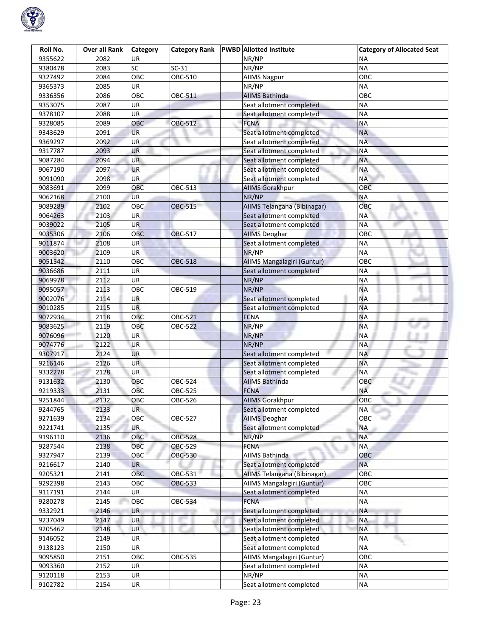

| Roll No. | Over all Rank | <b>Category</b> | <b>Category Rank</b> | <b>PWBD</b> Allotted Institute | <b>Category of Allocated Seat</b> |
|----------|---------------|-----------------|----------------------|--------------------------------|-----------------------------------|
| 9355622  | 2082          | UR              |                      | NR/NP                          | ΝA                                |
| 9380478  | 2083          | SC              | $SC-31$              | NR/NP                          | <b>NA</b>                         |
| 9327492  | 2084          | OBC             | OBC-510              | <b>AIIMS Nagpur</b>            | OBC                               |
| 9365373  | 2085          | UR              |                      | NR/NP                          | <b>NA</b>                         |
| 9336356  | 2086          | OBC             | OBC-511              | <b>AIIMS Bathinda</b>          | OBC                               |
| 9353075  | 2087          | UR              |                      | Seat allotment completed       | <b>NA</b>                         |
| 9378107  | 2088          | UR              |                      | Seat allotment completed       | <b>NA</b>                         |
| 9328085  | 2089          | OBC             | <b>OBC-512</b>       | <b>FCNA</b>                    | <b>NA</b>                         |
| 9343629  | 2091          | <b>UR</b>       |                      | Seat allotment completed       | <b>NA</b>                         |
| 9369297  | 2092          | UR              |                      | Seat allotment completed       | <b>NA</b>                         |
| 9317787  | 2093          | UR              |                      | Seat allotment completed       | <b>NA</b>                         |
| 9087284  | 2094          | UR              |                      | Seat allotment completed       | <b>NA</b>                         |
| 9067190  | 2097          | <b>UR</b>       |                      | Seat allotment completed       | <b>NA</b>                         |
| 9091090  | 2098          | <b>UR</b>       |                      | Seat allotment completed       | <b>NA</b>                         |
| 9083691  | 2099          | OBC             | OBC-513              | <b>AllMS Gorakhpur</b>         | OBC                               |
| 9062168  | 2100          | UR              |                      | NR/NP                          | <b>NA</b>                         |
| 9089289  | 2102          | OBC             | <b>OBC-515</b>       | AIIMS Telangana (Bibinagar)    | OBC                               |
| 9064263  | 2103          | <b>UR</b>       |                      | Seat allotment completed       | <b>NA</b>                         |
| 9039022  | 2105          | <b>UR</b>       |                      | Seat allotment completed       | <b>NA</b>                         |
| 9035306  | 2106          | OBC             | <b>OBC-517</b>       | <b>AIIMS Deoghar</b>           | OBC                               |
| 9011874  | 2108          | UR              |                      | Seat allotment completed       | <b>NA</b>                         |
| 9003620  | 2109          | UR              |                      | NR/NP                          | <b>NA</b>                         |
| 9051542  | 2110          | OBC             | <b>OBC-518</b>       | AIIMS Mangalagiri (Guntur)     | OBC                               |
| 9036686  | 2111          | UR              |                      | Seat allotment completed       | <b>NA</b>                         |
| 9069978  | 2112          | UR              |                      | NR/NP                          | <b>NA</b>                         |
| 9095057  | 2113          | OBC             | OBC-519              | NR/NP                          | <b>NA</b>                         |
| 9002076  | 2114          | UR              |                      | Seat allotment completed       | <b>NA</b>                         |
| 9010285  | 2115          | <b>UR</b>       |                      | Seat allotment completed       | <b>NA</b>                         |
| 9072934  | 2118          | ОВС             | <b>OBC-521</b>       | <b>FCNA</b>                    | <b>NA</b>                         |
| 9083625  | 2119          | OBC             | OBC-522              | NR/NP                          | <b>NA</b>                         |
| 9076096  | 2120          | <b>UR</b>       |                      | NR/NP                          | <b>NA</b>                         |
| 9074776  | 2122          | UR              |                      | NR/NP                          | <b>NA</b>                         |
| 9307917  | 2124          | <b>UR</b>       |                      | Seat allotment completed       | <b>NA</b>                         |
| 9216146  | 2126          | UR.             |                      | Seat allotment completed       | <b>NA</b>                         |
| 9332278  | 2128          | UR              |                      | Seat allotment completed       | <b>NA</b>                         |
| 9131632  | 2130          | OBC             | OBC-524              | <b>AIIMS Bathinda</b>          | OBC                               |
| 9219333  | 2131          | OBC             | OBC-525              | <b>FCNA</b>                    | <b>NA</b>                         |
| 9251844  | 2132          | OBC             | OBC-526              | <b>AIIMS Gorakhpur</b>         | OBC                               |
| 9244765  | 2133          | <b>UR</b>       |                      | Seat allotment completed       | <b>NA</b>                         |
| 9271639  | 2134          | OBC             | OBC-527              | <b>AIIMS Deoghar</b>           | <b>OBC</b>                        |
| 9221741  | 2135          | <b>UR</b>       |                      | Seat allotment completed       | <b>NA</b>                         |
| 9196110  | 2136          | OBC             | <b>OBC-528</b>       | NR/NP                          | <b>NA</b>                         |
| 9287544  | 2138          | OBC             | <b>OBC-529</b>       | <b>FCNA</b>                    | <b>NA</b>                         |
| 9327947  | 2139          | OBC             | <b>OBC-530</b>       | <b>AIIMS Bathinda</b>          | OBC                               |
| 9216617  | 2140          | <b>UR</b>       |                      | Seat allotment completed       | <b>NA</b>                         |
| 9205321  | 2141          | OBC             | OBC-531              | AIIMS Telangana (Bibinagar)    | OBC                               |
| 9292398  | 2143          | ОВС             | <b>OBC-533</b>       | AIIMS Mangalagiri (Guntur)     | овс                               |
| 9117191  | 2144          | UR              |                      | Seat allotment completed       | <b>NA</b>                         |
| 9280278  | 2145          | OBC             | OBC-534              | <b>FCNA</b>                    | <b>NA</b>                         |
| 9332921  | 2146          | <b>UR</b>       |                      | Seat allotment completed       | <b>NA</b>                         |
| 9237049  | 2147          | UR              |                      | Seat allotment completed       | <b>NA</b>                         |
| 9205462  | 2148          | UR              |                      | Seat allotment completed       | <b>NA</b>                         |
| 9146052  | 2149          | <b>UR</b>       |                      | Seat allotment completed       | <b>NA</b>                         |
| 9138123  | 2150          | UR              |                      | Seat allotment completed       | <b>NA</b>                         |
| 9095850  | 2151          | OBC             | OBC-535              | AIIMS Mangalagiri (Guntur)     | OBC                               |
| 9093360  | 2152          | UR              |                      | Seat allotment completed       | <b>NA</b>                         |
| 9120118  | 2153          | UR              |                      | NR/NP                          | <b>NA</b>                         |
| 9102782  | 2154          | UR              |                      | Seat allotment completed       | <b>NA</b>                         |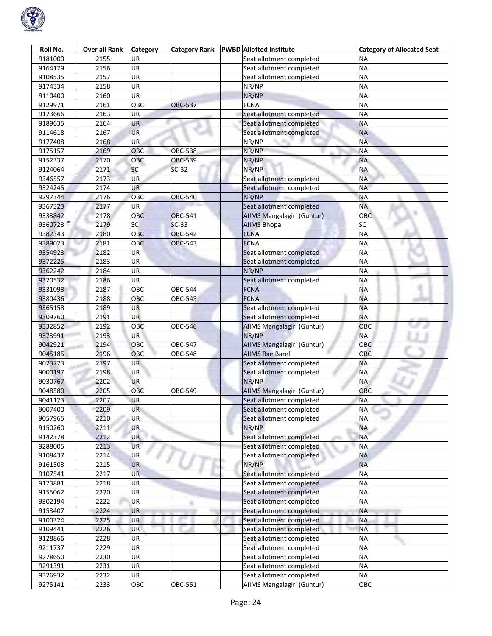

| Roll No.                        | Over all Rank | <b>Category</b> | <b>Category Rank</b> | <b>PWBD</b> Allotted Institute | <b>Category of Allocated Seat</b> |
|---------------------------------|---------------|-----------------|----------------------|--------------------------------|-----------------------------------|
| 9181000                         | 2155          | <b>UR</b>       |                      | Seat allotment completed       | ΝA                                |
| 9164179                         | 2156          | UR              |                      | Seat allotment completed       | <b>NA</b>                         |
| 9108535                         | 2157          | UR              |                      | Seat allotment completed       | <b>NA</b>                         |
| 9174334                         | 2158          | UR              |                      | NR/NP                          | <b>NA</b>                         |
| 9110400                         | 2160          | UR              |                      | NR/NP                          | <b>NA</b>                         |
| 9129971                         | 2161          | OBC             | <b>OBC-537</b>       | <b>FCNA</b>                    | <b>NA</b>                         |
| 9173666                         | 2163          | UR              |                      | Seat allotment completed       | <b>NA</b>                         |
| 9189635                         | 2164          | UR              |                      | Seat allotment completed       | <b>NA</b>                         |
| 9114618                         | 2167          | <b>UR</b>       |                      | Seat allotment completed       | <b>NA</b>                         |
| 9177408                         | 2168          | UR              |                      | NR/NP                          | <b>NA</b>                         |
| 9175157                         | 2169          | OBC             | <b>OBC-538</b>       | NR/NP                          | <b>NA</b>                         |
| 9152337                         | 2170          | OBC             | OBC-539              | NR/NP                          | <b>NA</b>                         |
| 9124064                         | 2171          | SC              | $SC-32$              | NR/NP                          | <b>NA</b>                         |
| 9346557                         | 2173          | <b>UR</b>       |                      | Seat allotment completed       | <b>NA</b>                         |
| 9324245                         | 2174          | <b>UR</b>       |                      | Seat allotment completed       | <b>NA</b>                         |
| 9297344                         | 2176          | OBC             | OBC-540              | NR/NP                          | <b>NA</b>                         |
| 9367323                         | 2177          | UR              |                      | Seat allotment completed       | <b>NA</b>                         |
| 9333842                         | 2178          | <b>OBC</b>      | <b>OBC-541</b>       | AIIMS Mangalagiri (Guntur)     | OBC                               |
| 9360723 <sup><sup>®</sup></sup> | 2179          | SC              | $SC-33$              | <b>AIIMS Bhopal</b>            | SC                                |
| 9382343                         | 2180          | OBC             | <b>OBC-542</b>       | <b>FCNA</b>                    | <b>NA</b>                         |
| 9389023                         | 2181          | OBC             | <b>OBC-543</b>       | <b>FCNA</b>                    | <b>NA</b>                         |
| 9354923                         | 2182          | <b>UR</b>       |                      | Seat allotment completed       | <b>NA</b>                         |
| 9372225                         | 2183          | <b>UR</b>       |                      | Seat allotment completed       | <b>NA</b>                         |
| 9362242                         | 2184          | UR              |                      | NR/NP                          | <b>NA</b>                         |
| 9320532                         | 2186          | UR              |                      | Seat allotment completed       | <b>NA</b>                         |
| 9331093                         | 2187          | OBC             | OBC-544              | <b>FCNA</b>                    | <b>NA</b>                         |
| 9380436                         | 2188          | OBC             | OBC-545              | <b>FCNA</b>                    | <b>NA</b>                         |
| 9365158                         | 2189          | <b>UR</b>       |                      | Seat allotment completed       | <b>NA</b>                         |
| 9309760                         | 2191          | <b>UR</b>       |                      | Seat allotment completed       | <b>NA</b>                         |
| 9332852                         | 2192          | OBC             | <b>OBC-546</b>       | AIIMS Mangalagiri (Guntur)     | OBC                               |
| 9373991                         | 2193          | <b>UR</b>       |                      | NR/NP                          | <b>NA</b>                         |
| 9042921                         | 2194          | OBC             | OBC-547              | AIIMS Mangalagiri (Guntur)     | <b>OBC</b>                        |
| 9045185                         | 2196          | OBC             | <b>OBC-548</b>       | <b>AIIMS Rae Bareli</b>        | OBC                               |
| 9023773                         | 2197          | UR.             |                      | Seat allotment completed       | <b>NA</b>                         |
| 9000197                         | 2198          | UR              |                      | Seat allotment completed       | <b>NA</b>                         |
| 9030767                         | 2202          | <b>UR</b>       |                      | NR/NP                          | <b>NA</b>                         |
| 9048580                         | 2205          | OBC             | OBC-549              | AIIMS Mangalagiri (Guntur)     | OBC                               |
| 9041123                         | 2207          | <b>UR</b>       |                      | Seat allotment completed       | <b>NA</b>                         |
| 9007400                         | 2209          | <b>UR</b>       |                      | Seat allotment completed       | <b>NA</b>                         |
| 9057965                         | 2210          | UR              |                      | Seat allotment completed       | <b>NA</b>                         |
| 9150260                         | 2211          | UR              |                      | NR/NP                          | <b>NA</b>                         |
| 9142378                         | 2212          | UR              |                      | Seat allotment completed       | <b>NA</b>                         |
| 9288005                         | 2213          | <b>UR</b>       |                      | Seat allotment completed       | <b>NA</b>                         |
| 9108437                         | 2214          | UR              |                      | Seat allotment completed       | <b>NA</b>                         |
| 9161503                         | 2215          | <b>UR</b>       |                      | NR/NP                          | <b>NA</b>                         |
| 9107541                         | 2217          | <b>UR</b>       |                      | Seat allotment completed       | <b>NA</b>                         |
| 9173881                         | 2218          | UR              |                      | Seat allotment completed       | <b>NA</b>                         |
| 9155062                         | 2220          | UR              |                      | Seat allotment completed       | <b>NA</b>                         |
| 9302194                         | 2222          | UR              | m                    | Seat allotment completed       | <b>NA</b>                         |
| 9153407                         | 2224          | UR              |                      | Seat allotment completed       | <b>NA</b>                         |
| 9100324                         | 2225          | UR              |                      | Seat allotment completed       | <b>NA</b>                         |
| 9109441                         | 2226          | UR              |                      | Seat allotment completed       | <b>NA</b>                         |
| 9128866                         | 2228          | <b>UR</b>       |                      | Seat allotment completed       | <b>NA</b>                         |
| 9211737                         | 2229          | UR              |                      | Seat allotment completed       | <b>NA</b>                         |
| 9278650                         | 2230          | UR              |                      | Seat allotment completed       | <b>NA</b>                         |
| 9291391                         | 2231          | UR              |                      | Seat allotment completed       | <b>NA</b>                         |
| 9326932                         | 2232          | UR              |                      | Seat allotment completed       | <b>NA</b>                         |
| 9275141                         | 2233          | OBC             | OBC-551              | AIIMS Mangalagiri (Guntur)     | OBC                               |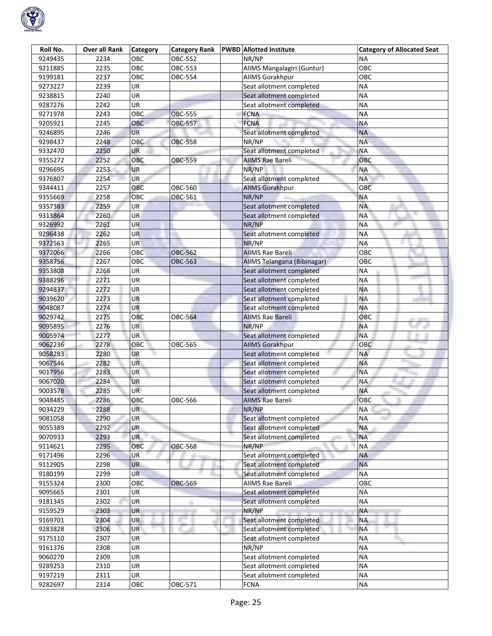

| Roll No. | <b>Over all Rank</b> | <b>Category</b> | <b>Category Rank</b> | <b>PWBD</b> Allotted Institute | <b>Category of Allocated Seat</b> |
|----------|----------------------|-----------------|----------------------|--------------------------------|-----------------------------------|
| 9249435  | 2234                 | OBC             | OBC-552              | NR/NP                          | ΝA                                |
| 9211885  | 2235                 | OBC             | OBC-553              | AIIMS Mangalagiri (Guntur)     | OBC                               |
| 9199181  | 2237                 | OBC             | OBC-554              | AllMS Gorakhpur                | OBC                               |
| 9273227  | 2239                 | UR              |                      | Seat allotment completed       | <b>NA</b>                         |
| 9238815  | 2240                 | <b>UR</b>       |                      | Seat allotment completed       | <b>NA</b>                         |
| 9287276  | 2242                 | UR              |                      | Seat allotment completed       | <b>NA</b>                         |
| 9271978  | 2243                 | OBC             | <b>OBC-555</b>       | <b>FCNA</b>                    | <b>NA</b>                         |
| 9205921  | 2245                 | OBC             | <b>OBC-557</b>       | <b>FCNA</b>                    | <b>NA</b>                         |
| 9246895  | 2246                 | <b>UR</b>       |                      | Seat allotment completed       | <b>NA</b>                         |
| 9298437  | 2248                 | OBC             | <b>OBC-558</b>       | NR/NP                          | <b>NA</b>                         |
| 9332470  | 2250                 | <b>UR</b>       |                      | Seat allotment completed       | <b>NA</b>                         |
| 9355272  | 2252                 | <b>OBC</b>      | OBC-559              | <b>AIIMS Rae Bareli</b>        | OBC                               |
| 9296695  | 2253                 | <b>UR</b>       |                      | NR/NP                          | <b>NA</b>                         |
| 9376807  | 2254                 | UR              |                      | Seat allotment completed       | <b>NA</b>                         |
| 9344411  | 2257                 | OBC             | OBC-560              | <b>AIIMS Gorakhpur</b>         | OBC                               |
| 9355669  | 2258                 | OBC             | OBC-561              | NR/NP                          | <b>NA</b>                         |
| 9357383  | 2259                 | <b>UR</b>       |                      | Seat allotment completed       | <b>NA</b>                         |
| 9313864  | 2260                 | <b>UR</b>       |                      | Seat allotment completed       | <b>NA</b>                         |
| 9326992  | 2261                 | <b>UR</b>       |                      | NR/NP                          | <b>NA</b>                         |
| 9296438  | 2262                 | <b>UR</b>       |                      | Seat allotment completed       | <b>NA</b>                         |
| 9372563  | 2265                 | <b>UR</b>       |                      | NR/NP                          | <b>NA</b>                         |
| 9372066  | 2266                 | OBC             | <b>OBC-562</b>       | <b>AIIMS Rae Bareli</b>        | OBC                               |
| 9358756  | 2267                 | OBC             | <b>OBC-563</b>       | AllMS Telangana (Bibinagar)    | OBC                               |
| 9353808  | 2268                 | UR              |                      | Seat allotment completed       | <b>NA</b>                         |
| 9388296  | 2271                 | UR              |                      | Seat allotment completed       | <b>NA</b>                         |
| 9294837  | 2272                 | <b>UR</b>       |                      | Seat allotment completed       | <b>NA</b>                         |
| 9039620  | 2273                 | UR              |                      | Seat allotment completed       | <b>NA</b>                         |
| 9048087  | 2274                 | <b>UR</b>       |                      | Seat allotment completed       | <b>NA</b>                         |
| 9029742  | 2275                 | OBC             | <b>OBC-564</b>       | <b>AIIMS Rae Bareli</b>        | ОВС                               |
| 9095895  | 2276                 | <b>UR</b>       |                      | NR/NP                          | <b>NA</b>                         |
| 9005974  | 2277                 | UR              |                      | Seat allotment completed       | <b>NA</b>                         |
| 9062236  | 2278                 | OBC             | OBC-565              | <b>AIIMS Gorakhpur</b>         | <b>OBC</b>                        |
| 9058283  | 2280                 | <b>UR</b>       |                      | Seat allotment completed       | <b>NA</b>                         |
| 9067546  | 2282                 | UR.             |                      | Seat allotment completed       | <b>NA</b>                         |
| 9017956  | 2283                 | UR              |                      | Seat allotment completed       | <b>NA</b>                         |
| 9067020  | 2284                 | <b>UR</b>       |                      | Seat allotment completed       | <b>NA</b>                         |
| 9003578  | 2285                 | UR              |                      | Seat allotment completed       | <b>NA</b>                         |
| 9048485  | 2286                 | OBC             | OBC-566              | <b>AIIMS Rae Bareli</b>        | OBC                               |
| 9034229  | 2288                 | UR              |                      | NR/NP                          | <b>NA</b>                         |
| 9081058  | 2290                 | UR              |                      | Seat allotment completed       | <b>NA</b>                         |
| 9055389  | 2292                 | UR.             |                      | Seat allotment completed       | <b>NA</b>                         |
| 9070933  | 2293                 | <b>UR</b>       |                      | Seat allotment completed       | <b>NA</b>                         |
| 9114621  | 2295                 | OBC             | <b>OBC-568</b>       | NR/NP                          | <b>NA</b>                         |
| 9171496  | 2296                 | <b>UR</b>       |                      | Seat allotment completed       | <b>NA</b>                         |
| 9112905  | 2298                 | <b>UR</b>       |                      | Seat allotment completed       | <b>NA</b>                         |
| 9180199  | 2299                 | <b>UR</b>       |                      | Seat allotment completed       | <b>NA</b>                         |
| 9155324  | 2300                 | OBC             | <b>OBC-569</b>       | <b>AIIMS Rae Bareli</b>        | OBC                               |
| 9095665  | 2301                 | UR              |                      | Seat allotment completed       | <b>NA</b>                         |
| 9181345  | 2302                 | UR              | m                    | Seat allotment completed       | <b>NA</b>                         |
| 9159529  | 2303                 | <b>UR</b>       |                      | NR/NP                          | <b>NA</b>                         |
| 9169701  | 2304                 | UR              |                      | Seat allotment completed       | <b>NA</b>                         |
| 9283828  | 2306                 | UR              |                      | Seat allotment completed       | <b>NA</b>                         |
| 9175110  | 2307                 | <b>UR</b>       |                      | Seat allotment completed       | <b>NA</b>                         |
| 9161376  | 2308                 | UR              |                      | NR/NP                          | <b>NA</b>                         |
| 9060270  | 2309                 | UR              |                      | Seat allotment completed       | <b>NA</b>                         |
| 9289253  | 2310                 | UR              |                      | Seat allotment completed       | <b>NA</b>                         |
| 9197219  | 2311                 | UR              |                      | Seat allotment completed       | <b>NA</b>                         |
| 9282697  | 2314                 | OBC             | OBC-571              | <b>FCNA</b>                    | <b>NA</b>                         |
|          |                      |                 |                      |                                |                                   |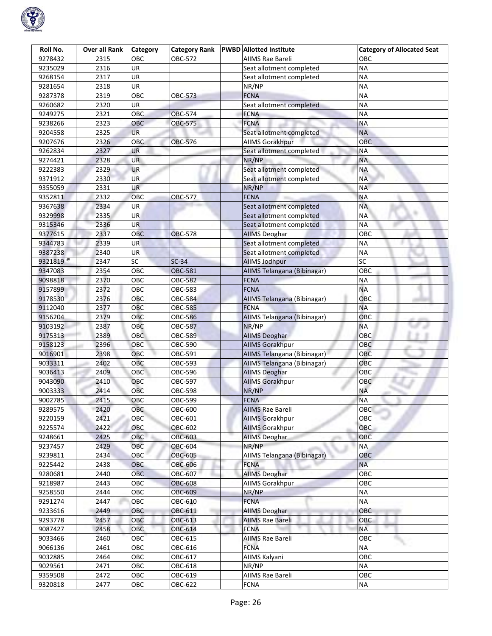

| Roll No.             | Over all Rank | <b>Category</b> | <b>Category Rank</b> | <b>PWBD</b> Allotted Institute | <b>Category of Allocated Seat</b> |
|----------------------|---------------|-----------------|----------------------|--------------------------------|-----------------------------------|
| 9278432              | 2315          | OBC             | OBC-572              | AIIMS Rae Bareli               | ОВС                               |
| 9235029              | 2316          | UR              |                      | Seat allotment completed       | <b>NA</b>                         |
| 9268154              | 2317          | UR              |                      | Seat allotment completed       | <b>NA</b>                         |
| 9281654              | 2318          | UR              |                      | NR/NP                          | <b>NA</b>                         |
| 9287378              | 2319          | OBC             | <b>OBC-573</b>       | <b>FCNA</b>                    | <b>NA</b>                         |
| 9260682              | 2320          | UR              |                      | Seat allotment completed       | <b>NA</b>                         |
| 9249275              | 2321          | OBC             | <b>OBC-574</b>       | <b>FCNA</b>                    | <b>NA</b>                         |
| 9238266              | 2323          | <b>OBC</b>      | <b>OBC-575</b>       | <b>FCNA</b>                    | <b>NA</b>                         |
| 9204558              | 2325          | <b>UR</b>       |                      | Seat allotment completed       | <b>NA</b>                         |
| 9207676              | 2326          | OBC             | OBC-576              | <b>AIIMS Gorakhpur</b>         | OBC                               |
| 9262834              | 2327          | UR              |                      | Seat allotment completed       | <b>NA</b>                         |
| 9274421              | 2328          | <b>UR</b>       |                      | NR/NP                          | <b>NA</b>                         |
| 9222383              | 2329          | <b>UR</b>       |                      | Seat allotment completed       | <b>NA</b>                         |
| 9371912              | 2330          | <b>UR</b>       |                      | Seat allotment completed       | <b>NA</b>                         |
| 9355059              | 2331          | <b>UR</b>       |                      | NR/NP                          | <b>NA</b>                         |
| 9352811              | 2332          | OBC             | OBC-577              | <b>FCNA</b>                    | <b>NA</b>                         |
| 9367638              | 2334          | <b>UR</b>       |                      | Seat allotment completed       | <b>NA</b>                         |
| 9329998              | 2335          | <b>UR</b>       |                      | Seat allotment completed       | <b>NA</b>                         |
| 9315346              | 2336          | <b>UR</b>       |                      | Seat allotment completed       | <b>NA</b>                         |
| 9377615              | 2337          | <b>OBC</b>      | <b>OBC-578</b>       | <b>AIIMS Deoghar</b>           | OBC                               |
| 9344783              | 2339          | UR              |                      | Seat allotment completed       | <b>NA</b>                         |
| 9387238              | 2340          | UR              |                      | Seat allotment completed       | <b>NA</b>                         |
| 9321819 <sup>@</sup> | 2347          | SC              | $SC-34$              | <b>AllMS Jodhpur</b>           | SC                                |
| 9347083              | 2354          | OBC             | <b>OBC-581</b>       | AIIMS Telangana (Bibinagar)    | OBC                               |
| 9098818              | 2370          | OBC             | <b>OBC-582</b>       | <b>FCNA</b>                    | <b>NA</b>                         |
| 9157899              | 2372          | OBC             | OBC-583              | <b>FCNA</b>                    | <b>NA</b>                         |
| 9178530              | 2376          | OBC             | OBC-584              | AIIMS Telangana (Bibinagar)    | OBC                               |
| 9112040              | 2377          | OBC             | <b>OBC-585</b>       | <b>FCNA</b>                    | <b>NA</b>                         |
| 9156204              | 2379          | OBC             | <b>OBC-586</b>       | AllMS Telangana (Bibinagar)    | OBC                               |
| 9103192              | 2387          | OBC             | <b>OBC-587</b>       | NR/NP                          | <b>NA</b>                         |
| 9175313              | 2389          | OBC             | <b>OBC-589</b>       | <b>AIIMS Deoghar</b>           | OBC                               |
| 9158123              | 2396          | OBC             | OBC-590              | <b>AIIMS Gorakhpur</b>         | OBC                               |
| 9016901              | 2398          | OBC             | OBC-591              | AIIMS Telangana (Bibinagar)    | OBC                               |
| 9033311              | 2402          | OBC             | OBC-593              | AIIMS Telangana (Bibinagar)    | OBC                               |
| 9036413              | 2409          | OBC             | OBC-596              | <b>AIIMS Deoghar</b>           | OBC                               |
| 9043090              | 2410          | OBC             | OBC-597              | <b>AIIMS Gorakhpur</b>         | OBC                               |
| 9003333              | 2414          | OBC             | OBC-598              | NR/NP                          | <b>NA</b>                         |
| 9002785              | 2415          | OBC             | OBC-599              | <b>FCNA</b>                    | <b>NA</b>                         |
| 9289575              | 2420          | OBC             | OBC-600              | <b>AIIMS Rae Bareli</b>        | OBC                               |
| 9220159              | 2421          | ОВС             | OBC-601              | <b>AIIMS Gorakhpur</b>         | OBC                               |
| 9225574              | 2422          | OBC             | OBC-602              | <b>AIIMS Gorakhpur</b>         | <b>OBC</b>                        |
| 9248661              | 2425          | OBC             | OBC-603              | <b>AllMS Deoghar</b>           | OBC                               |
| 9237457              | 2429          | OBC             | OBC-604              | NR/NP                          | <b>NA</b>                         |
| 9239811              | 2434          | OBC             | OBC-605              | AIIMS Telangana (Bibinagar)    | OBC                               |
| 9225442              | 2438          | OBC             | OBC-606              | <b>FCNA</b>                    | <b>NA</b>                         |
| 9280681              | 2440          | OBC             | OBC-607              | <b>AIIMS Deoghar</b>           | <b>OBC</b>                        |
| 9218987              | 2443          | OBC             | <b>OBC-608</b>       | AllMS Gorakhpur                | овс                               |
| 9258550              | 2444          | OBC             | OBC-609              | NR/NP                          | <b>NA</b>                         |
| 9291274              | 2447          | OBC             | OBC-610              | <b>FCNA</b>                    | <b>NA</b>                         |
| 9233616              | 2449          | OBC             | OBC-611              | <b>AIIMS Deoghar</b>           | OBC                               |
| 9293778              | 2457          | ОВС             | OBC-613              | <b>AIIMS Rae Bareli</b>        | OBC                               |
| 9087427              | 2458          | OBC             | OBC-614              | <b>FCNA</b>                    | <b>NA</b>                         |
| 9033466              | 2460          | OBC             | OBC-615              | <b>AIIMS Rae Bareli</b>        | OBC                               |
| 9066136              | 2461          | OBC             | OBC-616              | <b>FCNA</b>                    | <b>NA</b>                         |
| 9032885              | 2464          | OBC             | OBC-617              | AIIMS Kalyani                  | OBC                               |
| 9029561              | 2471          | OBC             | OBC-618              | NR/NP                          | <b>NA</b>                         |
| 9359508              | 2472          | OBC             | OBC-619              | AIIMS Rae Bareli               | OBC                               |
| 9320818              | 2477          | OBC             | OBC-622              | <b>FCNA</b>                    | <b>NA</b>                         |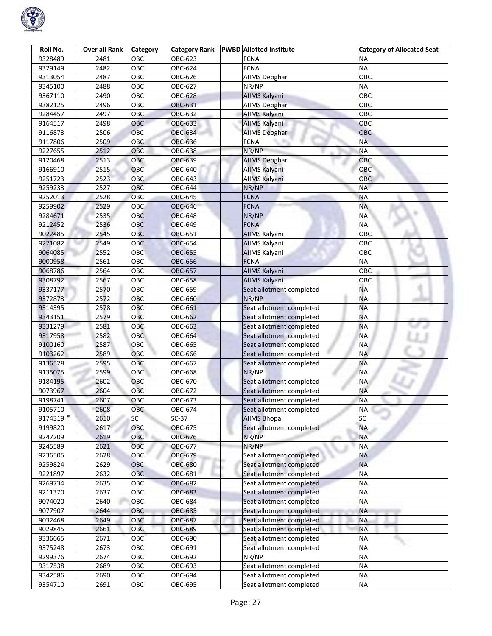

| Roll No.             | <b>Over all Rank</b> | <b>Category</b> | <b>Category Rank</b> | <b>PWBD Allotted Institute</b> | <b>Category of Allocated Seat</b> |
|----------------------|----------------------|-----------------|----------------------|--------------------------------|-----------------------------------|
| 9328489              | 2481                 | OBC             | OBC-623              | <b>FCNA</b>                    | ΝA                                |
| 9329149              | 2482                 | OBC             | OBC-624              | <b>FCNA</b>                    | <b>NA</b>                         |
| 9313054              | 2487                 | OBC             | OBC-626              | <b>AIIMS Deoghar</b>           | OBC                               |
| 9345100              | 2488                 | OBC             | OBC-627              | NR/NP                          | ΝA                                |
| 9367110              | 2490                 | OBC             | <b>OBC-628</b>       | <b>AIIMS Kalyani</b>           | ОВС                               |
| 9382125              | 2496                 | OBC             | <b>OBC-631</b>       | <b>AIIMS Deoghar</b>           | OBC                               |
| 9284457              | 2497                 | OBC             | <b>OBC-632</b>       | AllMS Kalyani                  | OBC                               |
| 9164517              | 2498                 | <b>OBC</b>      | OBC-633              | AllMS Kalyani                  | OBC                               |
| 9116873              | 2506                 | OBC             | <b>OBC-634</b>       | <b>AllMS Deoghar</b>           | OBC                               |
| 9117806              | 2509                 | OBC             | OBC-636              | <b>FCNA</b>                    | <b>NA</b>                         |
| 9227655              | 2512                 | OBC             | OBC-638              | NR/NP                          | <b>NA</b>                         |
| 9120468              | 2513                 | OBC             | OBC-639              | <b>AIIMS Deoghar</b>           | OBC                               |
| 9166910              | 2515                 | OBC             | OBC-640              | AllMS Kalyani                  | OBC                               |
| 9251723              | 2523                 | <b>OBC</b>      | OBC-643              | AllMS Kalyani                  | OBC                               |
| 9259233              | 2527                 | OBC             | OBC-644              | NR/NP                          | <b>NA</b>                         |
| 9252013              | 2528                 | OBC             | OBC-645              | <b>FCNA</b>                    | <b>NA</b>                         |
| 9259902              | 2529                 | OBC             | <b>OBC-646</b>       | <b>FCNA</b>                    | <b>NA</b>                         |
| 9284671              | 2535                 | OBC             | <b>OBC-648</b>       | NR/NP                          | <b>NA</b>                         |
| 9212452              | 2536                 | OBC             | <b>OBC-649</b>       | <b>FCNA</b>                    | <b>NA</b>                         |
| 9022485              | 2545                 | OBC             | OBC-651              | <b>AIIMS Kalyani</b>           | OBC                               |
| 9271082              | 2549                 | OBC             | OBC-654              | <b>AIIMS Kalyani</b>           | ОВС                               |
| 9064085              | 2552                 | OBC             | <b>OBC-655</b>       | <b>AIIMS Kalyani</b>           | OBC                               |
| 9000958              | 2561                 | OBC             | OBC-656              | <b>FCNA</b>                    | ΝA                                |
| 9068786              | 2564                 | ОВС             | OBC-657              | AllMS Kalyani                  | ОВС                               |
| 9308792              | 2567                 | OBC             | OBC-658              | AIIMS Kalyani                  | OBC                               |
| 9337177              | 2570                 | OBC             | OBC-659              | Seat allotment completed       | <b>NA</b>                         |
| 9372873              | 2572                 | OBC             | OBC-660              | NR/NP                          | <b>NA</b>                         |
| 9314395              | 2578                 | OBC             | OBC-661              | Seat allotment completed       | <b>NA</b>                         |
| 9343151              | 2579                 | OBC             | OBC-662              | Seat allotment completed       | <b>NA</b>                         |
| 9331279              | 2581                 | OBC             | OBC-663              | Seat allotment completed       | <b>NA</b>                         |
| 9317958              | 2582                 | <b>OBC</b>      | OBC-664              | Seat allotment completed       | <b>NA</b>                         |
| 9100160              | 2587                 | OBC             | OBC-665              | Seat allotment completed       | <b>NA</b>                         |
| 9103262              | 2589                 | OBC             | OBC-666              | Seat allotment completed       | NA                                |
| 9136528              | 2595                 | OBC             | OBC-667              | Seat allotment completed       | <b>NA</b>                         |
| 9135075              | 2599                 | OBC             | OBC-668              | NR/NP                          | <b>NA</b>                         |
| 9184195              | 2602                 | OBC             | OBC-670              | Seat allotment completed       | ΝA                                |
| 9073967              | 2604                 | OBC             | OBC-672              | Seat allotment completed       | <b>NA</b>                         |
| 9198741              | 2607                 | OBC             | OBC-673              | Seat allotment completed       | <b>NA</b>                         |
| 9105710              | 2608                 | OBC             | OBC-674              | Seat allotment completed       | <b>NA</b>                         |
| 9174319 <sup>®</sup> | 2610                 | SC              | $SC-37$              | <b>AIIMS Bhopal</b>            | SC                                |
| 9199820              | 2617                 | OBC             | OBC-675              | Seat allotment completed       | <b>NA</b>                         |
| 9247209              | 2619                 | OBC             | OBC-676              | NR/NP                          | <b>NA</b>                         |
| 9245589              | 2621                 | OBC             | OBC-677              | NR/NP                          | <b>NA</b>                         |
| 9236505              | 2628                 | OBC             | OBC-679              | Seat allotment completed       | <b>NA</b>                         |
| 9259824              | 2629                 | OBC             | <b>OBC-680</b>       | Seat allotment completed       | <b>NA</b>                         |
| 9221897              | 2632                 | OBC             | OBC-681              | Seat allotment completed       | <b>NA</b>                         |
| 9269734              | 2635                 | OBC             | <b>OBC-682</b>       | Seat allotment completed       | <b>NA</b>                         |
| 9211370              | 2637                 | OBC             | OBC-683              | Seat allotment completed       | <b>NA</b>                         |
| 9074020              | 2640                 | OBC             | OBC-684              | Seat allotment completed       | <b>NA</b>                         |
| 9077907              | 2644                 | OBC             | OBC-685              | Seat allotment completed       | <b>NA</b>                         |
| 9032468              | 2649                 | OBC             | <b>OBC-687</b>       | Seat allotment completed       | <b>NA</b>                         |
| 9029845              | 2661                 | OBC             | <b>OBC-689</b>       | Seat allotment completed       | <b>NA</b>                         |
| 9336665              | 2671                 | OBC             | OBC-690              | Seat allotment completed       | <b>NA</b>                         |
| 9375248              | 2673                 | OBC             | OBC-691              | Seat allotment completed       | <b>NA</b>                         |
| 9299376              | 2674                 | OBC             | OBC-692              | NR/NP                          | <b>NA</b>                         |
| 9317538              | 2689                 | OBC             | OBC-693              | Seat allotment completed       | <b>NA</b>                         |
| 9342586              | 2690                 | OBC             | OBC-694              | Seat allotment completed       | <b>NA</b>                         |
| 9354710              | 2691                 | OBC             | OBC-695              | Seat allotment completed       | <b>NA</b>                         |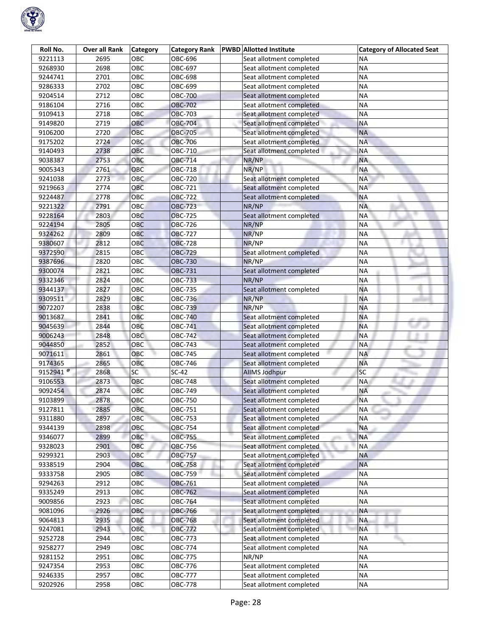

| Roll No.             | <b>Over all Rank</b> | <b>Category</b> | <b>Category Rank</b> | <b>PWBD</b> Allotted Institute | <b>Category of Allocated Seat</b> |
|----------------------|----------------------|-----------------|----------------------|--------------------------------|-----------------------------------|
| 9221113              | 2695                 | ОВС             | OBC-696              | Seat allotment completed       | ΝA                                |
| 9268930              | 2698                 | OBC             | OBC-697              | Seat allotment completed       | <b>NA</b>                         |
| 9244741              | 2701                 | OBC             | OBC-698              | Seat allotment completed       | <b>NA</b>                         |
| 9286333              | 2702                 | OBC             | OBC-699              | Seat allotment completed       | <b>NA</b>                         |
| 9204514              | 2712                 | OBC             | OBC-700              | Seat allotment completed       | <b>NA</b>                         |
| 9186104              | 2716                 | OBC             | <b>OBC-702</b>       | Seat allotment completed       | <b>NA</b>                         |
| 9109413              | 2718                 | OBC             | <b>OBC-703</b>       | Seat allotment completed       | <b>NA</b>                         |
| 9149820              | 2719                 | OBC             | OBC-704              | Seat allotment completed       | <b>NA</b>                         |
| 9106200              | 2720                 | OBC             | <b>OBC-705</b>       | Seat allotment completed       | <b>NA</b>                         |
| 9175202              | 2724                 | <b>OBC</b>      | <b>OBC-706</b>       | Seat allotment completed       | <b>NA</b>                         |
| 9140493              | 2738                 | OBC             | OBC-710              | Seat allotment completed       | <b>NA</b>                         |
| 9038387              | 2753                 | OBC             | <b>OBC-714</b>       | NR/NP                          | <b>NA</b>                         |
| 9005343              | 2761                 | OBC             | OBC-718              | NR/NP                          | <b>NA</b>                         |
| 9241038              | 2773                 | <b>OBC</b>      | OBC-720              | Seat allotment completed       | <b>NA</b>                         |
| 9219663              | 2774                 | OBC             | OBC-721              | Seat allotment completed       | <b>NA</b>                         |
| 9224487              | 2778                 | OBC             | OBC-722              | Seat allotment completed       | <b>NA</b>                         |
| 9221322              | 2791                 | OBC             | <b>OBC-723</b>       | NR/NP                          | <b>NA</b>                         |
| 9228164              | 2803                 | OBC             | <b>OBC-725</b>       | Seat allotment completed       | <b>NA</b>                         |
| 9224194              | 2805                 | <b>OBC</b>      | <b>OBC-726</b>       | NR/NP                          | <b>NA</b>                         |
| 9324262              | 2809                 | OBC             | <b>OBC-727</b>       | NR/NP                          | <b>NA</b>                         |
| 9380607              | 2812                 | <b>OBC</b>      | <b>OBC-728</b>       | NR/NP                          | <b>NA</b>                         |
| 9372590              | 2815                 | OBC             | <b>OBC-729</b>       | Seat allotment completed       | <b>NA</b>                         |
| 9387696              | 2820                 | OBC             | <b>OBC-730</b>       | NR/NP                          | <b>NA</b>                         |
| 9300074              | 2821                 | OBC             | OBC-731              | Seat allotment completed       | <b>NA</b>                         |
| 9332346              | 2824                 | OBC             | OBC-733              | NR/NP                          | <b>NA</b>                         |
| 9344137              | 2827                 | OBC             | OBC-735              | Seat allotment completed       | <b>NA</b>                         |
| 9309511              | 2829                 | OBC             | OBC-736              | NR/NP                          | <b>NA</b>                         |
| 9072207              | 2838                 | OBC             | OBC-739              | NR/NP                          | <b>NA</b>                         |
| 9013687              | 2841                 | OBC             | <b>OBC-740</b>       | Seat allotment completed       | <b>NA</b>                         |
| 9045639              | 2844                 | OBC             | OBC-741              | Seat allotment completed       | <b>NA</b>                         |
| 9006243              | 2848                 | OBC             | OBC-742              | Seat allotment completed       | <b>NA</b>                         |
| 9044850              | 2852                 | OBC             | OBC-743              | Seat allotment completed       | <b>NA</b>                         |
| 9071611              | 2861                 | OBC             | OBC-745              | Seat allotment completed       | <b>NA</b>                         |
| 9174365              | 2865                 | OBC             | OBC-746              | Seat allotment completed       | <b>NA</b>                         |
| 9152941 <sup>@</sup> | 2868                 | SC              | $SC-42$              | <b>AllMS Jodhpur</b>           | SC                                |
| 9106553              | 2873                 | OBC             | <b>OBC-748</b>       | Seat allotment completed       | <b>NA</b>                         |
| 9092454              | 2874                 | OBC             | OBC-749              | Seat allotment completed       | <b>NA</b>                         |
| 9103899              | 2878                 | OBC             | <b>OBC-750</b>       | Seat allotment completed       | <b>NA</b>                         |
| 9127811              | 2885                 | OBC             | OBC-751              | Seat allotment completed       | <b>NA</b>                         |
| 9311880              | 2897                 | ОВС             | OBC-753              | Seat allotment completed       | <b>NA</b>                         |
| 9344139              | 2898                 | OBC             | OBC-754              | Seat allotment completed       | <b>NA</b>                         |
| 9346077              | 2899                 | OBC             | <b>OBC-755</b>       | Seat allotment completed       | <b>NA</b>                         |
| 9328023              | 2901                 | OBC             | <b>OBC-756</b>       | Seat allotment completed       | <b>NA</b>                         |
| 9299321              | 2903                 | OBC             | <b>OBC-757</b>       | Seat allotment completed       | <b>NA</b>                         |
| 9338519              | 2904                 | OBC             | <b>OBC-758</b>       | Seat allotment completed       | <b>NA</b>                         |
| 9333758              | 2905                 | OBC             | <b>OBC-759</b>       | Seat allotment completed       | <b>NA</b>                         |
| 9294263              | 2912                 | OBC             | <b>OBC-761</b>       | Seat allotment completed       | <b>NA</b>                         |
| 9335249              | 2913                 | ОВС             | OBC-762              | Seat allotment completed       | <b>NA</b>                         |
| 9009856              | 2923                 | OBC             | OBC-764              | Seat allotment completed       | <b>NA</b>                         |
| 9081096              | 2926                 | OBC             | OBC-766              | Seat allotment completed       | <b>NA</b>                         |
| 9064813              | 2935                 | ОВС             | <b>OBC-768</b>       | Seat allotment completed       | <b>NA</b>                         |
| 9247081              | 2943                 | OBC             | OBC-772              | Seat allotment completed       | <b>NA</b>                         |
| 9252728              | 2944                 | OBC             | OBC-773              | Seat allotment completed       | ΝA                                |
| 9258277              | 2949                 | OBC             | OBC-774              | Seat allotment completed       | <b>NA</b>                         |
| 9281152              | 2951                 | OBC             | OBC-775              | NR/NP                          | <b>NA</b>                         |
| 9247354              | 2953                 | OBC             | OBC-776              | Seat allotment completed       | <b>NA</b>                         |
| 9246335              | 2957                 | OBC             | OBC-777              | Seat allotment completed       | <b>NA</b>                         |
| 9202926              | 2958                 | OBC             | OBC-778              | Seat allotment completed       | <b>NA</b>                         |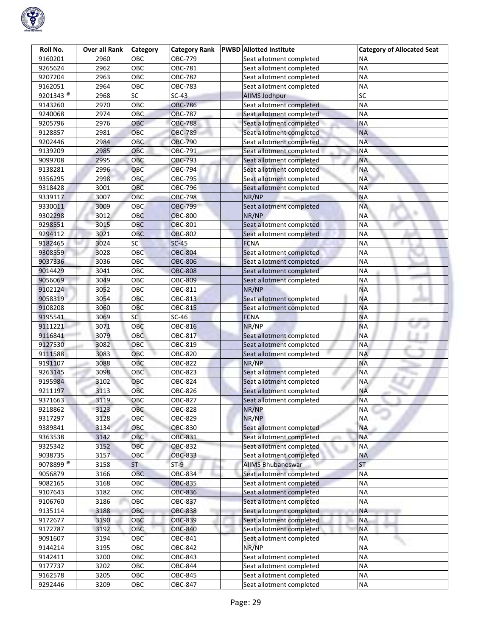

| Roll No.             | <b>Over all Rank</b> | <b>Category</b> | <b>Category Rank</b> | <b>PWBD</b> Allotted Institute | <b>Category of Allocated Seat</b> |
|----------------------|----------------------|-----------------|----------------------|--------------------------------|-----------------------------------|
| 9160201              | 2960                 | ОВС             | OBC-779              | Seat allotment completed       | ΝA                                |
| 9265624              | 2962                 | OBC             | OBC-781              | Seat allotment completed       | <b>NA</b>                         |
| 9207204              | 2963                 | OBC             | OBC-782              | Seat allotment completed       | <b>NA</b>                         |
| 9162051              | 2964                 | OBC             | <b>OBC-783</b>       | Seat allotment completed       | <b>NA</b>                         |
| 9201343 <sup>@</sup> | 2968                 | $\overline{SC}$ | $SC-43$              | <b>AllMS Jodhpur</b>           | SC                                |
| 9143260              | 2970                 | OBC             | <b>OBC-786</b>       | Seat allotment completed       | <b>NA</b>                         |
| 9240068              | 2974                 | OBC             | <b>OBC-787</b>       | Seat allotment completed       | <b>NA</b>                         |
| 9205796              | 2976                 | OBC             | <b>OBC-788</b>       | Seat allotment completed       | <b>NA</b>                         |
| 9128857              | 2981                 | OBC             | <b>OBC-789</b>       | Seat allotment completed       | <b>NA</b>                         |
| 9202446              | 2984                 | <b>OBC</b>      | <b>OBC-790</b>       | Seat allotment completed       | <b>NA</b>                         |
| 9139209              | 2985                 | OBC             | OBC-791              | Seat allotment completed       | <b>NA</b>                         |
| 9099708              | 2995                 | OBC             | OBC-793              | Seat allotment completed       | <b>NA</b>                         |
| 9138281              | 2996                 | OBC             | OBC-794              | Seat allotment completed       | <b>NA</b>                         |
| 9356295              | 2998                 | OBC             | OBC-795              | Seat allotment completed       | <b>NA</b>                         |
| 9318428              | 3001                 | OBC             | OBC-796              | Seat allotment completed       | <b>NA</b>                         |
| 9339117              | 3007                 | OBC             | <b>OBC-798</b>       | NR/NP                          | <b>NA</b>                         |
| 9330011              | 3009                 | OBC             | <b>OBC-799</b>       | Seat allotment completed       | <b>NA</b>                         |
| 9302298              | 3012                 | OBC             | <b>OBC-800</b>       | NR/NP                          | <b>NA</b>                         |
| 9298551              | 3015                 | <b>OBC</b>      | <b>OBC-801</b>       | Seat allotment completed       | <b>NA</b>                         |
| 9294112              | 3021                 | OBC             | <b>OBC-802</b>       | Seat allotment completed       | <b>NA</b>                         |
| 9182465              | 3024                 | SC              | $SC-45$              | <b>FCNA</b>                    | <b>NA</b>                         |
| 9308559              | 3028                 | OBC             | <b>OBC-804</b>       | Seat allotment completed       | <b>NA</b>                         |
| 9037336              | 3036                 | OBC             | <b>OBC-806</b>       | Seat allotment completed       | <b>NA</b>                         |
| 9014429              | 3041                 | OBC             | <b>OBC-808</b>       | Seat allotment completed       | <b>NA</b>                         |
| 9056069              | 3049                 | OBC             | <b>OBC-809</b>       | Seat allotment completed       | <b>NA</b>                         |
| 9102124              | 3052                 | OBC             | OBC-811              | NR/NP                          | <b>NA</b>                         |
| 9058319              | 3054                 | OBC             | OBC-813              | Seat allotment completed       | <b>NA</b>                         |
| 9108208              | 3060                 | OBC             | <b>OBC-815</b>       | Seat allotment completed       | <b>NA</b>                         |
| 9195541              | 3069                 | <b>SC</b>       | $SC-46$              | <b>FCNA</b>                    | <b>NA</b>                         |
| 9111221              | 3071                 | OBC             | <b>OBC-816</b>       | NR/NP                          | <b>NA</b>                         |
| 9116841              | 3079                 | OBC             | OBC-817              | Seat allotment completed       | <b>NA</b>                         |
| 9127530              | 3082                 | OBC             | OBC-819              | Seat allotment completed       | <b>NA</b>                         |
| 9111588              | 3083                 | OBC             | OBC-820              | Seat allotment completed       | <b>NA</b>                         |
| 9191107              | 3088                 | OBC             | <b>OBC-822</b>       | NR/NP                          | <b>NA</b>                         |
| 9263145              | 3098                 | OBC             | OBC-823              | Seat allotment completed       | <b>NA</b>                         |
| 9195984              | 3102                 | OBC             | OBC-824              | Seat allotment completed       | <b>NA</b>                         |
| 9211197              | 3113                 | OBC             | OBC-826              | Seat allotment completed       | <b>NA</b>                         |
| 9371663              | 3119                 | OBC             | <b>OBC-827</b>       | Seat allotment completed       | <b>NA</b>                         |
| 9218862              | 3123                 | OBC             | <b>OBC-828</b>       | NR/NP                          | <b>NA</b>                         |
| 9317297              | 3128                 | OBC             | OBC-829              | NR/NP                          | <b>NA</b>                         |
| 9389841              | 3134                 | OBC             | <b>OBC-830</b>       | Seat allotment completed       | <b>NA</b>                         |
| 9363538              | 3142                 | OBC             | <b>OBC-831</b>       | Seat allotment completed       | <b>NA</b>                         |
| 9325342              | 3152                 | OBC             | <b>OBC-832</b>       | Seat allotment completed       | <b>NA</b>                         |
| 9038735              | 3157                 | OBC             | <b>OBC-833</b>       | Seat allotment completed       | <b>NA</b>                         |
| 9078899 <sup>®</sup> | 3158                 | <b>ST</b>       | $ST-9$               | <b>AIIMS Bhubaneswar</b>       | <b>ST</b>                         |
| 9056879              | 3166                 | OBC             | <b>OBC-834</b>       | Seat allotment completed       | <b>NA</b>                         |
| 9082165              | 3168                 | OBC             | <b>OBC-835</b>       | Seat allotment completed       | <b>NA</b>                         |
| 9107643              | 3182                 | OBC             | <b>OBC-836</b>       | Seat allotment completed       | <b>NA</b>                         |
| 9106760              | 3186                 | OBC             | <b>OBC-837</b>       | Seat allotment completed       | <b>NA</b>                         |
| 9135114              | 3188                 | OBC             | OBC-838              | Seat allotment completed       | <b>NA</b>                         |
| 9172677              | 3190                 | ОВС             | <b>OBC-839</b>       | Seat allotment completed       | <b>NA</b>                         |
| 9172787              | 3192                 | OBC             | <b>OBC-840</b>       | Seat allotment completed       | <b>NA</b>                         |
| 9091607              | 3194                 | OBC             | OBC-841              | Seat allotment completed       | ΝA                                |
| 9144214              | 3195                 | OBC             | OBC-842              | NR/NP                          | <b>NA</b>                         |
| 9142411              | 3200                 | OBC             | OBC-843              | Seat allotment completed       | <b>NA</b>                         |
| 9177737              | 3202                 | OBC             | OBC-844              | Seat allotment completed       | <b>NA</b>                         |
| 9162578              | 3205                 | OBC             | OBC-845              | Seat allotment completed       | <b>NA</b>                         |
| 9292446              | 3209                 | OBC             | OBC-847              | Seat allotment completed       | <b>NA</b>                         |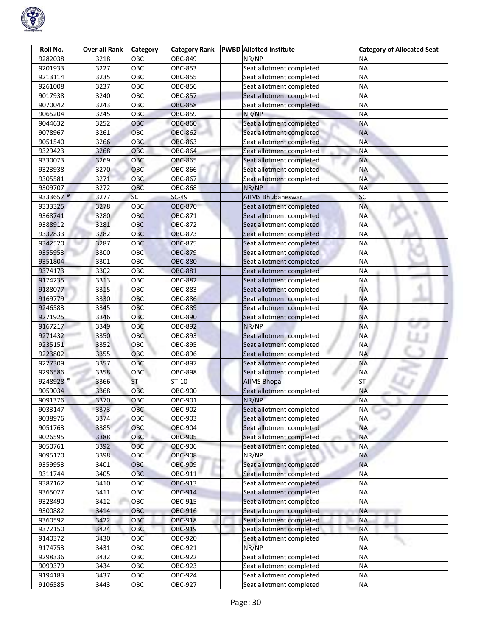

| Roll No.             | Over all Rank | <b>Category</b> | <b>Category Rank</b> | <b>PWBD</b> Allotted Institute | <b>Category of Allocated Seat</b> |
|----------------------|---------------|-----------------|----------------------|--------------------------------|-----------------------------------|
| 9282038              | 3218          | OBC             | OBC-849              | NR/NP                          | ΝA                                |
| 9201933              | 3227          | OBC             | OBC-853              | Seat allotment completed       | <b>NA</b>                         |
| 9213114              | 3235          | OBC             | OBC-855              | Seat allotment completed       | <b>NA</b>                         |
| 9261008              | 3237          | OBC             | OBC-856              | Seat allotment completed       | <b>NA</b>                         |
| 9017938              | 3240          | OBC             | <b>OBC-857</b>       | Seat allotment completed       | <b>NA</b>                         |
| 9070042              | 3243          | OBC             | OBC-858              | Seat allotment completed       | <b>NA</b>                         |
| 9065204              | 3245          | OBC             | <b>OBC-859</b>       | NR/NP                          | <b>NA</b>                         |
| 9044632              | 3252          | OBC             | <b>OBC-860</b>       | Seat allotment completed       | <b>NA</b>                         |
| 9078967              | 3261          | OBC             | <b>OBC-862</b>       | Seat allotment completed       | <b>NA</b>                         |
| 9051540              | 3266          | <b>OBC</b>      | <b>OBC-863</b>       | Seat allotment completed       | <b>NA</b>                         |
| 9329423              | 3268          | ОВС             | OBC-864              | Seat allotment completed       | <b>NA</b>                         |
| 9330073              | 3269          | OBC             | OBC-865              | Seat allotment completed       | <b>NA</b>                         |
| 9323938              | 3270          | OBC             | <b>OBC-866</b>       | Seat allotment completed       | <b>NA</b>                         |
| 9305581              | 3271          | <b>OBC</b>      | OBC-867              | Seat allotment completed       | <b>NA</b>                         |
| 9309707              | 3272          | OBC             | <b>OBC-868</b>       | NR/NP                          | <b>NA</b>                         |
| 9333657 <sup>@</sup> | 3277          | <b>SC</b>       | $SC-49$              | <b>AIIMS Bhubaneswar</b>       | SC                                |
| 9333325              | 3278          | OBC             | <b>OBC-870</b>       | Seat allotment completed       | <b>NA</b>                         |
| 9368741              | 3280          | OBC             | <b>OBC-871</b>       | Seat allotment completed       | <b>NA</b>                         |
| 9388912              | 3281          | OBC             | <b>OBC-872</b>       | Seat allotment completed       | ΝA                                |
| 9332833              | 3282          | OBC             | <b>OBC-873</b>       | Seat allotment completed       | <b>NA</b>                         |
| 9342520              | 3287          | <b>OBC</b>      | <b>OBC-875</b>       | Seat allotment completed       | <b>NA</b>                         |
| 9355953              | 3300          | OBC             | <b>OBC-879</b>       | Seat allotment completed       | <b>NA</b>                         |
| 9351804              | 3301          | OBC             | <b>OBC-880</b>       | Seat allotment completed       | ΝA                                |
| 9374173              | 3302          | OBC             | <b>OBC-881</b>       | Seat allotment completed       | <b>NA</b>                         |
| 9174235              | 3313          | OBC             | <b>OBC-882</b>       | Seat allotment completed       | ΝA                                |
| 9188077              | 3315          | OBC             | <b>OBC-883</b>       | Seat allotment completed       | <b>NA</b>                         |
| 9169779              | 3330          | OBC             | <b>OBC-886</b>       | Seat allotment completed       | <b>NA</b>                         |
| 9246583              | 3345          | OBC             | <b>OBC-889</b>       | Seat allotment completed       | <b>NA</b>                         |
| 9271925              | 3346          | OBC             | <b>OBC-890</b>       | Seat allotment completed       | <b>NA</b>                         |
| 9167217              | 3349          | OBC             | OBC-892              | NR/NP                          | <b>NA</b>                         |
| 9271432              | 3350          | OBC             | <b>OBC-893</b>       | Seat allotment completed       | <b>NA</b>                         |
| 9235151              | 3352          | OBC             | OBC-895              | Seat allotment completed       | <b>NA</b>                         |
| 9223802              | 3355          | OBC             | OBC-896              | Seat allotment completed       | <b>NA</b>                         |
| 9227309              | 3357          | OBC             | OBC-897              | Seat allotment completed       | <b>NA</b>                         |
| 9296586              | 3358          | OBC             | <b>OBC-898</b>       | Seat allotment completed       | <b>NA</b>                         |
| 9248928 <sup>@</sup> | 3366          | ST              | ST-10                | <b>AIIMS Bhopal</b>            | ST.                               |
| 9059034              | 3368          | OBC             | OBC-900              | Seat allotment completed       | <b>NA</b>                         |
| 9091376              | 3370          | OBC             | OBC-901              | NR/NP                          | <b>NA</b>                         |
| 9033147              | 3373          | OBC             | OBC-902              | Seat allotment completed       | <b>NA</b>                         |
| 9038976              | 3374          | OBC             | OBC-903              | Seat allotment completed       | <b>NA</b>                         |
| 9051763              | 3385          | OBC             | OBC-904              | Seat allotment completed       | <b>NA</b>                         |
| 9026595              | 3388          | OBC             | <b>OBC-905</b>       | Seat allotment completed       | <b>NA</b>                         |
| 9050761              | 3392          | OBC             | <b>OBC-906</b>       | Seat allotment completed       | <b>NA</b>                         |
| 9095170              | 3398          | OBC             | <b>OBC-908</b>       | NR/NP                          | <b>NA</b>                         |
| 9359953              | 3401          | OBC             | OBC-909              | Seat allotment completed       | <b>NA</b>                         |
| 9311744              | 3405          | OBC             | OBC-911              | Seat allotment completed       | <b>NA</b>                         |
| 9387162              | 3410          | OBC             | <b>OBC-913</b>       | Seat allotment completed       | <b>NA</b>                         |
| 9365027              | 3411          | OBC             | <b>OBC-914</b>       | Seat allotment completed       | <b>NA</b>                         |
| 9328490              | 3412          | OBC             | OBC-915              | Seat allotment completed       | <b>NA</b>                         |
| 9300882              | 3414          | OBC             | OBC-916              | Seat allotment completed       | NA                                |
| 9360592              | 3422          | ОВС             | <b>OBC-918</b>       | Seat allotment completed       | <b>NA</b>                         |
| 9372150              | 3424          | OBC             | OBC-919              | Seat allotment completed       | <b>NA</b>                         |
| 9140372              | 3430          | OBC             | OBC-920              | Seat allotment completed       | <b>NA</b>                         |
| 9174753              | 3431          | OBC             | OBC-921              | NR/NP                          | <b>NA</b>                         |
| 9298336              | 3432          | OBC             | OBC-922              | Seat allotment completed       | <b>NA</b>                         |
| 9099379              | 3434          | OBC             | OBC-923              | Seat allotment completed       | <b>NA</b>                         |
| 9194183              | 3437          | OBC             | OBC-924              | Seat allotment completed       | <b>NA</b>                         |
| 9106585              | 3443          | OBC             | OBC-927              | Seat allotment completed       | <b>NA</b>                         |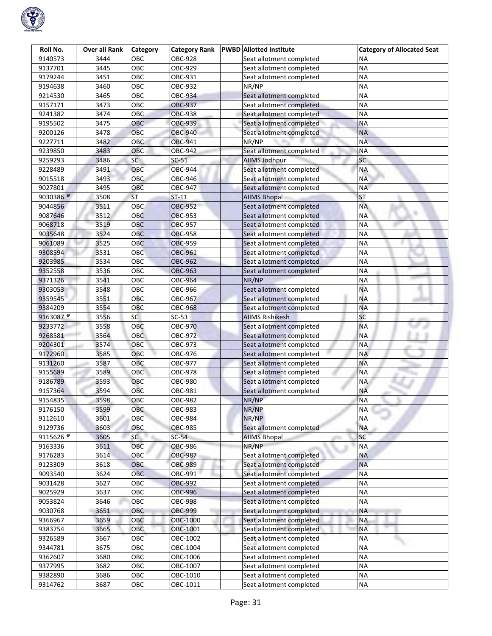

| Roll No.              | <b>Over all Rank</b> | <b>Category</b> | <b>Category Rank</b> | <b>PWBD</b> Allotted Institute | <b>Category of Allocated Seat</b> |
|-----------------------|----------------------|-----------------|----------------------|--------------------------------|-----------------------------------|
| 9140573               | 3444                 | OBC             | OBC-928              | Seat allotment completed       | ΝA                                |
| 9137701               | 3445                 | OBC             | OBC-929              | Seat allotment completed       | <b>NA</b>                         |
| 9179244               | 3451                 | OBC             | OBC-931              | Seat allotment completed       | <b>NA</b>                         |
| 9194638               | 3460                 | OBC             | OBC-932              | NR/NP                          | <b>NA</b>                         |
| 9214530               | 3465                 | OBC             | OBC-934              | Seat allotment completed       | <b>NA</b>                         |
| 9157171               | 3473                 | OBC             | <b>OBC-937</b>       | Seat allotment completed       | <b>NA</b>                         |
| 9241382               | 3474                 | OBC             | <b>OBC-938</b>       | Seat allotment completed       | <b>NA</b>                         |
| 9195502               | 3475                 | OBC             | <b>OBC-939</b>       | Seat allotment completed       | <b>NA</b>                         |
| 9200126               | 3478                 | OBC             | <b>OBC-940</b>       | Seat allotment completed       | <b>NA</b>                         |
| 9227711               | 3482                 | OBC             | OBC-941              | NR/NP                          | <b>NA</b>                         |
| 9239850               | 3483                 | OBC             | <b>OBC-942</b>       | Seat allotment completed       | <b>NA</b>                         |
| 9259293               | 3486                 | SC              | $SC-51$              | <b>AllMS Jodhpur</b>           | <b>SC</b>                         |
| 9228489               | 3491                 | OBC             | <b>OBC-944</b>       | Seat allotment completed       | <b>NA</b>                         |
| 9015518               | 3493                 | OBC             | OBC-946              | Seat allotment completed       | <b>NA</b>                         |
| 9027801               | 3495                 | OBC             | OBC-947              | Seat allotment completed       | <b>NA</b>                         |
| 9030386 <sup>@</sup>  | 3508                 | ST              | $ST-11$              | <b>AIIMS Bhopal</b>            | <b>ST</b>                         |
| 9044856               | 3511                 | OBC             | <b>OBC-952</b>       | Seat allotment completed       | <b>NA</b>                         |
| 9087646               | 3512                 | <b>OBC</b>      | <b>OBC-953</b>       | Seat allotment completed       | <b>NA</b>                         |
| 9068718               | 3519                 | OBC             | <b>OBC-957</b>       | Seat allotment completed       | <b>NA</b>                         |
| 9035648               | 3524                 | OBC             | <b>OBC-958</b>       | Seat allotment completed       | <b>NA</b>                         |
| 9061089               | 3525                 | OBC             | <b>OBC-959</b>       | Seat allotment completed       | <b>NA</b>                         |
| 9308594               | 3531                 | OBC             | <b>OBC-961</b>       | Seat allotment completed       | <b>NA</b>                         |
| 9203985               | 3534                 | OBC             | <b>OBC-962</b>       | Seat allotment completed       | <b>NA</b>                         |
| 9352558               | 3536                 | OBC             | <b>OBC-963</b>       | Seat allotment completed       | ΝA                                |
| 9371326               | 3541                 | OBC             | <b>OBC-964</b>       | NR/NP                          | <b>NA</b>                         |
| 9303053               | 3548                 | OBC             | OBC-966              | Seat allotment completed       | <b>NA</b>                         |
| 9359545               | 3551                 | OBC             | OBC-967              | Seat allotment completed       | <b>NA</b>                         |
| 9384209               | 3554                 | OBC             | <b>OBC-968</b>       | Seat allotment completed       | <b>NA</b>                         |
| 9163087 <sup>®</sup>  | 3556                 | <b>SC</b>       | $SC-53$              | <b>AIIMS Rishikesh</b>         | SC                                |
| 9233772               | 3558                 | OBC             | OBC-970              | Seat allotment completed       | <b>NA</b>                         |
| 9268581               | 3564                 | <b>OBC</b>      | OBC-972              | Seat allotment completed       | <b>NA</b>                         |
| 9204301               | 3574                 | OBC             | OBC-973              | Seat allotment completed       | <b>NA</b>                         |
| 9172960               | 3585                 | OBC             | OBC-976              | Seat allotment completed       | <b>NA</b>                         |
| 9131260               | 3587                 | OBC             | OBC-977              | Seat allotment completed       | <b>NA</b>                         |
| 9155689               | 3589                 | OBC             | OBC-978              | Seat allotment completed       | <b>NA</b>                         |
| 9186789               | 3593                 | OBC             | OBC-980              | Seat allotment completed       | <b>NA</b>                         |
| 9157364               | 3594                 | OBC             | OBC-981              | Seat allotment completed       | <b>NA</b>                         |
| 9154835               | 3598                 | OBC             | <b>OBC-982</b>       | NR/NP                          | <b>NA</b>                         |
| 9176150               | 3599                 | OBC             | <b>OBC-983</b>       | NR/NP                          | <b>NA</b>                         |
| 9112610               | 3601                 | OBC             | <b>OBC-984</b>       | NR/NP                          | <b>NA</b>                         |
| 9129736               | 3603                 | OBC             | <b>OBC-985</b>       | Seat allotment completed       | <b>NA</b>                         |
| 9115626 $\frac{1}{6}$ | 3605                 | SC              | $SC-54$              | <b>AIIMS Bhopal</b>            | <b>SC</b>                         |
| 9163336               | 3611                 | OBC             | <b>OBC-986</b>       | NR/NP                          | <b>NA</b>                         |
| 9176283               | 3614                 | OBC             | <b>OBC-987</b>       | Seat allotment completed       | <b>NA</b>                         |
| 9123309               | 3618                 | OBC             | <b>OBC-989</b>       | Seat allotment completed       | <b>NA</b>                         |
| 9093540               | 3624                 | OBC             | OBC-991              | Seat allotment completed       | <b>NA</b>                         |
| 9031428               | 3627                 | OBC             | <b>OBC-992</b>       | Seat allotment completed       | <b>NA</b>                         |
| 9025929               | 3637                 | OBC             | OBC-996              | Seat allotment completed       | <b>NA</b>                         |
| 9053824               | 3646                 | OBC             | <b>OBC-998</b>       | Seat allotment completed       | <b>NA</b>                         |
| 9030768               | 3651                 | OBC             | OBC-999              | Seat allotment completed       | NA                                |
| 9366967               | 3659                 | ОВС             | OBC-1000             | Seat allotment completed       | <b>NA</b>                         |
| 9383754               | 3665                 | OBC             | OBC-1001             | Seat allotment completed       | <b>NA</b>                         |
| 9326589               | 3667                 | OBC             | OBC-1002             | Seat allotment completed       | <b>NA</b>                         |
| 9344781               | 3675                 | OBC             | OBC-1004             | Seat allotment completed       | <b>NA</b>                         |
| 9362607               | 3680                 | OBC             | OBC-1006             | Seat allotment completed       | <b>NA</b>                         |
| 9377995               | 3682                 | OBC             | OBC-1007             | Seat allotment completed       | <b>NA</b>                         |
| 9382890               | 3686                 | OBC             | OBC-1010             | Seat allotment completed       | <b>NA</b>                         |
| 9314762               | 3687                 | OBC             | OBC-1011             | Seat allotment completed       | <b>NA</b>                         |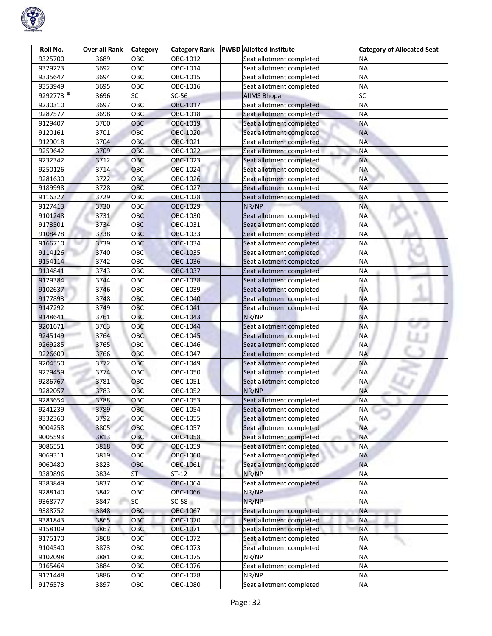

| Roll No.             | <b>Over all Rank</b> | <b>Category</b> | <b>Category Rank</b> | <b>PWBD</b> Allotted Institute    | <b>Category of Allocated Seat</b> |
|----------------------|----------------------|-----------------|----------------------|-----------------------------------|-----------------------------------|
| 9325700              | 3689                 | ОВС             | OBC-1012             | Seat allotment completed          | ΝA                                |
| 9329223              | 3692                 | OBC             | OBC-1014             | Seat allotment completed          | <b>NA</b>                         |
| 9335647              | 3694                 | OBC             | OBC-1015             | Seat allotment completed          | <b>NA</b>                         |
| 9353949              | 3695                 | OBC             | OBC-1016             | Seat allotment completed          | <b>NA</b>                         |
| 9292773 <sup>®</sup> | 3696                 | $\overline{SC}$ | $SC-56$              | <b>AIIMS Bhopal</b>               | SC                                |
| 9230310              | 3697                 | OBC             | OBC-1017             | Seat allotment completed          | <b>NA</b>                         |
| 9287577              | 3698                 | OBC             | OBC-1018             | Seat allotment completed          | <b>NA</b>                         |
| 9129407              | 3700                 | OBC             | OBC-1019             | Seat allotment completed          | <b>NA</b>                         |
| 9120161              | 3701                 | OBC             | OBC-1020             | Seat allotment completed          | <b>NA</b>                         |
| 9129018              | 3704                 | <b>OBC</b>      | OBC-1021             | Seat allotment completed          | <b>NA</b>                         |
| 9259642              | 3709                 | OBC             | OBC-1022             | Seat allotment completed          | <b>NA</b>                         |
| 9232342              | 3712                 | OBC             | OBC-1023             | Seat allotment completed          | <b>NA</b>                         |
| 9250126              | 3714                 | OBC             | OBC-1024             | Seat allotment completed          | <b>NA</b>                         |
| 9281630              | 3722                 | OBC             | OBC-1026             | Seat allotment completed          | <b>NA</b>                         |
| 9189998              | 3728                 | OBC             | OBC-1027             | Seat allotment completed          | <b>NA</b>                         |
| 9116327              | 3729                 | OBC             | OBC-1028             | Seat allotment completed          | <b>NA</b>                         |
| 9127413              | 3730                 | OBC             | OBC-1029             | NR/NP                             | <b>NA</b>                         |
| 9101248              | 3731                 | OBC             | OBC-1030             | Seat allotment completed          | <b>NA</b>                         |
| 9173501              | 3734                 | OBC             | OBC-1031             | Seat allotment completed          | <b>NA</b>                         |
| 9108478              | 3738                 | OBC             | OBC-1033             | Seat allotment completed          | <b>NA</b>                         |
| 9166710              | 3739                 | OBC             | OBC-1034             | Seat allotment completed          | <b>NA</b>                         |
| 9114126              | 3740                 | OBC             | OBC-1035             | Seat allotment completed          | <b>NA</b>                         |
| 9154114              | 3742                 | OBC             | OBC-1036             | Seat allotment completed          | <b>NA</b>                         |
| 9134841              | 3743                 | ОВС             | OBC-1037             | Seat allotment completed          | <b>NA</b>                         |
| 9129384              | 3744                 | OBC             | OBC-1038             | Seat allotment completed          | <b>NA</b>                         |
| 9102637              | 3746                 | OBC             | OBC-1039             | Seat allotment completed          | <b>NA</b>                         |
| 9177893              | 3748                 | OBC             | OBC-1040             | Seat allotment completed          | <b>NA</b>                         |
| 9147292              | 3749                 | OBC             | OBC-1041             | Seat allotment completed          | <b>NA</b>                         |
| 9148641              | 3761                 | OBC             | OBC-1043             | NR/NP                             | <b>NA</b>                         |
| 9201671              | 3763                 | OBC             | OBC-1044             | Seat allotment completed          | <b>NA</b>                         |
| 9245149              | 3764                 | OBC             | OBC-1045             | Seat allotment completed          | <b>NA</b>                         |
| 9269285              | 3765                 | OBC             | OBC-1046             | Seat allotment completed          | <b>NA</b>                         |
| 9226609              | 3766                 | OBC             | OBC-1047             | Seat allotment completed          | <b>NA</b>                         |
| 9204550              | 3772                 | OBC             | OBC-1049             | Seat allotment completed          | <b>NA</b>                         |
| 9279459              | 3774                 | OBC             | OBC-1050             | Seat allotment completed          | <b>NA</b>                         |
| 9286767              | 3781                 | OBC             | OBC-1051             | Seat allotment completed          | <b>NA</b>                         |
| 9282057              | 3783                 | OBC             | OBC-1052             | NR/NP                             | <b>NA</b>                         |
| 9283654              | 3788                 | OBC             | OBC-1053             | Seat allotment completed          | <b>NA</b>                         |
| 9241239              | 3789                 | OBC             | OBC-1054             | Seat allotment completed          | <b>NA</b>                         |
| 9332360              | 3792                 | OBC             | OBC-1055             | Seat allotment completed          | <b>NA</b>                         |
| 9004258              | 3805                 | OBC             | OBC-1057             | Seat allotment completed          | <b>NA</b>                         |
| 9005593              | 3813                 | OBC             | OBC-1058             | Seat allotment completed          | <b>NA</b>                         |
| 9086551              | 3818                 | OBC             | OBC-1059             | Seat allotment completed          | <b>NA</b>                         |
| 9069311              | 3819                 | OBC             | OBC-1060             | Seat allotment completed          | <b>NA</b>                         |
| 9060480              | 3823                 | OBC             | OBC-1061             | Seat allotment completed          | <b>NA</b>                         |
| 9389896              | 3834                 | ST              | $ST-12$              | NR/NP                             | <b>NA</b>                         |
| 9383849              | 3837                 | OBC             | OBC-1064             | Seat allotment completed          | <b>NA</b>                         |
| 9288140              | 3842                 | OBC             | OBC-1066             | NR/NP                             | <b>NA</b>                         |
| 9368777              | 3847                 | SC              | $SC-58$              | NR/NP                             | <b>NA</b>                         |
| 9388752              | 3848<br>3865         | OBC<br>ОВС      | OBC-1067<br>OBC-1070 | Seat allotment completed          | <b>NA</b><br><b>NA</b>            |
| 9381843              |                      |                 |                      | Seat allotment completed          | <b>NA</b>                         |
| 9158109              | 3867                 | OBC<br>OBC      | OBC-1071             | Seat allotment completed          |                                   |
| 9175170              | 3868                 | OBC             | OBC-1072             | Seat allotment completed          | ΝA<br><b>NA</b>                   |
| 9104540<br>9102098   | 3873                 | OBC             | OBC-1073<br>OBC-1075 | Seat allotment completed<br>NR/NP | <b>NA</b>                         |
|                      | 3881                 |                 |                      |                                   | <b>NA</b>                         |
| 9165464              | 3884                 | OBC<br>OBC      | OBC-1076             | Seat allotment completed<br>NR/NP | <b>NA</b>                         |
| 9171448              | 3886                 |                 | OBC-1078             |                                   |                                   |
| 9176573              | 3897                 | OBC             | OBC-1080             | Seat allotment completed          | <b>NA</b>                         |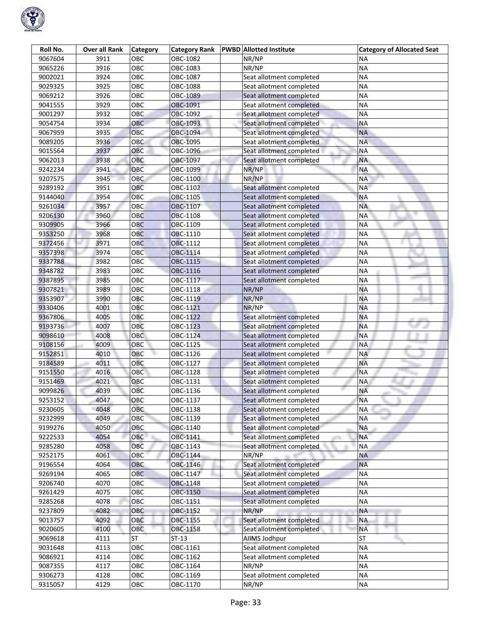

| Roll No. | <b>Over all Rank</b> | <b>Category</b> | <b>Category Rank</b> | <b>PWBD</b> Allotted Institute | <b>Category of Allocated Seat</b> |
|----------|----------------------|-----------------|----------------------|--------------------------------|-----------------------------------|
| 9067604  | 3911                 | овс             | OBC-1082             | NR/NP                          | NА                                |
| 9065226  | 3916                 | OBC             | OBC-1083             | NR/NP                          | <b>NA</b>                         |
| 9002021  | 3924                 | OBC             | OBC-1087             | Seat allotment completed       | <b>NA</b>                         |
| 9029325  | 3925                 | OBC             | OBC-1088             | Seat allotment completed       | <b>NA</b>                         |
| 9069212  | 3926                 | OBC             | OBC-1089             | Seat allotment completed       | <b>NA</b>                         |
| 9041555  | 3929                 | OBC             | OBC-1091             | Seat allotment completed       | <b>NA</b>                         |
| 9001297  | 3932                 | <b>OBC</b>      | OBC-1092             | Seat allotment completed       | <b>NA</b>                         |
| 9054754  | 3934                 | ОВС             | OBC-1093             | Seat allotment completed       | <b>NA</b>                         |
| 9067959  | 3935                 | OBC             | OBC-1094             | Seat allotment completed       | <b>NA</b>                         |
| 9089205  | 3936                 | OBC             | OBC-1095             | Seat allotment completed       | <b>NA</b>                         |
| 9015564  | 3937                 | ОВС             | OBC-1096             | Seat allotment completed       | <b>NA</b>                         |
| 9062013  | 3938                 | OBC             | OBC-1097             | Seat allotment completed       | <b>NA</b>                         |
| 9242234  | 3941                 | ОВС             | OBC-1099             | NR/NP                          | <b>NA</b>                         |
| 9207575  | 3945                 | <b>OBC</b>      | OBC-1100             | NR/NP                          | <b>NA</b>                         |
| 9289192  | 3951                 | OBC             | OBC-1102             | Seat allotment completed       | <b>NA</b>                         |
| 9144040  | 3954                 | OBC             | OBC-1105             | Seat allotment completed       | <b>NA</b>                         |
| 9261034  | 3957                 | OBC             | OBC-1107             | Seat allotment completed       | <b>NA</b>                         |
| 9206130  | 3960                 | OBC             | OBC-1108             | Seat allotment completed       | <b>NA</b>                         |
| 9309905  | 3966                 | OBC             | OBC-1109             | Seat allotment completed       | <b>NA</b>                         |
| 9353250  | 3968                 | OBC             | OBC-1110             | Seat allotment completed       | <b>NA</b>                         |
| 9372456  | 3971                 | OBC             | OBC-1112             | Seat allotment completed       | <b>NA</b>                         |
| 9357398  | 3974                 | OBC             | OBC-1114             | Seat allotment completed       | <b>NA</b>                         |
| 9337788  | 3982                 | OBC             | OBC-1115             | Seat allotment completed       | <b>NA</b>                         |
| 9348782  | 3983                 | OBC             | OBC-1116             | Seat allotment completed       | <b>NA</b>                         |
| 9387895  | 3985                 | OBC             | OBC-1117             | Seat allotment completed       | <b>NA</b>                         |
| 9307821  | 3989                 | OBC             | OBC-1118             | NR/NP                          | <b>NA</b>                         |
| 9353907  | 3990                 | OBC             | OBC-1119             | NR/NP                          | <b>NA</b>                         |
| 9330406  | 4001                 | OBC             | OBC-1121             | NR/NP                          | <b>NA</b>                         |
| 9367806  | 4005                 | OBC             | OBC-1122             | Seat allotment completed       | <b>NA</b>                         |
| 9193736  | 4007                 | OBC             | OBC-1123             | Seat allotment completed       | <b>NA</b>                         |
| 9098610  | 4008                 | OBC             | OBC-1124             | Seat allotment completed       | <b>NA</b>                         |
| 9108156  | 4009                 | OBC             | OBC-1125             | Seat allotment completed       | <b>NA</b>                         |
| 9152851  | 4010                 | OBC             | OBC-1126             | Seat allotment completed       | <b>NA</b>                         |
| 9184589  | 4011                 | OBC             | OBC-1127             | Seat allotment completed       | <b>NA</b>                         |
| 9151550  | 4016                 | OBC             | OBC-1128             | Seat allotment completed       | <b>NA</b>                         |
| 9151469  | 4021                 | OBC             | OBC-1131             | Seat allotment completed       | <b>NA</b>                         |
| 9099826  | 4039                 | OBC             | OBC-1136             | Seat allotment completed       | <b>NA</b>                         |
| 9253152  | 4047                 | OBC             | OBC-1137             | Seat allotment completed       | <b>NA</b>                         |
| 9230605  | 4048                 | OBC             | OBC-1138             | Seat allotment completed       | <b>NA</b>                         |
| 9232999  | 4049                 | OBC             | OBC-1139             | Seat allotment completed       | <b>NA</b>                         |
| 9199276  | 4050                 | OBC             | OBC-1140             | Seat allotment completed       | <b>NA</b>                         |
| 9222533  | 4054                 | OBC             | OBC-1141             | Seat allotment completed       | <b>NA</b>                         |
| 9285280  | 4058                 | OBC             | OBC-1143             | Seat allotment completed       | <b>NA</b>                         |
| 9252175  | 4061                 | OBC             | OBC-1144             | NR/NP                          | <b>NA</b>                         |
| 9196554  | 4064                 | OBC             | OBC-1146             | Seat allotment completed       | <b>NA</b>                         |
| 9269194  | 4065                 | OBC             | OBC-1147             | Seat allotment completed       | <b>NA</b>                         |
| 9206740  | 4070                 | OBC             | OBC-1148             | Seat allotment completed       | <b>NA</b>                         |
| 9261429  | 4075                 | OBC             | OBC-1150             | Seat allotment completed       | <b>NA</b>                         |
| 9285268  | 4078                 | OBC             | OBC-1151             | Seat allotment completed       | <b>NA</b>                         |
| 9237809  | 4082                 | OBC             | OBC-1152             | NR/NP                          | <b>NA</b>                         |
| 9013757  | 4092                 | OBC             | OBC-1155             | Seat allotment completed       | <b>NA</b>                         |
| 9020605  | 4100                 | OBC             | OBC-1158             | Seat allotment completed       | <b>NA</b>                         |
| 9069618  | 4111                 | <b>ST</b>       | $ST-13$              | AllMS Jodhpur                  | <b>ST</b>                         |
| 9031648  | 4113                 | OBC             | OBC-1161             | Seat allotment completed       | <b>NA</b>                         |
| 9086921  | 4114                 | OBC             | OBC-1162             | Seat allotment completed       | <b>NA</b>                         |
| 9087355  | 4117                 | OBC             | OBC-1164             | NR/NP                          | <b>NA</b>                         |
| 9306273  | 4128                 | OBC             | OBC-1169             | Seat allotment completed       | <b>NA</b>                         |
| 9315057  | 4129                 | OBC             | OBC-1170             | NR/NP                          | <b>NA</b>                         |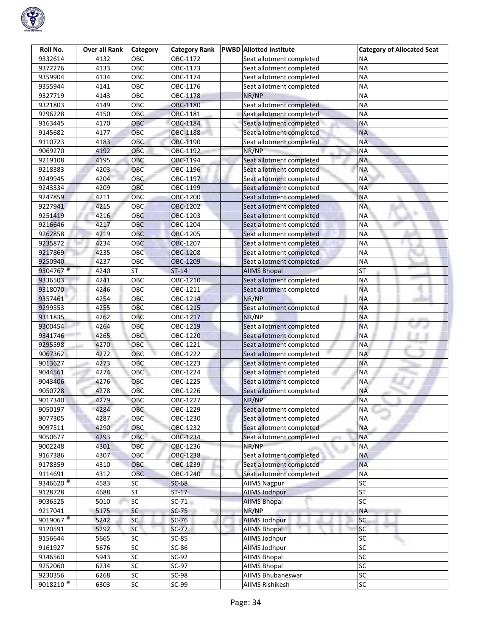

| Roll No.                              | <b>Over all Rank</b> | <b>Category</b> | <b>Category Rank</b> | <b>PWBD Allotted Institute</b> | <b>Category of Allocated Seat</b> |
|---------------------------------------|----------------------|-----------------|----------------------|--------------------------------|-----------------------------------|
| 9332614                               | 4132                 | OBC             | OBC-1172             | Seat allotment completed       | ΝA                                |
| 9372276                               | 4133                 | OBC             | OBC-1173             | Seat allotment completed       | <b>NA</b>                         |
| 9359904                               | 4134                 | OBC             | OBC-1174             | Seat allotment completed       | <b>NA</b>                         |
| 9355944                               | 4141                 | OBC             | OBC-1176             | Seat allotment completed       | <b>NA</b>                         |
| 9327719                               | 4143                 | OBC             | OBC-1178             | NR/NP                          | <b>NA</b>                         |
| 9321803                               | 4149                 | OBC             | OBC-1180             | Seat allotment completed       | <b>NA</b>                         |
| 9296228                               | 4150                 | OBC             | OBC-1181             | Seat allotment completed       | <b>NA</b>                         |
| 9163445                               | 4170                 | OBC             | OBC-1184             | Seat allotment completed       | <b>NA</b>                         |
| 9145682                               | 4177                 | OBC             | OBC-1188             | Seat allotment completed       | <b>NA</b>                         |
| 9110723                               | 4183                 | OBC             | OBC-1190             | Seat allotment completed       | <b>NA</b>                         |
| 9069270                               | 4192                 | OBC             | OBC-1192             | NR/NP                          | <b>NA</b>                         |
| 9219108                               | 4195                 | OBC             | OBC-1194             | Seat allotment completed       | <b>NA</b>                         |
| 9218383                               | 4203                 | OBC             | OBC-1196             | Seat allotment completed       | <b>NA</b>                         |
| 9249945                               | 4204                 | <b>OBC</b>      | OBC-1197             | Seat allotment completed       | <b>NA</b>                         |
| 9243334                               | 4209                 | OBC             | OBC-1199             | Seat allotment completed       | <b>NA</b>                         |
| 9247859                               | 4211                 | OBC             | OBC-1200             | Seat allotment completed       | <b>NA</b>                         |
| 9227941                               | 4215                 | OBC             | OBC-1202             | Seat allotment completed       | <b>NA</b>                         |
| 9251419                               | 4216                 | OBC             | OBC-1203             | Seat allotment completed       | <b>NA</b>                         |
| 9216646                               | 4217                 | OBC             | OBC-1204             | Seat allotment completed       | <b>NA</b>                         |
| 9262858                               | 4219                 | OBC             | OBC-1205             | Seat allotment completed       | <b>NA</b>                         |
| 9235872                               | 4234                 | OBC             | OBC-1207             | Seat allotment completed       | <b>NA</b>                         |
| 9217869                               | 4235                 | <b>OBC</b>      | <b>OBC-1208</b>      | Seat allotment completed       | <b>NA</b>                         |
| 9250940                               | 4237                 | OBC             | OBC-1209             | Seat allotment completed       | <b>NA</b>                         |
| 9304767 <sup>®</sup>                  | 4240                 | <b>ST</b>       | $ST-14$              | <b>AIIMS Bhopal</b>            | <b>ST</b>                         |
| 9336503                               | 4241                 | OBC             | OBC-1210             | Seat allotment completed       | <b>NA</b>                         |
| 9318070                               | 4246                 | OBC             | OBC-1211             | Seat allotment completed       | <b>NA</b>                         |
| 9357461                               | 4254                 | OBC             | OBC-1214             | NR/NP                          | <b>NA</b>                         |
| 9299553                               | 4255                 | OBC             | OBC-1215             | Seat allotment completed       | <b>NA</b>                         |
| 9311835                               | 4262                 | OBC             | OBC-1217             | NR/NP                          | <b>NA</b>                         |
| 9300454                               | 4264                 | OBC             | OBC-1219             | Seat allotment completed       | <b>NA</b>                         |
| 9341746                               | 4265                 | <b>OBC</b>      | OBC-1220             | Seat allotment completed       | <b>NA</b>                         |
| 9295598                               | 4270                 | OBC             | OBC-1221             | Seat allotment completed       | <b>NA</b>                         |
| 9067362                               | 4272                 | OBC             | OBC-1222             | Seat allotment completed       | <b>NA</b>                         |
| 9013627                               | 4273                 | OBC             | OBC-1223             | Seat allotment completed       | <b>NA</b>                         |
| 9044561                               | 4274                 | ОВС             | OBC-1224             | Seat allotment completed       | <b>NA</b>                         |
| 9043406                               | 4276                 | OBC             | OBC-1225             | Seat allotment completed       | <b>NA</b>                         |
| 9050728                               | 4278                 | OBC             | OBC-1226             | Seat allotment completed       | <b>NA</b>                         |
| 9017340                               | 4279                 | OBC             | OBC-1227             | NR/NP                          | <b>NA</b>                         |
| 9050197                               | 4284                 | OBC             | OBC-1229             | Seat allotment completed       | <b>NA</b>                         |
| 9077305                               | 4287                 | OBC             | OBC-1230             | Seat allotment completed       | <b>NA</b>                         |
| 9097511                               | 4290                 | OBC             | OBC-1232             | Seat allotment completed       | <b>NA</b>                         |
| 9050677                               | 4293                 | OBC             | OBC-1234             | Seat allotment completed       | <b>NA</b>                         |
| 9002248                               | 4301                 | OBC             | OBC-1236             | NR/NP                          | <b>NA</b>                         |
| 9167386                               | 4307                 | OBC             | OBC-1238             | Seat allotment completed       | <b>NA</b>                         |
| 9178359                               | 4310                 | OBC             | OBC-1239             | Seat allotment completed       | <b>NA</b>                         |
| 9114691                               | 4312                 | OBC             | OBC-1240             | Seat allotment completed       | <b>NA</b>                         |
| 9346620 <sup><math>\circ</math></sup> | 4583                 | SC              | $SC-68$              | <b>AIIMS Nagpur</b>            | SC                                |
| 9128728                               | 4688                 | <b>ST</b>       | $ST-17$              | <b>AllMS Jodhpur</b>           | <b>ST</b>                         |
| 9036525                               | 5010                 | SC              | $SC-71$              | <b>AIIMS Bhopal</b>            | SC                                |
| 9217041                               | 5175                 | SC              | $SC-75$              | NR/NP                          | <b>NA</b>                         |
| 9019067 <sup>®</sup>                  | 5242                 | SC              | SC-76                | <b>AllMS Jodhpur</b>           | <b>SC</b>                         |
| 9120591                               | 5292                 | SC              | SC-77                | <b>AIIMS Bhopal</b>            | <b>SC</b>                         |
| 9156644                               | 5665                 | SC              | $SC-85$              | AllMS Jodhpur                  | SC                                |
| 9161927                               | 5676                 | SC              | $SC-86$              | AllMS Jodhpur                  | SC                                |
| 9346560                               | 5943                 | SC              | $SC-92$              | <b>AIIMS Bhopal</b>            | SC                                |
| 9252060                               | 6234                 | SC              | SC-97                | <b>AIIMS Bhopal</b>            | SC                                |
| 9230356                               | 6268                 | SC              | <b>SC-98</b>         | <b>AIIMS Bhubaneswar</b>       | SC                                |
| 9018210 <sup><math>@</math></sup>     | 6303                 | SC              | SC-99                | <b>AIIMS Rishikesh</b>         | SC                                |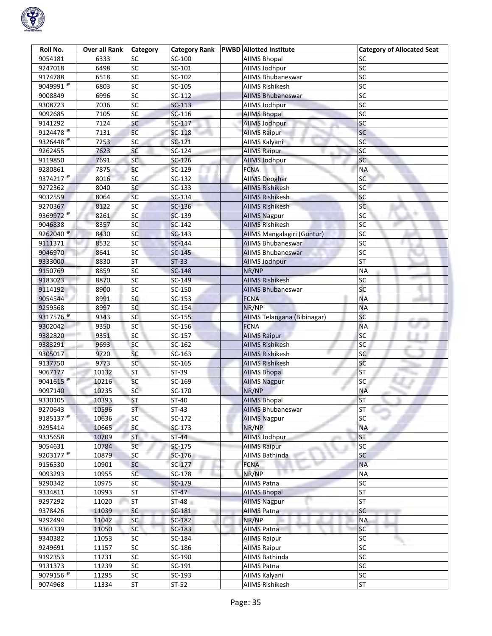

| Roll No.              | Over all Rank | <b>Category</b> | <b>Category Rank</b> | <b>PWBD</b> Allotted Institute | <b>Category of Allocated Seat</b> |
|-----------------------|---------------|-----------------|----------------------|--------------------------------|-----------------------------------|
| 9054181               | 6333          | SC              | SC-100               | <b>AIIMS Bhopal</b>            | SC                                |
| 9247018               | 6498          | SC              | $SC-101$             | AllMS Jodhpur                  | <b>SC</b>                         |
| 9174788               | 6518          | $\overline{SC}$ | SC-102               | AIIMS Bhubaneswar              | SC                                |
| 9049991 <sup>@</sup>  | 6803          | $\overline{SC}$ | SC-105               | <b>AIIMS Rishikesh</b>         | SC                                |
| 9008849               | 6996          | $\overline{SC}$ | $SC-112$             | <b>AIIMS Bhubaneswar</b>       | SC                                |
| 9308723               | 7036          | SC              | $SC-113$             | AllMS Jodhpur                  | SC                                |
| 9092685               | 7105          | SC              | $SC-116$             | <b>AIIMS Bhopal</b>            | SC                                |
| 9141292               | 7124          | SC              | SC-117               | <b>AllMS Jodhpur</b>           | SC                                |
| 9124478 <sup>®</sup>  | 7131          | $\overline{SC}$ | $SC-118$             | <b>AllMS Raipur</b>            | SC                                |
| 9326448 <sup>®</sup>  | 7253          | SC              | $SC-121$             | AIIMS Kalyani                  | SC                                |
| 9262455               | 7623          | SC              | $SC-124$             | <b>AllMS Raipur</b>            | SC                                |
| 9119850               | 7691          | <b>SC</b>       | $SC-126$             | <b>AllMS Jodhpur</b>           | <b>SC</b>                         |
| 9280861               | 7875          | SC              | SC-129               | <b>FCNA</b>                    | <b>NA</b>                         |
| 9374217 <sup>®</sup>  | 8016          | SC              | SC-132               | <b>AIIMS Deoghar</b>           | <b>SC</b>                         |
| 9272362               | 8040          | <b>SC</b>       | SC-133               | <b>AIIMS Rishikesh</b>         | SC                                |
| 9032559               | 8064          | SC              | $SC-134$             | <b>AIIMS Rishikesh</b>         | SC                                |
| 9270367               | 8122          | $\overline{SC}$ | $SC-136$             | <b>AIIMS Rishikesh</b>         | <b>SC</b>                         |
| 9369972 <sup>@</sup>  | 8261          | SC              | SC-139               | <b>AllMS Nagpur</b>            | SC                                |
| 9046838               | 8357          | SC              | $SC-142$             | <b>AIIMS Rishikesh</b>         | SC                                |
| 9262040               | 8430          | SC              | $SC-143$             | AIIMS Mangalagiri (Guntur)     | <b>SC</b>                         |
| 9111371               | 8532          | sc              | $SC-144$             | <b>AIIMS Bhubaneswar</b>       | SC                                |
| 9046970               | 8641          | SC              | $SC-145$             | <b>AIIMS Bhubaneswar</b>       | SC                                |
| 9333000               | 8830          | <b>ST</b>       | $ST-33$              | <b>AllMS Jodhpur</b>           | <b>ST</b>                         |
| 9150769               | 8859          | SC              | SC-148               | NR/NP                          | ΝA                                |
| 9183023               | 8870          | SC              | SC-149               | <b>AIIMS Rishikesh</b>         | SC                                |
| 9114192               | 8900          | SC              | SC-150               | <b>AIIMS Bhubaneswar</b>       | SC                                |
| 9054544               | 8991          | SC              | $SC-153$             | <b>FCNA</b>                    | <b>NA</b>                         |
| 9259568               | 8997          | SC              | SC-154               | NR/NP                          | <b>NA</b>                         |
| 9317576 <sup>®</sup>  | 9343          | SC              | $SC-155$             | AIIMS Telangana (Bibinagar)    | SC                                |
| 9302042               | 9350          | SC              | SC-156               | <b>FCNA</b>                    | <b>NA</b>                         |
| 9382820               | 9351          | SC              | SC-157               | <b>AIIMS Raipur</b>            | <b>SC</b>                         |
| 9383291               | 9693          | SC              | SC-162               | <b>AIIMS Rishikesh</b>         | SC                                |
| 9305017               | 9720          | SC              | SC-163               | <b>AIIMS Rishikesh</b>         | SC                                |
| 9137750               | 9773          | SC              | SC-165               | <b>AIIMS Rishikesh</b>         | SC                                |
| 9067177               | 10132         | <b>ST</b>       | $ST-39$              | <b>AIIMS Bhopal</b>            | <b>ST</b>                         |
| 9041615 <sup>®</sup>  | 10216         | SC              | SC-169               | <b>AIIMS Nagpur</b>            | SC                                |
| 9097140               | 10235         | SC              | SC-170               | NR/NP                          | <b>NA</b>                         |
| 9330105               | 10393         | <b>ST</b>       | $ST-40$              | <b>AIIMS Bhopal</b>            | <b>ST</b>                         |
| 9270643               | 10596         | <b>ST</b>       | $ST-43$              | <b>AIIMS Bhubaneswar</b>       | <b>ST</b>                         |
| 9185137 <sup>®</sup>  | 10636         | SC              | SC-172               | <b>AIIMS Nagpur</b>            | SC                                |
| 9295414               | 10665         | SC              | $SC-173$             | NR/NP                          | <b>NA</b>                         |
| 9335658               | 10709         | ST.             | $ST-44$              | <b>AllMS Jodhpur</b>           | <b>ST</b>                         |
| 9054631               | 10784         | SC              | SC-175               | <b>AllMS Raipur</b>            | <b>SC</b>                         |
| 9203177 $\frac{1}{6}$ | 10879         | SC              | $SC-176$             | AIIMS Bathinda                 | SC                                |
| 9156530               | 10901         | SC              | SC-177               | <b>FCNA</b>                    | <b>NA</b>                         |
| 9093293               | 10955         | <b>SC</b>       | SC-178               | NR/NP                          | <b>NA</b>                         |
| 9290342               | 10975         | SC              | SC-179               | <b>AIIMS Patna</b>             | SC                                |
| 9334811               | 10993         | <b>ST</b>       | $ST-47$              | <b>AIIMS Bhopal</b>            | <b>ST</b>                         |
| 9297292               | 11020         | <b>ST</b>       | $ST-48$              | <b>AllMS Nagpur</b>            | <b>ST</b>                         |
| 9378426               | 11039         | SC              | SC-181               | <b>AIIMS Patna</b>             | SC                                |
| 9292494               | 11042         | SC              | SC-182               | NR/NP                          | <b>NA</b>                         |
| 9364339               | 11050         | <b>SC</b>       | $SC-183$             | <b>AIIMS Patna</b>             | <b>SC</b>                         |
| 9340382               | 11053         | SC              | SC-184               | <b>AllMS Raipur</b>            | SC                                |
| 9249691               | 11157         | SC              | SC-186               | <b>AIIMS Raipur</b>            | SC                                |
| 9192353               | 11231         | SC              | SC-190               | AIIMS Bathinda                 | <b>SC</b>                         |
| 9131373               | 11239         | SC              | SC-191               | <b>AIIMS Patna</b>             | SC                                |
| 9079156 <sup>®</sup>  | 11295         | SC              | SC-193               | AllMS Kalyani                  | SC                                |
| 9074968               | 11334         | ST              | $ST-52$              | AIIMS Rishikesh                | <b>ST</b>                         |
|                       |               |                 |                      |                                |                                   |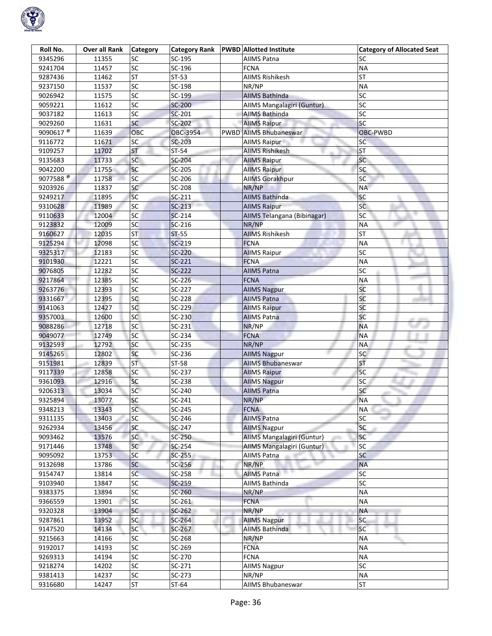

| Roll No.             | Over all Rank | <b>Category</b> | <b>Category Rank</b> | <b>PWBD</b> Allotted Institute | <b>Category of Allocated Seat</b> |
|----------------------|---------------|-----------------|----------------------|--------------------------------|-----------------------------------|
| 9345296              | 11355         | SC              | SC-195               | <b>AIIMS Patna</b>             | SC                                |
| 9241704              | 11457         | SC              | SC-196               | <b>FCNA</b>                    | <b>NA</b>                         |
| 9287436              | 11462         | <b>ST</b>       | $ST-53$              | <b>AIIMS Rishikesh</b>         | <b>ST</b>                         |
| 9237150              | 11537         | $\overline{SC}$ | SC-198               | NR/NP                          | <b>NA</b>                         |
| 9026942              | 11575         | $\overline{SC}$ | SC-199               | <b>AIIMS Bathinda</b>          | SC                                |
| 9059221              | 11612         | SC              | <b>SC-200</b>        | AIIMS Mangalagiri (Guntur)     | SC                                |
| 9037182              | 11613         | SC              | SC-201               | <b>AIIMS Bathinda</b>          | SC                                |
| 9029260              | 11631         | <b>SC</b>       | SC-202               | <b>AIIMS Raipur</b>            | SC                                |
| 9090617 <sup>®</sup> | 11639         | OBC             | OBC-3954             | <b>PWBD AIIMS Bhubaneswar</b>  | OBC-PWBD                          |
| 9116772              | 11671         | SC              | SC-203               | <b>AIIMS Raipur</b>            | SC                                |
| 9109257              | 11702         | <b>ST</b>       | ST-54                | <b>AIIMS Rishikesh</b>         | <b>ST</b>                         |
| 9135683              | 11733         | SC              | SC-204               | <b>AllMS Raipur</b>            | <b>SC</b>                         |
| 9042200              | 11755         | SC              | SC-205               | <b>AIIMS Raipur</b>            | SC                                |
| 9077588 $^{\circ}$   | 11758         | SC              | SC-206               | <b>AIIMS Gorakhpur</b>         | SC                                |
| 9203926              | 11837         | SC              | SC-208               | NR/NP                          | <b>NA</b>                         |
| 9249217              | 11895         | SC              | $SC-211$             | <b>AIIMS Bathinda</b>          | SC                                |
| 9310628              | 11989         | $\overline{SC}$ | $SC-213$             | <b>AIIMS Raipur</b>            | <b>SC</b>                         |
| 9110633              | 12004         | SC              | $SC-214$             | AIIMS Telangana (Bibinagar)    | SC                                |
| 9123832              | 12009         | SC              | $SC-216$             | NR/NP                          | <b>NA</b>                         |
| 9160627              | 12035         | <b>ST</b>       | $ST-55$              | <b>AIIMS Rishikesh</b>         | <b>ST</b>                         |
| 9125294              | 12098         | SC              | $SC-219$             | <b>FCNA</b>                    | <b>NA</b>                         |
| 9325317              | 12183         | SC              | SC-220               | <b>AIIMS Raipur</b>            | SC                                |
| 9101930              | 12221         | SC              | $SC-221$             | <b>FCNA</b>                    | <b>NA</b>                         |
| 9076805              | 12282         | SC              | SC-222               | <b>AIIMS Patna</b>             | SC                                |
| 9217864              | 12385         | SC              | SC-226               | <b>FCNA</b>                    | <b>NA</b>                         |
| 9263776              | 12393         | SC              | SC-227               | <b>AllMS Nagpur</b>            | SC                                |
| 9331667              | 12395         | SC              | SC-228               | <b>AIIMS Patna</b>             | SC                                |
| 9141063              | 12427         | SC              | SC-229               | <b>AllMS Raipur</b>            | SC                                |
| 9357003              | 12600         | <b>SC</b>       | SC-230               | <b>AIIMS Patna</b>             | SC                                |
| 9088286              | 12718         | SC              | $SC-231$             | NR/NP                          | <b>NA</b>                         |
| 9049077              | 12749         | SC              | SC-234               | <b>FCNA</b>                    | <b>NA</b>                         |
| 9132593              | 12792         | SC              | SC-235               | NR/NP                          | <b>NA</b>                         |
| 9145265              | 12802         | SC              | SC-236               | <b>AllMS Nagpur</b>            | SC                                |
| 9151981              | 12839         | <b>ST</b>       | ST-58                | <b>AIIMS Bhubaneswar</b>       | <b>ST</b>                         |
| 9117339              | 12858         | SC              | SC-237               | <b>AIIMS Raipur</b>            | <b>SC</b>                         |
| 9361093              | 12916         | SC              | SC-238               | <b>AllMS Nagpur</b>            | SC                                |
| 9206313              | 13034         | SC              | SC-240               | <b>AIIMS Patna</b>             | SC                                |
| 9325894              | 13077         | SC              | SC-241               | NR/NP                          | <b>NA</b>                         |
| 9348213              | 13343         | SC              | SC-245               | <b>FCNA</b>                    | <b>NA</b>                         |
| 9311135              | 13403         | SC              | SC-246               | <b>AIIMS Patna</b>             | SC                                |
| 9262934              | 13456         | SC              | SC-247               | <b>AIIMS Nagpur</b>            | SC                                |
| 9093462              | 13576         | <b>SC</b>       | SC-250               | AIIMS Mangalagiri (Guntur)     | <b>SC</b>                         |
| 9171446              | 13748         | <b>SC</b>       | SC-254               | AIIMS Mangalagiri (Guntur)     | <b>SC</b>                         |
| 9095092              | 13753         | SC              | $SC-255$             | <b>AIIMS Patna</b>             | SC                                |
| 9132698              | 13786         | SC              | SC-256               | NR/NP                          | <b>NA</b>                         |
| 9154747              | 13814         | SC              | $SC-258$             | <b>AIIMS Patna</b>             | <b>SC</b>                         |
| 9103940              | 13847         | SC              | $SC-259$             | <b>AIIMS Bathinda</b>          | SC                                |
| 9383375              | 13894         | SC              | SC-260               | NR/NP                          | <b>NA</b>                         |
| 9366559              | 13901         | SC              | $SC-261$             | <b>FCNA</b>                    | <b>NA</b>                         |
| 9320328              | 13904         | <b>SC</b>       | $SC-262$             | NR/NP                          | <b>NA</b>                         |
| 9287861              | 13952         | SC              | SC-264               | <b>AIIMS Nagpur</b>            | SC                                |
| 9147520              | 14134         | <b>SC</b>       | SC-267               | <b>AIIMS Bathinda</b>          | <b>SC</b>                         |
| 9215663              | 14166         | SC              | SC-268               | NR/NP                          | <b>NA</b>                         |
| 9192017              | 14193         | SC              | SC-269               | <b>FCNA</b>                    | <b>NA</b>                         |
| 9269313              | 14194         | SC              | SC-270               | <b>FCNA</b>                    | <b>NA</b>                         |
| 9218274              | 14202         | SC              | $SC-271$             | <b>AllMS Nagpur</b>            | SC                                |
| 9381413              | 14237         | SC              | SC-273               | NR/NP                          | <b>NA</b>                         |
| 9316680              | 14247         | ST              | $ST-64$              | AIIMS Bhubaneswar              | <b>ST</b>                         |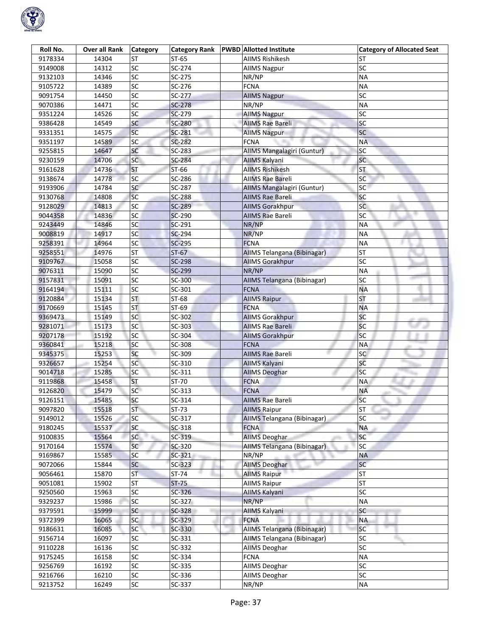

| Roll No. | <b>Over all Rank</b> | <b>Category</b> |               | Category Rank   PWBD   Allotted Institute | <b>Category of Allocated Seat</b> |
|----------|----------------------|-----------------|---------------|-------------------------------------------|-----------------------------------|
| 9178334  | 14304                | <b>ST</b>       | $ST-65$       | <b>AIIMS Rishikesh</b>                    | ST                                |
| 9149008  | 14312                | <b>SC</b>       | SC-274        | <b>AIIMS Nagpur</b>                       | SC                                |
| 9132103  | 14346                | $\overline{SC}$ | SC-275        | NR/NP                                     | <b>NA</b>                         |
| 9105722  | 14389                | SC              | SC-276        | <b>FCNA</b>                               | <b>NA</b>                         |
| 9091754  | 14450                | $\overline{SC}$ | SC-277        | <b>AllMS Nagpur</b>                       | SC                                |
| 9070386  | 14471                | $\overline{SC}$ | $SC-278$      | NR/NP                                     | <b>NA</b>                         |
| 9351224  | 14526                | $\overline{SC}$ | SC-279        | <b>AllMS Nagpur</b>                       | SC                                |
| 9386428  | 14549                | SC              | SC-280        | <b>AIIMS Rae Bareli</b>                   | SC                                |
| 9331351  | 14575                | <b>SC</b>       | SC-281        | <b>AIIMS Nagpur</b>                       | <b>SC</b>                         |
| 9351197  | 14589                | <b>SC</b>       | SC-282        | <b>FCNA</b>                               | <b>NA</b>                         |
| 9255815  | 14647                | SC              | SC-283        | AIIMS Mangalagiri (Guntur)                | SC                                |
| 9230159  | 14706                | <b>SC</b>       | SC-284        | AIIMS Kalyani                             | <b>SC</b>                         |
| 9161628  | 14736                | <b>ST</b>       | ST-66         | <b>AIIMS Rishikesh</b>                    | <b>ST</b>                         |
| 9138674  | 14778                | SC              | SC-286        | AllMS Rae Bareli                          | SC                                |
| 9193906  | 14784                | SC              | SC-287        | AIIMS Mangalagiri (Guntur)                | SC                                |
| 9130768  | 14808                | <b>SC</b>       | SC-288        | <b>AIIMS Rae Bareli</b>                   | <b>SC</b>                         |
| 9128029  | 14813                | $\overline{SC}$ | <b>SC-289</b> | <b>AIIMS Gorakhpur</b>                    | <b>SC</b>                         |
| 9044358  | 14836                | SC              | <b>SC-290</b> | <b>AIIMS Rae Bareli</b>                   | <b>SC</b>                         |
| 9243449  | 14846                | <b>SC</b>       | SC-291        | NR/NP                                     | <b>NA</b>                         |
| 9008819  | 14917                | SC              | SC-294        | NR/NP                                     | <b>NA</b>                         |
| 9258391  | 14964                | <b>SC</b>       | SC-295        | <b>FCNA</b>                               | <b>NA</b>                         |
| 9258551  | 14976                | <b>ST</b>       | $ST-67$       | AIIMS Telangana (Bibinagar)               | <b>ST</b>                         |
| 9109767  | 15058                | SC              | <b>SC-298</b> | <b>AllMS Gorakhpur</b>                    | SC                                |
| 9076311  | 15090                | <b>SC</b>       | SC-299        | NR/NP                                     | ΝA                                |
| 9157831  | 15091                | $\overline{SC}$ | SC-300        | AIIMS Telangana (Bibinagar)               | SC                                |
| 9164194  | 15111                | SC              | SC-301        | <b>FCNA</b>                               | <b>NA</b>                         |
| 9120884  | 15134                | <b>ST</b>       | ST-68         | <b>AllMS Raipur</b>                       | <b>ST</b>                         |
| 9170669  | 15145                | <b>ST</b>       | $ST-69$       | <b>FCNA</b>                               | <b>NA</b>                         |
| 9369473  | 15149                | <b>SC</b>       | SC-302        | <b>AllMS Gorakhpur</b>                    | SC                                |
| 9281071  | 15173                | <sub>SC</sub>   | SC-303        | <b>AIIMS Rae Bareli</b>                   | SC                                |
| 9207178  | 15192                | SC              | SC-304        | <b>AllMS Gorakhpur</b>                    | <b>SC</b>                         |
| 9360841  | 15218                | SC              | SC-308        | <b>FCNA</b>                               | ΝA                                |
| 9345375  | 15253                | <b>SC</b>       | SC-309        | <b>AIIMS Rae Bareli</b>                   | SC                                |
| 9326657  | 15254                | <b>SC</b>       | SC-310        | <b>AIIMS Kalyani</b>                      | <b>SC</b>                         |
| 9014718  | 15285                | SC              | SC-311        | <b>AIIMS Deoghar</b>                      | <b>SC</b>                         |
| 9119868  | 15458                | <b>ST</b>       | ST-70         | <b>FCNA</b>                               | <b>NA</b>                         |
| 9126820  | 15479                | SC              | SC-313        | <b>FCNA</b>                               | <b>NA</b>                         |
| 9126151  | 15485                | SC              | SC-314        | <b>AIIMS Rae Bareli</b>                   | SC                                |
| 9097820  | 15518                | <b>ST</b>       | $ST-73$       | <b>AIIMS Raipur</b>                       | <b>ST</b>                         |
| 9149012  | 15526                | <b>SC</b>       | SC-317        | AllMS Telangana (Bibinagar)               | <b>SC</b>                         |
| 9180245  | 15537                | SC              | $SC-318$      | <b>FCNA</b>                               | <b>NA</b>                         |
| 9100835  | 15564                | <b>SC</b>       | SC-319        | <b>AIIMS Deoghar</b>                      | SC                                |
| 9170164  | 15574                | <b>SC</b>       | SC-320        | AIIMS Telangana (Bibinagar)               | <b>SC</b>                         |
| 9169867  | 15585                | <b>SC</b>       | SC-321        | NR/NP                                     | <b>NA</b>                         |
| 9072066  | 15844                | <b>SC</b>       | $SC-323$      | <b>AIIMS Deoghar</b>                      | <b>SC</b>                         |
| 9056461  | 15870                | <b>ST</b>       | $ST-74$       | <b>AllMS Raipur</b>                       | <b>ST</b>                         |
| 9051081  | 15902                | <b>ST</b>       | $ST-75$       | <b>AllMS Raipur</b>                       | <b>ST</b>                         |
| 9250560  | 15963                | SC              | $SC-326$      | AllMS Kalyani                             | SC                                |
| 9329237  | 15986                | SC              | SC-327        | NR/NP                                     | <b>NA</b>                         |
| 9379591  | 15999                | <b>SC</b>       | SC-328        | <b>AllMS Kalyani</b>                      | SC                                |
| 9372399  | 16065                | SC              | $SC-329$      | <b>FCNA</b>                               | <b>NA</b>                         |
| 9186631  | 16085                | <b>SC</b>       | SC-330        | AIIMS Telangana (Bibinagar)               | <b>SC</b>                         |
| 9156714  | 16097                | SC              | SC-331        | AIIMS Telangana (Bibinagar)               | SC                                |
| 9110228  | 16136                | <b>SC</b>       | SC-332        | <b>AIIMS Deoghar</b>                      | SC                                |
| 9175245  | 16158                | SC              | SC-334        | <b>FCNA</b>                               | <b>NA</b>                         |
| 9256769  | 16192                | SC              | SC-335        | <b>AIIMS Deoghar</b>                      | SC                                |
| 9216766  | 16210                | SC              | SC-336        | <b>AIIMS Deoghar</b>                      | SC                                |
| 9213752  | 16249                | <b>SC</b>       | SC-337        | NR/NP                                     | <b>NA</b>                         |
|          |                      |                 |               |                                           |                                   |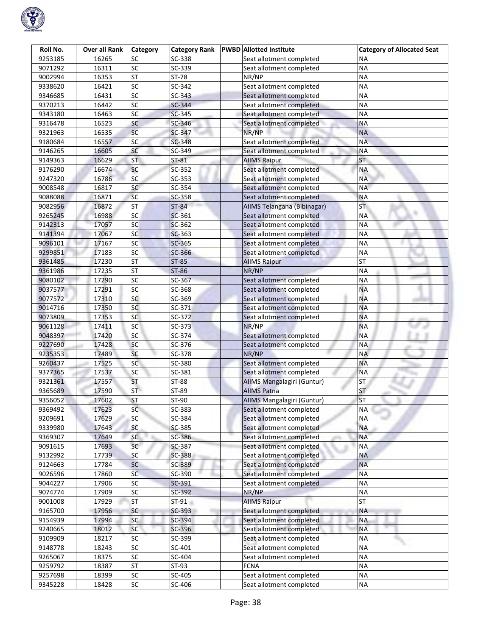

| Roll No. | <b>Over all Rank</b> | Category        | <b>Category Rank</b> | <b>PWBD</b> Allotted Institute    | <b>Category of Allocated Seat</b> |
|----------|----------------------|-----------------|----------------------|-----------------------------------|-----------------------------------|
| 9253185  | 16265                | SC              | SC-338               | Seat allotment completed          | ΝA                                |
| 9071292  | 16311                | SC              | SC-339               | Seat allotment completed          | <b>NA</b>                         |
| 9002994  | 16353                | <b>ST</b>       | ST-78                | NR/NP                             | <b>NA</b>                         |
| 9338620  | 16421                | $\overline{SC}$ | SC-342               | Seat allotment completed          | <b>NA</b>                         |
| 9346685  | 16431                | $\overline{SC}$ | SC-343               | Seat allotment completed          | <b>NA</b>                         |
| 9370213  | 16442                | $\overline{SC}$ | $SC-344$             | Seat allotment completed          | <b>NA</b>                         |
| 9343180  | 16463                | SC              | SC-345               | Seat allotment completed          | <b>NA</b>                         |
| 9316478  | 16523                | SC              | SC-346               | Seat allotment completed          | <b>NA</b>                         |
| 9321963  | 16535                | SC              | SC-347               | NR/NP                             | <b>NA</b>                         |
| 9180684  | 16557                | SC              | SC-348               | Seat allotment completed          | <b>NA</b>                         |
| 9146265  | 16605                | SC              | SC-349               | Seat allotment completed          | <b>NA</b>                         |
| 9149363  | 16629                | <b>ST</b>       | $ST-81$              | <b>AllMS Raipur</b>               | <b>ST</b>                         |
| 9176290  | 16674                | SC              | SC-352               | Seat allotment completed          | <b>NA</b>                         |
| 9247320  | 16786                | SC              | SC-353               | Seat allotment completed          | <b>NA</b>                         |
| 9008548  | 16817                | SC              | SC-354               | Seat allotment completed          | <b>NA</b>                         |
| 9088088  | 16871                | <b>SC</b>       | SC-358               | Seat allotment completed          | <b>NA</b>                         |
| 9082956  | 16872                | <b>ST</b>       | <b>ST-84</b>         | AIIMS Telangana (Bibinagar)       | ST.                               |
| 9265245  | 16988                | SC              | SC-361               | Seat allotment completed          | <b>NA</b>                         |
| 9142313  | 17057                | SC              | SC-362               | Seat allotment completed          | <b>NA</b>                         |
| 9141394  | 17067                | SC              | $SC-363$             | Seat allotment completed          | <b>NA</b>                         |
| 9096101  | 17167                | SC              | SC-365               | Seat allotment completed          | <b>NA</b>                         |
| 9299851  | 17183                | SC              | SC-366               | Seat allotment completed          | <b>NA</b>                         |
| 9361485  | 17230                | ST              | $ST-85$              | <b>AIIMS Raipur</b>               | <b>ST</b>                         |
| 9361986  | 17235                | <b>ST</b>       | ST-86                | NR/NP                             | <b>NA</b>                         |
| 9080102  | 17290                | SC              | SC-367               | Seat allotment completed          | <b>NA</b>                         |
| 9037577  | 17291                | SC              | SC-368               | Seat allotment completed          | <b>NA</b>                         |
| 9077572  | 17310                | SC              | SC-369               | Seat allotment completed          | <b>NA</b>                         |
| 9014716  | 17350                | sc              | SC-371               | Seat allotment completed          | <b>NA</b>                         |
| 9073809  | 17353                | SC              | SC-372               | Seat allotment completed          | <b>NA</b>                         |
| 9061128  | 17411                | SC              | SC-373               | NR/NP                             | <b>NA</b>                         |
| 9048397  | 17420                | SC              | SC-374               | Seat allotment completed          | <b>NA</b>                         |
| 9227690  | 17428                | SC              | SC-376               | Seat allotment completed          | <b>NA</b>                         |
| 9235353  | 17489                | SC              | SC-378               | NR/NP                             | <b>NA</b>                         |
| 9260437  | 17525                | <b>SC</b>       | SC-380               | Seat allotment completed          | <b>NA</b>                         |
| 9377365  | 17537                | SC              | SC-381               | Seat allotment completed          | <b>NA</b>                         |
| 9321361  | 17557                | ST              | ST-88                | <b>AIIMS Mangalagiri (Guntur)</b> | ST.                               |
| 9365689  | 17590                | ST.             | ST-89                | <b>AIIMS Patna</b>                | <b>ST</b>                         |
| 9356052  | 17602                | <b>ST</b>       | ST-90                | AIIMS Mangalagiri (Guntur)        | <b>ST</b>                         |
| 9369492  | 17623                | SC              | SC-383               | Seat allotment completed          | <b>NA</b>                         |
| 9209691  | 17629                | SC              | SC-384               | Seat allotment completed          | <b>NA</b>                         |
| 9339980  | 17643                | SC              | SC-385               | Seat allotment completed          | <b>NA</b>                         |
| 9369307  | 17649                | SC<br>÷.        | SC-386               | Seat allotment completed          | <b>NA</b>                         |
| 9091615  | 17693                | SC              | SC-387               | Seat allotment completed          | <b>NA</b>                         |
| 9132992  | 17739                | SC              | SC-388               | Seat allotment completed          | <b>NA</b>                         |
| 9124663  | 17784                | SC              | SC-389               | Seat allotment completed          | <b>NA</b>                         |
| 9026596  | 17860                | SC              | SC-390               | Seat allotment completed          | <b>NA</b>                         |
| 9044227  | 17906                | SC              | SC-391               | Seat allotment completed          | <b>NA</b>                         |
| 9074774  | 17909                | SC              | SC-392               | NR/NP                             | <b>NA</b>                         |
| 9001008  | 17929                | ST              | $ST-91$              | <b>AIIMS Raipur</b>               | <b>ST</b>                         |
| 9165700  | 17956                | SC              | $SC-393$             | Seat allotment completed          | <b>NA</b>                         |
| 9154939  | 17994                | SC              | SC-394               | Seat allotment completed          | <b>NA</b>                         |
| 9240665  | 18012                | <b>SC</b>       | SC-396               | Seat allotment completed          | <b>NA</b>                         |
| 9109909  | 18217                | SC              | SC-399               | Seat allotment completed          | <b>NA</b>                         |
| 9148778  | 18243                | SC              | SC-401               | Seat allotment completed          | <b>NA</b>                         |
| 9265067  | 18375                | SC              | SC-404               | Seat allotment completed          | <b>NA</b>                         |
| 9259792  | 18387                | <b>ST</b>       | $ST-93$              | <b>FCNA</b>                       | <b>NA</b>                         |
| 9257698  | 18399                | SC              | SC-405               | Seat allotment completed          | <b>NA</b>                         |
| 9345228  | 18428                | SC              | SC-406               | Seat allotment completed          | <b>NA</b>                         |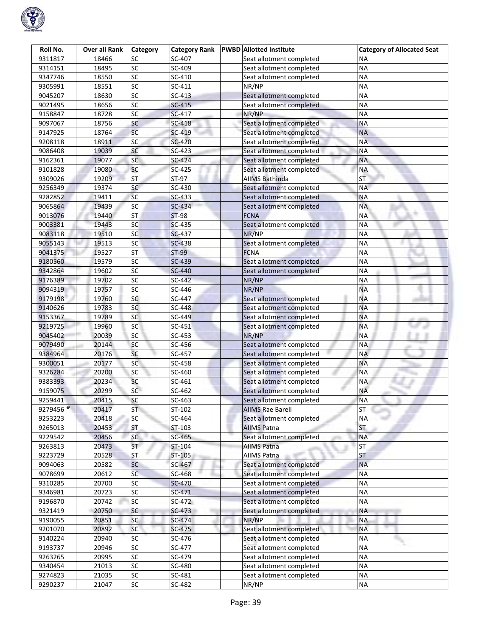

| Roll No.                        | <b>Over all Rank</b> | <b>Category</b> | <b>Category Rank</b> | <b>PWBD</b> Allotted Institute | <b>Category of Allocated Seat</b> |
|---------------------------------|----------------------|-----------------|----------------------|--------------------------------|-----------------------------------|
| 9311817                         | 18466                | SC              | SC-407               | Seat allotment completed       | ΝA                                |
| 9314151                         | 18495                | SC              | SC-409               | Seat allotment completed       | <b>NA</b>                         |
| 9347746                         | 18550                | $\overline{SC}$ | SC-410               | Seat allotment completed       | <b>NA</b>                         |
| 9305991                         | 18551                | $\overline{SC}$ | $SC-411$             | NR/NP                          | <b>NA</b>                         |
| 9045207                         | 18630                | $\overline{SC}$ | $SC-413$             | Seat allotment completed       | <b>NA</b>                         |
| 9021495                         | 18656                | $\overline{SC}$ | $SC-415$             | Seat allotment completed       | <b>NA</b>                         |
| 9158847                         | 18728                | SC              | SC-417               | NR/NP                          | <b>NA</b>                         |
| 9097067                         | 18756                | SC              | SC-418               | Seat allotment completed       | <b>NA</b>                         |
| 9147925                         | 18764                | SC              | SC-419               | Seat allotment completed       | <b>NA</b>                         |
| 9208118                         | 18911                | SC              | SC-420               | Seat allotment completed       | <b>NA</b>                         |
| 9086408                         | 19039                | SC              | $SC-423$             | Seat allotment completed       | <b>NA</b>                         |
| 9162361                         | 19077                | SC              | SC-424               | Seat allotment completed       | <b>NA</b>                         |
| 9101828                         | 19080                | SC              | SC-425               | Seat allotment completed       | <b>NA</b>                         |
| 9309026                         | 19209                | <b>ST</b>       | ST-97                | <b>AIIMS Bathinda</b>          | <b>ST</b>                         |
| 9256349                         | 19374                | SC              | SC-430               | Seat allotment completed       | <b>NA</b>                         |
| 9282852                         | 19411                | <b>SC</b>       | $SC-433$             | Seat allotment completed       | <b>NA</b>                         |
| 9065864                         | 19439                | SC              | SC-434               | Seat allotment completed       | <b>NA</b>                         |
| 9013076                         | 19440                | <b>ST</b>       | <b>ST-98</b>         | <b>FCNA</b>                    | <b>NA</b>                         |
| 9003381                         | 19443                | SC              | $SC-435$             | Seat allotment completed       | <b>NA</b>                         |
| 9083118                         | 19510                | SC              | <b>SC-437</b>        | NR/NP                          | <b>NA</b>                         |
| 9055143                         | 19513                | SC              | <b>SC-438</b>        | Seat allotment completed       | <b>NA</b>                         |
| 9041375                         | 19527                | <b>ST</b>       | ST-99                | <b>FCNA</b>                    | <b>NA</b>                         |
| 9180560                         | 19579                | SC              | SC-439               | Seat allotment completed       | <b>NA</b>                         |
| 9342864                         | 19602                | SC              | SC-440               | Seat allotment completed       | <b>NA</b>                         |
| 9176389                         | 19702                | $\overline{SC}$ | SC-442               | NR/NP                          | <b>NA</b>                         |
| 9094319                         | 19757                | SC              | SC-446               | NR/NP                          | <b>NA</b>                         |
| 9179198                         | 19760                | SC              | SC-447               | Seat allotment completed       | <b>NA</b>                         |
| 9140626                         | 19783                | sc              | SC-448               | Seat allotment completed       | <b>NA</b>                         |
| 9153367                         | 19789                | SC              | SC-449               | Seat allotment completed       | <b>NA</b>                         |
| 9219725                         | 19960                | SC              | SC-451               | Seat allotment completed       | <b>NA</b>                         |
| 9045402                         | 20039                | SC              | SC-453               | NR/NP                          | <b>NA</b>                         |
| 9079490                         | 20144                | SC              | SC-456               | Seat allotment completed       | <b>NA</b>                         |
| 9384964                         | 20176                | SC              | SC-457               | Seat allotment completed       | <b>NA</b>                         |
| 9300051                         | 20177                | <b>SC</b>       | SC-458               | Seat allotment completed       | <b>NA</b>                         |
| 9326284                         | 20200                | SC              | SC-460               | Seat allotment completed       | <b>NA</b>                         |
| 9383393                         | 20234                | SC              | SC-461               | Seat allotment completed       | <b>NA</b>                         |
| 9159075                         | 20299                | <b>SC</b>       | SC-462               | Seat allotment completed       | <b>NA</b>                         |
| 9259441                         | 20415                | SC              | SC-463               | Seat allotment completed       | <b>NA</b>                         |
| 9279456 <sup><sup>®</sup></sup> | 20417                | <b>ST</b>       | ST-102               | <b>AIIMS Rae Bareli</b>        | <b>ST</b>                         |
| 9253223                         | 20418                | SC              | SC-464               | Seat allotment completed       | <b>NA</b>                         |
| 9265013                         | 20453                | <b>ST</b>       | ST-103               | <b>AIIMS Patna</b>             | <b>ST</b>                         |
| 9229542                         | 20456                | SC              | SC-465               | Seat allotment completed       | <b>NA</b>                         |
| 9263813                         | 20473                | ST              | ST-104               | <b>AIIMS Patna</b>             | ST                                |
| 9223729                         | 20528                | <b>ST</b>       | ST-105               | <b>AIIMS Patna</b>             | <b>ST</b>                         |
| 9094063                         | 20582                | SC              | SC-467               | Seat allotment completed       | <b>NA</b>                         |
| 9078699                         | 20612                | SC              | SC-468               | Seat allotment completed       | <b>NA</b>                         |
| 9310285                         | 20700                | SC              | SC-470               | Seat allotment completed       | ΝA                                |
| 9346981                         | 20723                | SC              | SC-471               | Seat allotment completed       | ΝA                                |
| 9196870                         | 20742                | SC              | SC-472               | Seat allotment completed       | <b>NA</b>                         |
| 9321419                         | 20750                | SC              | SC-473               | Seat allotment completed       | <b>NA</b>                         |
| 9190055                         | 20851                | SC              | SC-474               | NR/NP                          | <b>NA</b>                         |
| 9201070                         | 20892                | SC              | SC-475               | Seat allotment completed       | <b>NA</b>                         |
| 9140224                         | 20940                | SC              | SC-476               | Seat allotment completed       | <b>NA</b>                         |
| 9193737                         | 20946                | SC              | SC-477               | Seat allotment completed       | <b>NA</b>                         |
| 9263265                         | 20995                | SC              | SC-479               | Seat allotment completed       | <b>NA</b>                         |
| 9340454                         | 21013                | SC              | SC-480               | Seat allotment completed       | <b>NA</b>                         |
| 9274823                         | 21035                | SC              | SC-481               | Seat allotment completed       | <b>NA</b>                         |
| 9290237                         | 21047                | SC              | SC-482               | NR/NP                          | <b>NA</b>                         |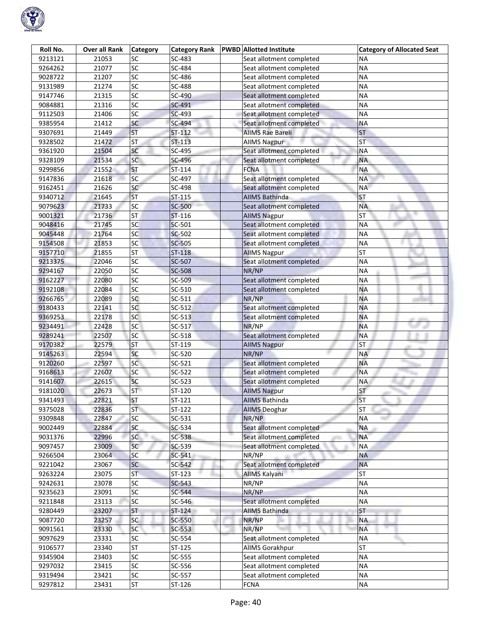

| Roll No. | <b>Over all Rank</b> | <b>Category</b>          | <b>Category Rank</b> | <b>PWBD</b> Allotted Institute | <b>Category of Allocated Seat</b> |
|----------|----------------------|--------------------------|----------------------|--------------------------------|-----------------------------------|
| 9213121  | 21053                | SC                       | SC-483               | Seat allotment completed       | ΝA                                |
| 9264262  | 21077                | SC                       | SC-484               | Seat allotment completed       | <b>NA</b>                         |
| 9028722  | 21207                | $\overline{\mathsf{sc}}$ | SC-486               | Seat allotment completed       | <b>NA</b>                         |
| 9131989  | 21274                | SC                       | SC-488               | Seat allotment completed       | <b>NA</b>                         |
| 9147746  | 21315                | SC                       | SC-490               | Seat allotment completed       | <b>NA</b>                         |
| 9084881  | 21316                | SC                       | SC-491               | Seat allotment completed       | <b>NA</b>                         |
| 9112503  | 21406                | sc                       | SC-493               | Seat allotment completed       | <b>NA</b>                         |
| 9385954  | 21412                | SC                       | SC-494               | Seat allotment completed       | <b>NA</b>                         |
| 9307691  | 21449                | <b>ST</b>                | ST-112               | <b>AllMS Rae Bareli</b>        | <b>ST</b>                         |
| 9328502  | 21472                | <b>ST</b>                | ST-113               | <b>AIIMS Nagpur</b>            | <b>ST</b>                         |
| 9361920  | 21504                | SC                       | SC-495               | Seat allotment completed       | <b>NA</b>                         |
| 9328109  | 21534                | SC                       | SC-496               | Seat allotment completed       | <b>NA</b>                         |
| 9299856  | 21552                | <b>ST</b>                | ST-114               | <b>FCNA</b>                    | <b>NA</b>                         |
| 9147836  | 21618                | <b>SC</b>                | SC-497               | Seat allotment completed       | <b>NA</b>                         |
| 9162451  | 21626                | SC                       | SC-498               | Seat allotment completed       | <b>NA</b>                         |
| 9340712  | 21645                | <b>ST</b>                | $ST-115$             | <b>AIIMS Bathinda</b>          | <b>ST</b>                         |
| 9079623  | 21733                | SC                       | <b>SC-500</b>        | Seat allotment completed       | <b>NA</b>                         |
| 9001321  | 21736                | ST                       | ST-116               | <b>AIIMS Nagpur</b>            | $\overline{\mathsf{ST}}$          |
| 9048416  | 21745                | SC                       | SC-501               | Seat allotment completed       | <b>NA</b>                         |
| 9045448  | 21764                | SC                       | <b>SC-502</b>        | Seat allotment completed       | <b>NA</b>                         |
| 9154508  | 21853                | <sub>SC</sub>            | SC-505               | Seat allotment completed       | <b>NA</b>                         |
| 9157710  | 21855                | <b>ST</b>                | ST-118               | <b>AllMS Nagpur</b>            | <b>ST</b>                         |
| 9213375  | 22046                | <b>SC</b>                | SC-507               | Seat allotment completed       | <b>NA</b>                         |
| 9294167  | 22050                | SC                       | <b>SC-508</b>        | NR/NP                          | <b>NA</b>                         |
| 9162227  | 22080                | SC                       | SC-509               | Seat allotment completed       | <b>NA</b>                         |
| 9192108  | 22084                | SC                       | SC-510               | Seat allotment completed       | <b>NA</b>                         |
| 9266765  | 22089                | SC                       | SC-511               | NR/NP                          | <b>NA</b>                         |
| 9180433  | 22141                | <b>SC</b>                | SC-512               | Seat allotment completed       | <b>NA</b>                         |
| 9369253  | 22178                | sc                       | $SC-513$             | Seat allotment completed       | <b>NA</b>                         |
| 9234491  | 22428                | sc                       | SC-517               | NR/NP                          | <b>NA</b>                         |
| 9289241  | 22507                | SC                       | SC-518               | Seat allotment completed       | <b>NA</b>                         |
| 9170382  | 22579                | <b>ST</b>                | ST-119               | <b>AllMS Nagpur</b>            | <b>ST</b>                         |
| 9145263  | 22594                | <b>SC</b>                | SC-520               | NR/NP                          | <b>NA</b>                         |
| 9120260  | 22597                | <b>SC</b>                | SC-521               | Seat allotment completed       | <b>NA</b>                         |
| 9168613  | 22607                | SC                       | SC-522               | Seat allotment completed       | <b>NA</b>                         |
| 9141607  | 22615                | <b>SC</b>                | SC-523               | Seat allotment completed       | <b>NA</b>                         |
| 9181020  | 22673                | <b>ST</b>                | ST-120               | <b>AllMS Nagpur</b>            | <b>ST</b>                         |
| 9341493  | 22821                | <b>ST</b>                | ST-121               | <b>AIIMS Bathinda</b>          | <b>ST</b>                         |
| 9375028  | 22836                | <b>ST</b>                | ST-122               | <b>AIIMS Deoghar</b>           | <b>ST</b>                         |
| 9309848  | 22847                | SC                       | SC-531               | NR/NP                          | <b>NA</b>                         |
| 9002449  | 22884                | SC                       | SC-534               | Seat allotment completed       | <b>NA</b>                         |
| 9031376  | 22996                | <b>SC</b>                | SC-538               | Seat allotment completed       | <b>NA</b>                         |
| 9097457  | 23009                | <b>SC</b>                | SC-539               | Seat allotment completed       | <b>NA</b>                         |
| 9266504  | 23064                | SC                       | SC-541               | NR/NP                          | <b>NA</b>                         |
| 9221042  | 23067                | SC                       | SC-542               | Seat allotment completed       | <b>NA</b>                         |
| 9263224  | 23075                | <b>ST</b>                | $ST-123$             | AllMS Kalyani                  | <b>ST</b>                         |
| 9242631  | 23078                | SC                       | $SC-543$             | NR/NP                          | <b>NA</b>                         |
| 9235623  | 23091                | SC                       | SC-544               | NR/NP                          | <b>NA</b>                         |
| 9211848  | 23113                | SC                       | SC-546               | Seat allotment completed       | <b>NA</b>                         |
| 9280449  | 23207                | <b>ST</b>                | $ST-124$             | AIIMS Bathinda                 | ST                                |
| 9087720  | 23257                | SC                       | SC-550               | NR/NP                          | <b>NA</b>                         |
| 9091561  | 23330                | <b>SC</b>                | SC-553               | NR/NP                          | <b>NA</b>                         |
| 9097629  | 23331                | SC                       | SC-554               | Seat allotment completed       | <b>NA</b>                         |
| 9106577  | 23340                | <b>ST</b>                | ST-125               | <b>AIIMS Gorakhpur</b>         | <b>ST</b>                         |
| 9345904  | 23403                | SC                       | SC-555               | Seat allotment completed       | <b>NA</b>                         |
| 9297032  | 23415                | SC                       | SC-556               | Seat allotment completed       | <b>NA</b>                         |
| 9319494  | 23421                | SC                       | SC-557               | Seat allotment completed       | <b>NA</b>                         |
| 9297812  | 23431                | ST                       | ST-126               | <b>FCNA</b>                    | <b>NA</b>                         |
|          |                      |                          |                      |                                |                                   |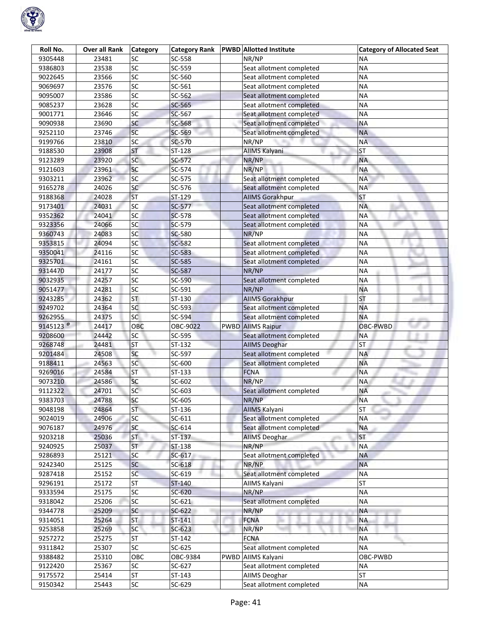

| Roll No.             | Over all Rank | <b>Category</b>          | <b>Category Rank</b> |      | <b>PWBD</b> Allotted Institute | <b>Category of Allocated Seat</b> |
|----------------------|---------------|--------------------------|----------------------|------|--------------------------------|-----------------------------------|
| 9305448              | 23481         | SC                       | SC-558               |      | NR/NP                          | ΝA                                |
| 9386803              | 23538         | SC                       | SC-559               |      | Seat allotment completed       | <b>NA</b>                         |
| 9022645              | 23566         | $\overline{sc}$          | SC-560               |      | Seat allotment completed       | <b>NA</b>                         |
| 9069697              | 23576         | $\overline{SC}$          | SC-561               |      | Seat allotment completed       | <b>NA</b>                         |
| 9095007              | 23586         | $\overline{SC}$          | SC-562               |      | Seat allotment completed       | <b>NA</b>                         |
| 9085237              | 23628         | SC                       | SC-565               |      | Seat allotment completed       | <b>NA</b>                         |
| 9001771              | 23646         | SC                       | SC-567               |      | Seat allotment completed       | <b>NA</b>                         |
| 9090938              | 23690         | SC                       | SC-568               |      | Seat allotment completed       | <b>NA</b>                         |
| 9252110              | 23746         | SC                       | SC-569               |      | Seat allotment completed       | <b>NA</b>                         |
| 9199766              | 23810         | SC                       | SC-570               |      | NR/NP                          | <b>NA</b>                         |
| 9188530              | 23908         | <b>ST</b>                | ST-128               |      | AIIMS Kalyani                  | <b>ST</b>                         |
| 9123289              | 23920         | SC                       | SC-572               |      | NR/NP                          | <b>NA</b>                         |
| 9121603              | 23961         | SC                       | SC-574               |      | NR/NP                          | <b>NA</b>                         |
| 9303211              | 23962         | SC                       | SC-575               |      | Seat allotment completed       | <b>NA</b>                         |
| 9165278              | 24026         | <b>SC</b>                | SC-576               |      | Seat allotment completed       | <b>NA</b>                         |
| 9188368              | 24028         | <b>ST</b>                | ST-129               |      | <b>AIIMS Gorakhpur</b>         | ST                                |
| 9173401              | 24031         | $\overline{SC}$          | SC-577               |      | Seat allotment completed       | <b>NA</b>                         |
| 9352362              | 24041         | SC                       | <b>SC-578</b>        |      | Seat allotment completed       | <b>NA</b>                         |
| 9323356              | 24066         | SC                       | SC-579               |      | Seat allotment completed       | <b>NA</b>                         |
| 9360743              | 24083         | SC                       | <b>SC-580</b>        |      | NR/NP                          | <b>NA</b>                         |
| 9353815              | 24094         | sc                       | SC-582               |      | Seat allotment completed       | <b>NA</b>                         |
| 9350041              | 24116         | SC                       | SC-583               |      | Seat allotment completed       | <b>NA</b>                         |
| 9325701              | 24161         | SC                       | SC-585               |      | Seat allotment completed       | <b>NA</b>                         |
| 9314470              | 24177         | SC                       | SC-587               |      | NR/NP                          | <b>NA</b>                         |
| 9032935              | 24257         | SC                       | SC-590               |      | Seat allotment completed       | <b>NA</b>                         |
| 9051477              | 24281         | SC                       | SC-591               |      | NR/NP                          | <b>NA</b>                         |
| 9243285              | 24362         | $\overline{\mathsf{ST}}$ | ST-130               |      | <b>AllMS Gorakhpur</b>         | <b>ST</b>                         |
| 9249702              | 24364         | SC                       | SC-593               |      | Seat allotment completed       | <b>NA</b>                         |
| 9262955              | 24375         | SC                       | SC-594               |      | Seat allotment completed       | <b>NA</b>                         |
| 9145123 <sup>@</sup> | 24417         | OBC                      | OBC-9022             |      | <b>PWBD AIIMS Raipur</b>       | OBC-PWBD                          |
| 9208600              | 24442         | SC                       | SC-595               |      | Seat allotment completed       | <b>NA</b>                         |
| 9268748              | 24481         | <b>ST</b>                | ST-132               |      | <b>AIIMS Deoghar</b>           | <b>ST</b>                         |
| 9201484              | 24508         | SC                       | SC-597               |      | Seat allotment completed       | <b>NA</b>                         |
| 9188411              | 24563         | SC                       | SC-600               |      | Seat allotment completed       | <b>NA</b>                         |
| 9269016              | 24584         | ST                       | ST-133               |      | <b>FCNA</b>                    | <b>NA</b>                         |
| 9073210              | 24586         | SC                       | SC-602               |      | NR/NP                          | <b>NA</b>                         |
| 9112322              | 24701         | SC                       | SC-603               |      | Seat allotment completed       | <b>NA</b>                         |
| 9383703              | 24788         | SC                       | SC-605               |      | NR/NP                          | <b>NA</b>                         |
| 9048198              | 24864         | <b>ST</b>                | ST-136               |      | <b>AIIMS Kalyani</b>           | ST.<br>m                          |
| 9024019              | 24906         | SC                       | $SC-611$             |      | Seat allotment completed       | <b>NA</b>                         |
| 9076187              | 24976         | SC                       | $SC-614$             |      | Seat allotment completed       | <b>NA</b>                         |
| 9203218              | 25036         | <b>ST</b>                | ST-137               |      | <b>AIIMS Deoghar</b>           | <b>ST</b>                         |
| 9240925              | 25037         | ST                       | ST-138               |      | NR/NP                          | <b>NA</b>                         |
| 9286893              | 25121         | SC                       | $SC-617$             |      | Seat allotment completed       | <b>NA</b>                         |
| 9242340              | 25125         | SC                       | SC-618               |      | NR/NP                          | <b>NA</b>                         |
| 9287418              | 25152         | SC                       | $SC-619$             |      | Seat allotment completed       | <b>NA</b>                         |
| 9296191              | 25172         | <b>ST</b>                | $ST-140$             |      | AllMS Kalyani                  | <b>ST</b>                         |
| 9333594              | 25175         | SC                       | $SC-620$             |      | NR/NP                          | <b>NA</b>                         |
| 9318042              | 25206         | SC                       | $SC-621$             |      | Seat allotment completed       | <b>NA</b>                         |
| 9344778              | 25209         | SC                       | SC-622               |      | NR/NP                          | ΝA                                |
| 9314051              | 25264         | <b>ST</b>                | ST-141               |      | <b>FCNA</b>                    | <b>NA</b>                         |
| 9253858              | 25269         | <b>SC</b>                | $SC-623$             |      | NR/NP                          | <b>NA</b>                         |
| 9257272              | 25275         | <b>ST</b>                | ST-142               |      | <b>FCNA</b>                    | <b>NA</b>                         |
|                      |               |                          |                      |      |                                |                                   |
| 9311842              | 25307         | SC                       | SC-625               |      | Seat allotment completed       | <b>NA</b>                         |
| 9388482              | 25310         | OBC<br>SC                | OBC-9384             | PWBD | AIIMS Kalyani                  | OBC-PWBD                          |
| 9122420              | 25367         |                          | SC-627               |      | Seat allotment completed       | <b>NA</b>                         |
| 9175572              | 25414         | <b>ST</b>                | ST-143               |      | <b>AIIMS Deoghar</b>           | ST                                |
| 9150342              | 25443         | SC                       | SC-629               |      | Seat allotment completed       | <b>NA</b>                         |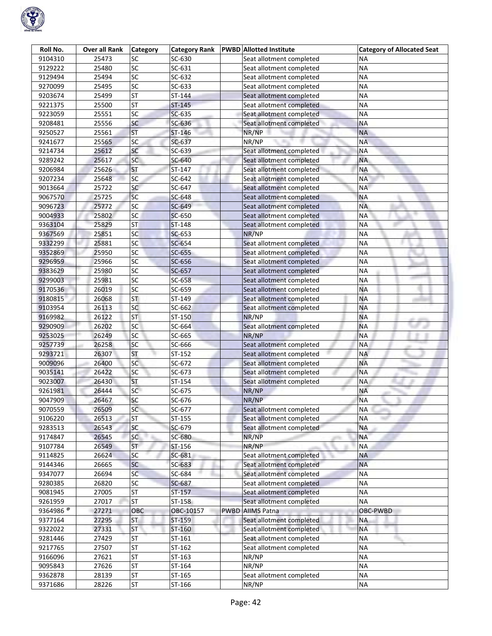

| Roll No.              | Over all Rank | <b>Category</b>          | <b>Category Rank</b> |             | <b>PWBD</b> Allotted Institute | <b>Category of Allocated Seat</b> |
|-----------------------|---------------|--------------------------|----------------------|-------------|--------------------------------|-----------------------------------|
| 9104310               | 25473         | SC                       | SC-630               |             | Seat allotment completed       | ΝA                                |
| 9129222               | 25480         | SC                       | SC-631               |             | Seat allotment completed       | <b>NA</b>                         |
| 9129494               | 25494         | SC                       | SC-632               |             | Seat allotment completed       | <b>NA</b>                         |
| 9270099               | 25495         | $\overline{SC}$          | SC-633               |             | Seat allotment completed       | <b>NA</b>                         |
| 9203674               | 25499         | $\overline{\text{ST}}$   | ST-144               |             | Seat allotment completed       | <b>NA</b>                         |
| 9221375               | 25500         | <b>ST</b>                | ST-145               |             | Seat allotment completed       | <b>NA</b>                         |
| 9223059               | 25551         | $\overline{SC}$          | SC-635               |             | Seat allotment completed       | <b>NA</b>                         |
| 9208481               | 25556         | SC                       | SC-636               |             | Seat allotment completed       | <b>NA</b>                         |
| 9250527               | 25561         | <b>ST</b>                | ST-146               |             | NR/NP                          | <b>NA</b>                         |
| 9241677               | 25565         | SC                       | SC-637               |             | NR/NP                          | <b>NA</b>                         |
| 9214734               | 25612         | <b>SC</b>                | SC-639               |             | Seat allotment completed       | <b>NA</b>                         |
| 9289242               | 25617         | SC                       | SC-640               |             | Seat allotment completed       | ΝA                                |
| 9206984               | 25626         | <b>ST</b>                | ST-147               |             | Seat allotment completed       | <b>NA</b>                         |
| 9207234               | 25648         | SC                       | SC-642               |             | Seat allotment completed       | <b>NA</b>                         |
| 9013664               | 25722         | SC                       | SC-647               |             | Seat allotment completed       | <b>NA</b>                         |
| 9067570               | 25725         | SC                       | SC-648               |             | Seat allotment completed       | <b>NA</b>                         |
| 9096723               | 25772         | $\overline{\mathsf{SC}}$ | SC-649               |             | Seat allotment completed       | <b>NA</b>                         |
| 9004933               | 25802         | SC                       | SC-650               |             | Seat allotment completed       | <b>NA</b>                         |
| 9363104               | 25829         | <b>ST</b>                | $ST-148$             |             | Seat allotment completed       | <b>NA</b>                         |
| 9367569               | 25851         | SC                       | SC-653               |             | NR/NP                          | <b>NA</b>                         |
| 9332299               | 25881         | SC                       | SC-654               |             | Seat allotment completed       | <b>NA</b>                         |
| 9352869               | 25950         | SC                       | SC-655               |             | Seat allotment completed       | <b>NA</b>                         |
| 9296959               | 25966         | $\overline{SC}$          | SC-656               |             | Seat allotment completed       | <b>NA</b>                         |
| 9383629               | 25980         | SC                       | SC-657               |             | Seat allotment completed       | <b>NA</b>                         |
| 9299003               | 25981         | SC                       | SC-658               |             | Seat allotment completed       | ΝA                                |
| 9170536               | 26019         | SC                       | SC-659               |             | Seat allotment completed       | <b>NA</b>                         |
| 9180815               | 26068         | ST                       | ST-149               |             | Seat allotment completed       | <b>NA</b>                         |
| 9103954               | 26113         | SC                       | SC-662               |             | Seat allotment completed       | <b>NA</b>                         |
| 9169982               | 26122         | <b>ST</b>                | ST-150               |             | NR/NP                          | <b>NA</b>                         |
| 9290909               | 26202         | SC                       | SC-664               |             | Seat allotment completed       | <b>NA</b>                         |
| 9253025               | 26249         | SC                       | SC-665               |             | NR/NP                          | <b>NA</b>                         |
| 9257739               | 26258         | SC                       | SC-666               |             | Seat allotment completed       | <b>NA</b>                         |
| 9293721               | 26307         | <b>ST</b>                | ST-152               |             | Seat allotment completed       | <b>NA</b>                         |
| 9009096               | 26400         | $\overline{SC}$          | SC-672               |             | Seat allotment completed       | <b>NA</b>                         |
| 9035141               | 26422         | SC                       | SC-673               |             | Seat allotment completed       | <b>NA</b>                         |
| 9023007               | 26430         | <b>ST</b>                | ST-154               |             | Seat allotment completed       | <b>NA</b>                         |
| 9261981               | 26444         | SC                       | SC-675               |             | NR/NP                          | <b>NA</b>                         |
| 9047909               | 26467         | SC                       | SC-676               |             | NR/NP                          | <b>NA</b>                         |
| 9070559               | 26509         | SC                       | SC-677               |             | Seat allotment completed       | <b>NA</b>                         |
| 9106220               | 26513         | <b>ST</b>                | ST-155               |             | Seat allotment completed       | <b>NA</b>                         |
| 9283513               | 26543         | SC                       | SC-679               |             | Seat allotment completed       | <b>NA</b>                         |
| 9174847               | 26545         | <b>SC</b>                | SC-680               |             | NR/NP                          | <b>NA</b>                         |
| 9107784               | 26549         | ST                       | ST-156               |             | NR/NP                          | <b>NA</b>                         |
| 9114825               | 26624         | SC                       | SC-681               |             | Seat allotment completed       | <b>NA</b>                         |
| 9144346               | 26665         | SC                       | SC-683               |             | Seat allotment completed       | <b>NA</b>                         |
| 9347077               | 26694         | SC                       | SC-684               |             | Seat allotment completed       | <b>NA</b>                         |
| 9280385               | 26820         | SC                       | SC-687               |             | Seat allotment completed       | <b>NA</b>                         |
| 9081945               | 27005         | <b>ST</b>                | $ST-157$             |             | Seat allotment completed       | <b>NA</b>                         |
| 9261959               | 27017         | <b>ST</b>                | ST-158               |             | Seat allotment completed       | <b>NA</b>                         |
| 9364986 $\frac{1}{6}$ | 27271         | OBC                      | OBC-10157            | <b>PWBD</b> | <b>AIIMS Patna</b>             | OBC-PWBD                          |
| 9377164               | 27295         | <b>ST</b>                | ST-159               |             | Seat allotment completed       | <b>NA</b>                         |
| 9322022               | 27331         | <b>ST</b>                | ST-160               |             | Seat allotment completed       | <b>NA</b>                         |
| 9281446               | 27429         | <b>ST</b>                | ST-161               |             | Seat allotment completed       | <b>NA</b>                         |
| 9217765               | 27507         | <b>ST</b>                | ST-162               |             | Seat allotment completed       | <b>NA</b>                         |
| 9166096               | 27621         | <b>ST</b>                | ST-163               |             | NR/NP                          | <b>NA</b>                         |
| 9095843               | 27626         | <b>ST</b>                | ST-164               |             | NR/NP                          | <b>NA</b>                         |
| 9362878               | 28139         | <b>ST</b>                | ST-165               |             | Seat allotment completed       | <b>NA</b>                         |
| 9371686               | 28226         | <b>ST</b>                | ST-166               |             | NR/NP                          | $\sf NA$                          |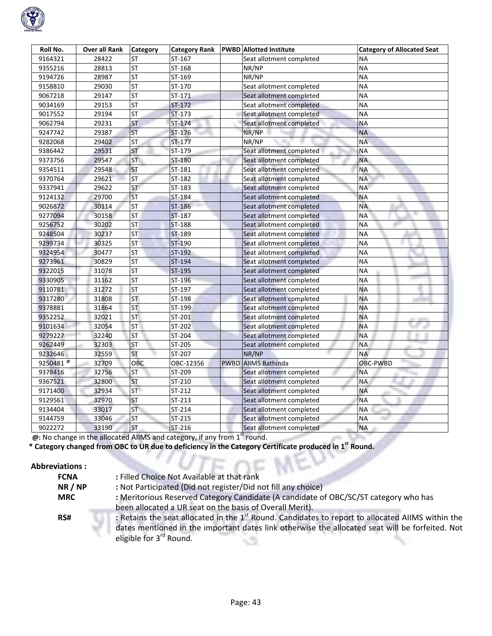

| Roll No.             | <b>Over all Rank</b> | <b>Category</b>          | <b>Category Rank</b> | <b>PWBD Allotted Institute</b> | <b>Category of Allocated Seat</b> |  |
|----------------------|----------------------|--------------------------|----------------------|--------------------------------|-----------------------------------|--|
| 9164321              | 28422                | ST                       | ST-167               | Seat allotment completed       | ΝA                                |  |
| 9355216              | 28813                | <b>ST</b>                | ST-168               | NR/NP                          | <b>NA</b>                         |  |
| 9194726              | 28987                | <b>ST</b>                | ST-169               | NR/NP                          | <b>NA</b>                         |  |
| 9158810              | 29030                | ST                       | ST-170               | Seat allotment completed       | <b>NA</b>                         |  |
| 9067218              | 29147                | <b>ST</b>                | $ST-171$             | Seat allotment completed       | <b>NA</b>                         |  |
| 9034169              | 29153                | <b>ST</b>                | $ST-172$             | Seat allotment completed       | NΑ                                |  |
| 9017552              | 29194                | <b>ST</b>                | $ST-173$             | Seat allotment completed       | <b>NA</b>                         |  |
| 9062794              | 29231                | <b>ST</b>                | ST-174               | Seat allotment completed       | <b>NA</b>                         |  |
| 9247742              | 29387                | ST                       | ST-176               | NR/NP                          | <b>NA</b>                         |  |
| 9282068              | 29402                | <b>ST</b>                | ST-177               | NR/NP                          | <b>NA</b>                         |  |
| 9386442              | 29531                | ST                       | ST-179               | Seat allotment completed       | <b>NA</b>                         |  |
| 9373756              | 29547                | <b>ST</b>                | ST-180               | Seat allotment completed       | <b>NA</b>                         |  |
| 9354511              | 29548                | <b>ST</b>                | ST-181               | Seat allotment completed       | <b>NA</b>                         |  |
| 9370764              | 29621                | <b>ST</b>                | ST-182               | Seat allotment completed       | NA                                |  |
| 9337941              | 29622                | <b>ST</b>                | ST-183               | Seat allotment completed       | <b>NA</b>                         |  |
| 9124132              | 29700                | <b>ST</b>                | ST-184               | Seat allotment completed       | <b>NA</b>                         |  |
| 9026872              | 30114                | <b>ST</b>                | <b>ST-186</b>        | Seat allotment completed       | <b>NA</b>                         |  |
| 9277094              | 30158                | <b>ST</b>                | <b>ST-187</b>        | Seat allotment completed       | <b>NA</b>                         |  |
| 9256752              | 30202                | <b>ST</b>                | <b>ST-188</b>        | Seat allotment completed       | ΝA                                |  |
| 9248504              | 30237                | <b>ST</b>                | ST-189               | Seat allotment completed       | <b>NA</b>                         |  |
| 9299734              | 30325                | <b>ST</b>                | ST-190               | Seat allotment completed       | <b>NA</b>                         |  |
| 9324954              | 30477                | <b>ST</b>                | ST-192               | Seat allotment completed       | <b>NA</b>                         |  |
| 9273961              | 30829                | <b>ST</b>                | ST-194               | Seat allotment completed       | <b>NA</b>                         |  |
| 9322015              | 31078                | <b>ST</b>                | ST-195               | Seat allotment completed       | <b>NA</b>                         |  |
| 9330905              | 31162                | $\overline{\mathsf{ST}}$ | ST-196               | Seat allotment completed       | <b>NA</b>                         |  |
| 9110781              | 31272                | <b>ST</b>                | ST-197               | Seat allotment completed       | <b>NA</b>                         |  |
| 9317280              | 31808                | <b>ST</b>                | ST-198               | Seat allotment completed       | <b>NA</b>                         |  |
| 9378881              | 31864                | <b>ST</b>                | ST-199               | Seat allotment completed       | <b>NA</b>                         |  |
| 9352252              | 32021                | <b>ST</b>                | ST-201               | Seat allotment completed       | <b>NA</b>                         |  |
| 9101634              | 32054                | <b>ST</b>                | ST-202               | Seat allotment completed       | <b>NA</b>                         |  |
| 9279227              | 32240                | <b>ST</b>                | ST-204               | Seat allotment completed       | <b>NA</b>                         |  |
| 9262449              | 32303                | <b>ST</b>                | ST-205               | Seat allotment completed       | NΑ                                |  |
| 9232646              | 32559                | <b>ST</b>                | ST-207               | NR/NP                          | <b>NA</b>                         |  |
| 9250481 <sup>®</sup> | 32709                | OBC                      | OBC-12356            | PWBD AIIMS Bathinda            | OBC-PWBD                          |  |
| 9378416              | 32756                | <b>ST</b>                | ST-209               | Seat allotment completed       | <b>NA</b>                         |  |
| 9367521              | 32800                | <b>ST</b>                | ST-210               | Seat allotment completed       | <b>NA</b>                         |  |
| 9171400              | 32934                | ST                       | ST-212               | Seat allotment completed       | <b>NA</b>                         |  |
| 9129561              | 32970                | <b>ST</b>                | ST-213               | Seat allotment completed       | <b>NA</b>                         |  |
| 9134404              | 33017                | <b>ST</b>                | ST-214               | Seat allotment completed       | <b>NA</b>                         |  |
| 9144759              | 33046                | <b>ST</b>                | ST-215               | Seat allotment completed       | NA<br>m                           |  |
| 9022272              | 33190                | <b>ST</b>                | ST-216               | Seat allotment completed       | <b>NA</b>                         |  |

**@:** No change in the allocated AIIMS and category, if any from 1<sup>st</sup> round.

\* Category changed from OBC to UR due to deficiency in the Category Certificate produced in 1<sup>st</sup> Round.

### **Abbreviations :**

| <b>FCNA</b> | : Filled Choice Not Available at that rank                                                                                             |
|-------------|----------------------------------------------------------------------------------------------------------------------------------------|
| NR/NP       | : Not Participated (Did not register/Did not fill any choice)                                                                          |
| <b>MRC</b>  | : Meritorious Reserved Category Candidate (A candidate of OBC/SC/ST category who has                                                   |
|             | been allocated a UR seat on the basis of Overall Merit).                                                                               |
| RS#         | : Retains the seat allocated in the 1 <sup>st</sup> Round. Candidates to report to allocated AIIMS within the                          |
|             | dates mentioned in the important dates link otherwise the allocated seat will be forfeited. Not<br>eligible for 3 <sup>rd</sup> Round. |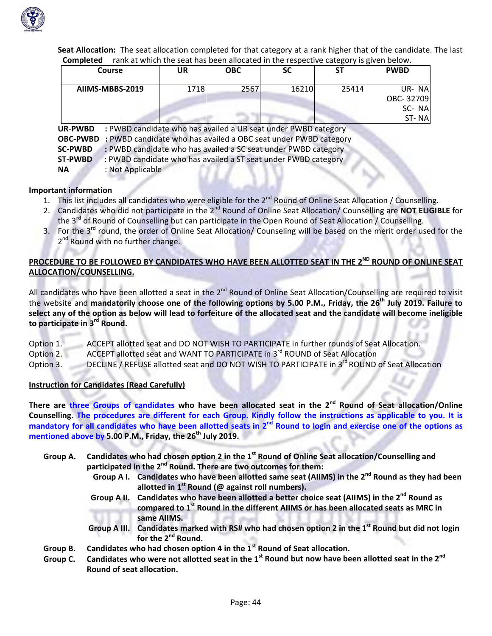

**Seat Allocation:** The seat allocation completed for that category at a rank higher that of the candidate. The last **Completed** rank at which the seat has been allocated in the respective category is given below.

| Course                                                                                                                                                       | UR   | <b>OBC</b> | <b>SC</b> | SΤ    | <b>PWBD</b>                          |  |  |  |
|--------------------------------------------------------------------------------------------------------------------------------------------------------------|------|------------|-----------|-------|--------------------------------------|--|--|--|
| AIIMS-MBBS-2019                                                                                                                                              | 1718 | 2567       | 16210     | 25414 | UR-NA<br>OBC-32709<br>SC-NA<br>ST-NA |  |  |  |
| : PWBD candidate who has availed a UR seat under PWBD category<br><b>UR-PWBD</b><br>OBC-PWBD : PWBD candidate who has availed a OBC seat under PWBD category |      |            |           |       |                                      |  |  |  |

**SC‐PWBD :** PWBD candidate who has availed a SC seat under PWBD category

**ST-PWBD** : PWBD candidate who has availed a ST seat under PWBD category

**NA** : Not Applicable

### **Important information**

- 1. This list includes all candidates who were eligible for the 2<sup>nd</sup> Round of Online Seat Allocation / Counselling.
- 2. Candidates who did not participate in the 2<sup>nd</sup> Round of Online Seat Allocation/ Counselling are **NOT ELIGIBLE** for the 3<sup>rd</sup> of Round of Counselling but can participate in the Open Round of Seat Allocation / Counselling.
- 3. For the 3<sup>rd</sup> round, the order of Online Seat Allocation/ Counseling will be based on the merit order used for the 2<sup>nd</sup> Round with no further change.

## PROCEDURE TO BE FOLLOWED BY CANDIDATES WHO HAVE BEEN ALLOTTED SEAT IN THE 2<sup>ND</sup> ROUND OF ONLINE SEAT **ALLOCATION/COUNSELLING.**

All candidates who have been allotted a seat in the 2<sup>nd</sup> Round of Online Seat Allocation/Counselling are required to visit the website and mandatorily choose one of the following options by 5.00 P.M., Friday, the 26<sup>th</sup> July 2019. Failure to select any of the option as below will lead to forfeiture of the allocated seat and the candidate will become ineligible **to participate in 3rd Round.**

Option 1. ACCEPT allotted seat and DO NOT WISH TO PARTICIPATE in further rounds of Seat Allocation. Option 2. ACCEPT allotted seat and WANT TO PARTICIPATE in 3<sup>rd</sup> ROUND of Seat Allocation

Option 3. DECLINE / REFUSE allotted seat and DO NOT WISH TO PARTICIPATE in 3<sup>rd</sup> ROUND of Seat Allocation

### **Instruction for Candidates (Read Carefully)**

There are three Groups of candidates who have been allocated seat in the 2<sup>nd</sup> Round of Seat allocation/Online Counselling. The procedures are different for each Group. Kindly follow the instructions as applicable to you. It is mandatory for all candidates who have been allotted seats in 2<sup>nd</sup> Round to login and exercise one of the options as **mentioned above by 5.00 P.M., Friday, the 26th July 2019.**

- Group A. Candidates who had chosen option 2 in the 1<sup>st</sup> Round of Online Seat allocation/Counselling and **participated in the 2nd Round. There are two outcomes for them:** 
	- Group A I. Candidates who have been allotted same seat (AIIMS) in the 2<sup>nd</sup> Round as they had been **allotted in 1st Round (@ against roll numbers).**
	- Group A II. Candidates who have been allotted a better choice seat (AIIMS) in the 2<sup>nd</sup> Round as **compared to 1st Round in the different AIIMS or has been allocated seats as MRC in same AIIMS.**
	- Group A III. Candidates marked with RS# who had chosen option 2 in the  $1<sup>st</sup>$  Round but did not login **for the 2nd Round.**
- **Group B. Candidates who had chosen option 4 in the 1st Round of Seat allocation.**
- Group C. Candidates who were not allotted seat in the  $1<sup>st</sup>$  Round but now have been allotted seat in the  $2<sup>nd</sup>$ **Round of seat allocation.**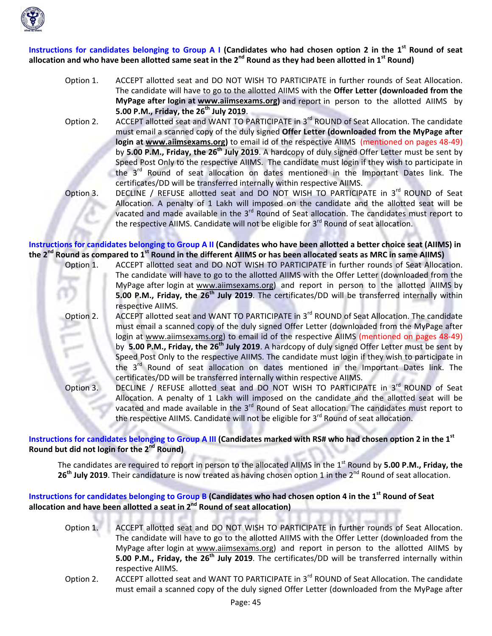

Instructions for candidates belonging to Group A I (Candidates who had chosen option 2 in the 1<sup>st</sup> Round of seat allocation and who have been allotted same seat in the  $2^{nd}$  Round as they had been allotted in  $1^{st}$  Round)

- Option 1. ACCEPT allotted seat and DO NOT WISH TO PARTICIPATE in further rounds of Seat Allocation. The candidate will have to go to the allotted AIIMS with the **Offer Letter (downloaded from the MyPage after login at www.aiimsexams.org)** and report in person to the allotted AIIMS by **5.00 P.M., Friday, the 26th July 2019**.
- Option 2. ACCEPT allotted seat and WANT TO PARTICIPATE in 3<sup>rd</sup> ROUND of Seat Allocation. The candidate must email a scanned copy of the duly signed **Offer Letter (downloaded from the MyPage after login at www.aiimsexams.org)** to email id of the respective AIIMS (mentioned on pages 48‐49) by **5.00 P.M., Friday, the 26th July 2019**. A hardcopy of duly signed Offer Letter must be sent by Speed Post Only to the respective AIIMS. The candidate must login if they wish to participate in the 3<sup>rd</sup> Round of seat allocation on dates mentioned in the Important Dates link. The certificates/DD will be transferred internally within respective AIIMS.
- Option 3. DECLINE / REFUSE allotted seat and DO NOT WISH TO PARTICIPATE in 3<sup>rd</sup> ROUND of Seat Allocation. A penalty of 1 Lakh will imposed on the candidate and the allotted seat will be vacated and made available in the 3<sup>rd</sup> Round of Seat allocation. The candidates must report to the respective AIIMS. Candidate will not be eligible for 3<sup>rd</sup> Round of seat allocation.

Instructions for candidates belonging to Group A II (Candidates who have been allotted a better choice seat (AIIMS) in the  $2^{nd}$  Round as compared to  $1^{st}$  Round in the different AIIMS or has been allocated seats as MRC in same AIIMS)

- Option 1. ACCEPT allotted seat and DO NOT WISH TO PARTICIPATE in further rounds of Seat Allocation. The candidate will have to go to the allotted AIIMS with the Offer Letter (downloaded from the MyPage after login at www.aiimsexams.org) and report in person to the allotted AIIMS by **5.00 P.M., Friday, the 26th July 2019**. The certificates/DD will be transferred internally within respective AIIMS.
	- Option 2. ACCEPT allotted seat and WANT TO PARTICIPATE in 3<sup>rd</sup> ROUND of Seat Allocation. The candidate must email a scanned copy of the duly signed Offer Letter (downloaded from the MyPage after login at www.aiimsexams.org) to email id of the respective AIIMS (mentioned on pages 48‐49) by **5.00 P.M., Friday, the 26th July 2019**. A hardcopy of duly signed Offer Letter must be sent by Speed Post Only to the respective AIIMS. The candidate must login if they wish to participate in the  $3<sup>rd</sup>$  Round of seat allocation on dates mentioned in the Important Dates link. The certificates/DD will be transferred internally within respective AIIMS.
	- Option 3. DECLINE / REFUSE allotted seat and DO NOT WISH TO PARTICIPATE in 3<sup>rd</sup> ROUND of Seat Allocation. A penalty of 1 Lakh will imposed on the candidate and the allotted seat will be vacated and made available in the  $3<sup>rd</sup>$  Round of Seat allocation. The candidates must report to the respective AIIMS. Candidate will not be eligible for  $3<sup>rd</sup>$  Round of seat allocation.

Instructions for candidates belonging to Group A III (Candidates marked with RS# who had chosen option 2 in the 1st **Round but did not login for the 2nd Round)**

The candidates are required to report in person to the allocated AIIMS in the 1st Round by **5.00 P.M., Friday, the** 26<sup>th</sup> July 2019. Their candidature is now treated as having chosen option 1 in the 2<sup>nd</sup> Round of seat allocation.

## Instructions for candidates belonging to Group B (Candidates who had chosen option 4 in the 1<sup>st</sup> Round of Seat **allocation and have been allotted a seat in 2nd Round of seat allocation)**

- Option 1. ACCEPT allotted seat and DO NOT WISH TO PARTICIPATE in further rounds of Seat Allocation. The candidate will have to go to the allotted AIIMS with the Offer Letter (downloaded from the MyPage after login at www.aiimsexams.org) and report in person to the allotted AIIMS by **5.00 P.M., Friday, the 26th July 2019**. The certificates/DD will be transferred internally within respective AIIMS.
- Option 2. ACCEPT allotted seat and WANT TO PARTICIPATE in 3<sup>rd</sup> ROUND of Seat Allocation. The candidate must email a scanned copy of the duly signed Offer Letter (downloaded from the MyPage after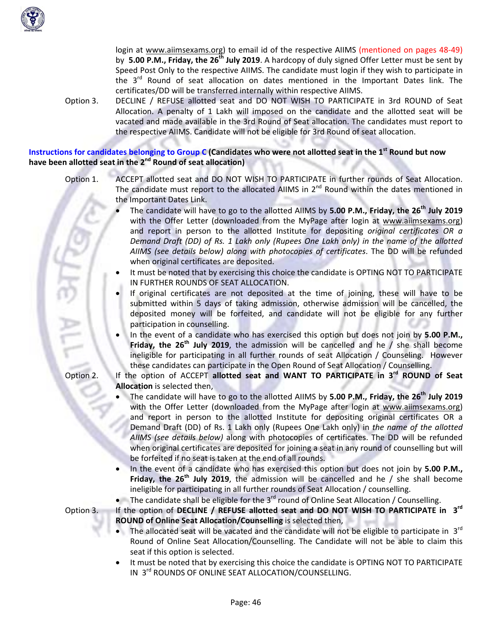

login at www.aiimsexams.org) to email id of the respective AIIMS (mentioned on pages 48-49) by **5.00 P.M., Friday, the 26th July 2019**. A hardcopy of duly signed Offer Letter must be sent by Speed Post Only to the respective AIIMS. The candidate must login if they wish to participate in the  $3<sup>rd</sup>$  Round of seat allocation on dates mentioned in the Important Dates link. The certificates/DD will be transferred internally within respective AIIMS.

Option 3. DECLINE / REFUSE allotted seat and DO NOT WISH TO PARTICIPATE in 3rd ROUND of Seat Allocation. A penalty of 1 Lakh will imposed on the candidate and the allotted seat will be vacated and made available in the 3rd Round of Seat allocation. The candidates must report to the respective AIIMS. Candidate will not be eligible for 3rd Round of seat allocation.

#### Instructions for candidates belonging to Group C (Candidates who were not allotted seat in the 1<sup>st</sup> Round but now **have been allotted seat in the 2nd Round of seat allocation)**

- Option 1. ACCEPT allotted seat and DO NOT WISH TO PARTICIPATE in further rounds of Seat Allocation. The candidate must report to the allocated AIIMS in  $2^{nd}$  Round within the dates mentioned in the Important Dates Link.
	- The candidate will have to go to the allotted AIIMS by **5.00 P.M., Friday, the 26th July 2019** with the Offer Letter (downloaded from the MyPage after login at www.aiimsexams.org) and report in person to the allotted Institute for depositing *original certificates OR a Demand Draft (DD) of Rs. 1 Lakh only (Rupees One Lakh only) in the name of the allotted AIIMS (see details below) along with photocopies of certificates*. The DD will be refunded when original certificates are deposited.
	- It must be noted that by exercising this choice the candidate is OPTING NOT TO PARTICIPATE IN FURTHER ROUNDS OF SEAT ALLOCATION.
	- If original certificates are not deposited at the time of joining, these will have to be submitted within 5 days of taking admission, otherwise admission will be cancelled, the deposited money will be forfeited, and candidate will not be eligible for any further participation in counselling.
	- In the event of a candidate who has exercised this option but does not join by **5.00 P.M., Friday, the 26th July 2019**, the admission will be cancelled and he / she shall become ineligible for participating in all further rounds of seat Allocation / Counseling. However these candidates can participate in the Open Round of Seat Allocation / Counselling.
- Option 2. If the option of ACCEPT **allotted seat and WANT TO PARTICIPATE in 3rd ROUND of Seat Allocation** is selected then,
	- The candidate will have to go to the allotted AIIMS by **5.00 P.M., Friday, the 26th July 2019** with the Offer Letter (downloaded from the MyPage after login at www.aiimsexams.org) and report in person to the allotted Institute for depositing original certificates OR a Demand Draft (DD) of Rs. 1 Lakh only (Rupees One Lakh only) in *the name of the allotted AIIMS (see details below)* along with photocopies of certificates. The DD will be refunded when original certificates are deposited for joining a seat in any round of counselling but will be forfeited if no seat is taken at the end of all rounds.
	- In the event of a candidate who has exercised this option but does not join by **5.00 P.M., Friday, the 26th July 2019**, the admission will be cancelled and he / she shall become ineligible for participating in all further rounds of Seat Allocation / counselling.
	- The candidate shall be eligible for the  $3<sup>rd</sup>$  round of Online Seat Allocation / Counselling.
- Option 3. If the option of **DECLINE / REFUSE allotted seat and DO NOT WISH TO PARTICIPATE in 3rd ROUND of Online Seat Allocation/Counselling** is selected then,
	- The allocated seat will be vacated and the candidate will not be eligible to participate in  $3^{rd}$ Round of Online Seat Allocation/Counselling. The Candidate will not be able to claim this seat if this option is selected.
	- It must be noted that by exercising this choice the candidate is OPTING NOT TO PARTICIPATE IN 3<sup>rd</sup> ROUNDS OF ONLINE SEAT ALLOCATION/COUNSELLING.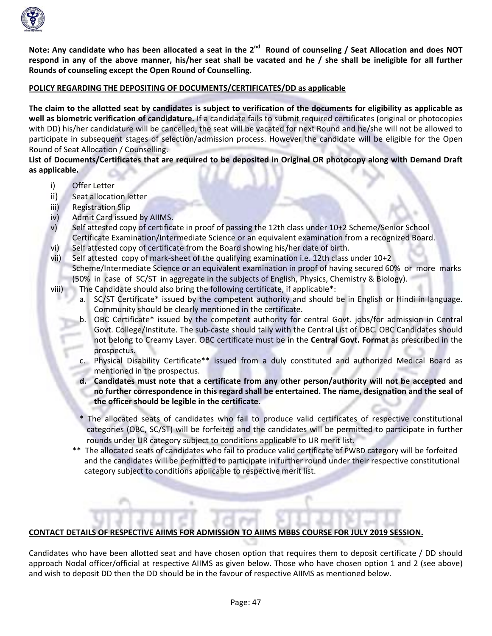

Note: Any candidate who has been allocated a seat in the 2<sup>nd</sup> Round of counseling / Seat Allocation and does NOT respond in any of the above manner, his/her seat shall be vacated and he / she shall be ineligible for all further **Rounds of counseling except the Open Round of Counselling.**

#### **POLICY REGARDING THE DEPOSITING OF DOCUMENTS/CERTIFICATES/DD as applicable**

The claim to the allotted seat by candidates is subject to verification of the documents for eligibility as applicable as **well as biometric verification of candidature.** If a candidate fails to submit required certificates (original or photocopies with DD) his/her candidature will be cancelled, the seat will be vacated for next Round and he/she will not be allowed to participate in subsequent stages of selection/admission process. However the candidate will be eligible for the Open Round of Seat Allocation / Counselling.

List of Documents/Certificates that are required to be deposited in Original OR photocopy along with Demand Draft **as applicable.**

- i) Offer Letter
- ii) Seat allocation letter
- iii) Registration Slip
- iv) Admit Card issued by AIIMS.
- v) Self attested copy of certificate in proof of passing the 12th class under 10+2 Scheme/Senior School Certificate Examination/Intermediate Science or an equivalent examination from a recognized Board.
- vi) Self attested copy of certificate from the Board showing his/her date of birth.
- vii) Self attested copy of mark‐sheet of the qualifying examination i.e. 12th class under 10+2 Scheme/Intermediate Science or an equivalent examination in proof of having secured 60% or more marks (50% in case of SC/ST in aggregate in the subjects of English, Physics, Chemistry & Biology).
- viii) The Candidate should also bring the following certificate, if applicable\*:
	- a. SC/ST Certificate\* issued by the competent authority and should be in English or Hindi in language. Community should be clearly mentioned in the certificate.
	- b. OBC Certificate\* issued by the competent authority for central Govt. jobs/for admission in Central Govt. College/Institute. The sub‐caste should tally with the Central List of OBC. OBC Candidates should not belong to Creamy Layer. OBC certificate must be in the **Central Govt. Format** as prescribed in the prospectus.
	- c. Physical Disability Certificate\*\* issued from a duly constituted and authorized Medical Board as mentioned in the prospectus.
	- **d. Candidates must note that a certificate from any other person/authority will not be accepted and no further correspondence in this regard shall be entertained. The name, designation and the seal of the officer should be legible in the certificate.**
	- The allocated seats of candidates who fail to produce valid certificates of respective constitutional categories (OBC, SC/ST) will be forfeited and the candidates will be permitted to participate in further rounds under UR category subject to conditions applicable to UR merit list.
	- \*\* The allocated seats of candidates who fail to produce valid certificate of PWBD category will be forfeited and the candidates will be permitted to participate in further round under their respective constitutional category subject to conditions applicable to respective merit list.

## **CONTACT DETAILS OF RESPECTIVE AIIMS FOR ADMISSION TO AIIMS MBBS COURSE FOR JULY 2019 SESSION.**

Candidates who have been allotted seat and have chosen option that requires them to deposit certificate / DD should approach Nodal officer/official at respective AIIMS as given below. Those who have chosen option 1 and 2 (see above) and wish to deposit DD then the DD should be in the favour of respective AIIMS as mentioned below.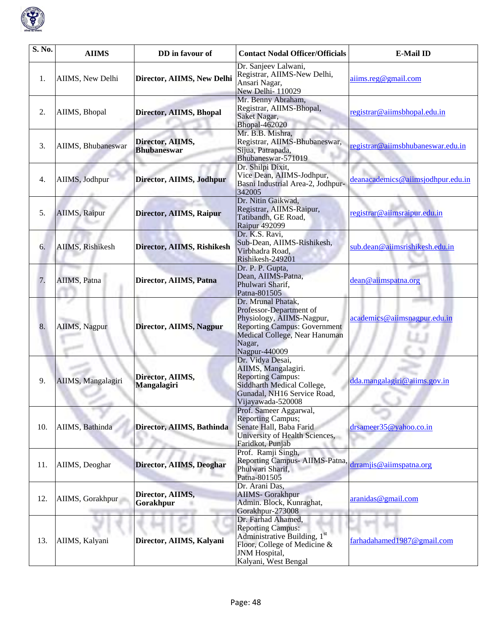

| S. No. | <b>AIIMS</b>       | DD in favour of                        | <b>Contact Nodal Officer/Officials</b>                                                                                                                                        | <b>E-Mail ID</b>                  |
|--------|--------------------|----------------------------------------|-------------------------------------------------------------------------------------------------------------------------------------------------------------------------------|-----------------------------------|
| 1.     | AIIMS, New Delhi   | Director, AIIMS, New Delhi             | Dr. Sanjeev Lalwani,<br>Registrar, AIIMS-New Delhi,<br>Ansari Nagar,<br>New Delhi- 110029                                                                                     | aiims.reg@gmail.com               |
| 2.     | AIIMS, Bhopal      | Director, AIIMS, Bhopal                | Mr. Benny Abraham,<br>Registrar, AIIMS-Bhopal,<br>Saket Nagar,<br><b>Bhopal-462020</b>                                                                                        | registrar@aiimsbhopal.edu.in      |
| 3.     | AIIMS, Bhubaneswar | Director, AIIMS,<br><b>Bhubaneswar</b> | Mr. B.B. Mishra,<br>Registrar, AIIMS-Bhubaneswar,<br>Sijua, Patrapada,<br>Bhubaneswar-571019                                                                                  | registrar@aiimsbhubaneswar.edu.in |
| 4.     | AIIMS, Jodhpur     | Director, AIIMS, Jodhpur               | Dr. Shilpi Dixit,<br>Vice Dean, AIIMS-Jodhpur,<br>Basni Industrial Area-2, Jodhpur-<br>342005                                                                                 | deanacademics@aiimsjodhpur.edu.in |
| 5.     | AIIMS, Raipur      | Director, AIIMS, Raipur                | Dr. Nitin Gaikwad,<br>Registrar, AIIMS-Raipur,<br>Tatibandh, GE Road,<br><b>Raipur 492099</b>                                                                                 | registrar@aiimsraipur.edu.in      |
| 6.     | AIIMS, Rishikesh   | Director, AIIMS, Rishikesh             | Dr. K.S. Ravi,<br>Sub-Dean, AIIMS-Rishikesh,<br>Virbhadra Road,<br>Rishikesh-249201                                                                                           | sub.dean@aiimsrishikesh.edu.in    |
| 7.     | AIIMS, Patna       | Director, AIIMS, Patna                 | Dr. P. P. Gupta,<br>Dean, AIIMS-Patna,<br>Phulwari Sharif,<br>Patna-801505                                                                                                    | dean@aiimspatna.org               |
| 8.     | AIIMS, Nagpur      | Director, AIIMS, Nagpur                | Dr. Mrunal Phatak,<br>Professor-Department of<br>Physiology, AIIMS-Nagpur,<br><b>Reporting Campus: Government</b><br>Medical College, Near Hanuman<br>Nagar,<br>Nagpur-440009 | academics@aiimsnagpur.edu.in      |
| 9.     | AIIMS, Mangalagiri | Director, AIIMS,<br>Mangalagiri        | Dr. Vidya Desai,<br>AIIMS, Mangalagiri.<br><b>Reporting Campus:</b><br>Siddharth Medical College,<br>Gunadal, NH16 Service Road,<br>Vijayawada-520008                         | dda.mangalagiri@aiims.gov.in      |
| 10.    | AIIMS, Bathinda    | Director, AIIMS, Bathinda              | Prof. Sameer Aggarwal,<br><b>Reporting Campus;</b><br>Senate Hall, Baba Farid<br>University of Health Sciences,<br>Faridkot, Punjab                                           | drsameer35@yahoo.co.in            |
| 11.    | AIIMS, Deoghar     | Director, AIIMS, Deoghar               | Prof. Ramji Singh,<br>Reporting Campus- AIIMS-Patna,<br>Phulwari Sharif,<br>Patna-801505                                                                                      | drramjis@aiimspatna.org           |
| 12.    | AIIMS, Gorakhpur   | Director, AIIMS,<br>Gorakhpur          | Dr. Arani Das,<br><b>AIIMS</b> - Gorakhpur<br>Admin. Block, Kunraghat,<br>Gorakhpur-273008                                                                                    | aranidas@gmail.com                |
| 13.    | AIIMS, Kalyani     | Director, AIIMS, Kalyani               | Dr. Farhad Ahamed,<br><b>Reporting Campus:</b><br>Administrative Building, 1 <sup>st</sup><br>Floor, College of Medicine &<br>JNM Hospital,<br>Kalyani, West Bengal           | farhadahamed1987@gmail.com        |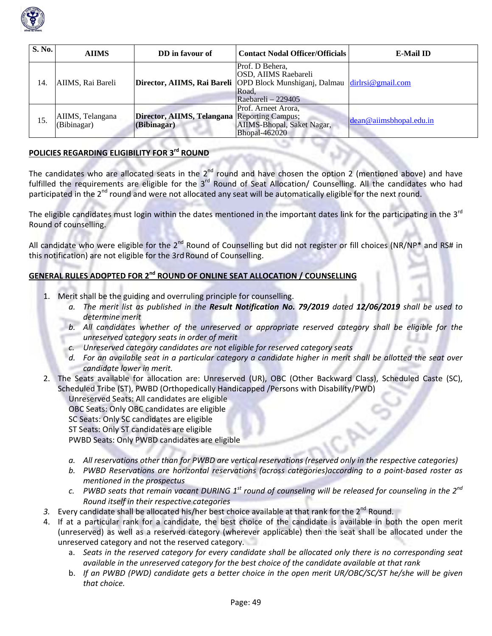

| S. No. | <b>AIIMS</b>                    | DD in favour of                           | <b>Contact Nodal Officer/Officials</b>                                                                                                                      | <b>E-Mail ID</b>          |
|--------|---------------------------------|-------------------------------------------|-------------------------------------------------------------------------------------------------------------------------------------------------------------|---------------------------|
| 14.    | AIIMS, Rai Bareli               |                                           | Prof. D Behera,<br><b>OSD, AIIMS Raebareli</b><br>Director, AIIMS, Rai Bareli OPD Block Munshiganj, Dalmau dirlrsi@gmail.com<br>Road.<br>Raebareli – 229405 |                           |
| 15.    | AIIMS, Telangana<br>(Bibinagar) | Director, AIIMS, Telangana<br>(Bibinagar) | Prof. Arneet Arora,<br><b>Reporting Campus;</b><br>AIIMS-Bhopal, Saket Nagar,<br><b>Bhopal-462020</b>                                                       | $dean@a$ imsthopal.edu.in |

#### **POLICIES REGARDING ELIGIBILITY FOR 3rd ROUND**

The candidates who are allocated seats in the  $2^{nd}$  round and have chosen the option 2 (mentioned above) and have fulfilled the requirements are eligible for the 3<sup>rd</sup> Round of Seat Allocation/ Counselling. All the candidates who had participated in the  $2^{nd}$  round and were not allocated any seat will be automatically eligible for the next round.

The eligible candidates must login within the dates mentioned in the important dates link for the participating in the 3<sup>rd</sup> Round of counselling.

All candidate who were eligible for the 2<sup>nd</sup> Round of Counselling but did not register or fill choices (NR/NP<sup>\*</sup> and RS# in this notification) are not eligible for the 3rd Round of Counselling.

# **GENERAL RULES ADOPTED FOR 2nd ROUND OF ONLINE SEAT ALLOCATION / COUNSELLING**

- 1. Merit shall be the guiding and overruling principle for counselling.
	- a. The merit list as published in the Result Notification No. 79/2019 dated 12/06/2019 shall be used to *determine merit*
	- *b. All candidates whether of the unreserved or appropriate reserved category shall be eligible for the unreserved category seats in order of merit*
	- *c. Unreserved category candidates are not eligible for reserved category seats*
	- d. For an available seat in a particular category a candidate higher in merit shall be allotted the seat over *candidate lower in merit.*
- 2. The Seats available for allocation are: Unreserved (UR), OBC (Other Backward Class), Scheduled Caste (SC), Scheduled Tribe (ST), PWBD (Orthopedically Handicapped /Persons with Disability/PWD)

Unreserved Seats: All candidates are eligible OBC Seats: Only OBC candidates are eligible SC Seats: Only SC candidates are eligible ST Seats: Only ST candidates are eligible PWBD Seats: Only PWBD candidates are eligible

- a. All reservations other than for PWBD are vertical reservations (reserved only in the respective categories)
- *b. PWBD Reservations are horizontal reservations (across categories)according to a point‐based roster as mentioned in the prospectus*
- c. PWBD seats that remain vacant DURING  $1^{st}$  round of counseling will be released for counseling in the  $2^{nd}$ *Round itself in their respective categories*
- 3. Every candidate shall be allocated his/her best choice available at that rank for the 2<sup>nd</sup> Round.
- 4. If at a particular rank for a candidate, the best choice of the candidate is available in both the open merit (unreserved) as well as a reserved category (wherever applicable) then the seat shall be allocated under the unreserved category and not the reserved category.
	- a. Seats in the reserved category for every candidate shall be allocated only there is no corresponding seat *available in the unreserved category for the best choice of the candidate available at that rank*
	- b. If an PWBD (PWD) candidate gets a better choice in the open merit UR/OBC/SC/ST he/she will be given *that choice.*